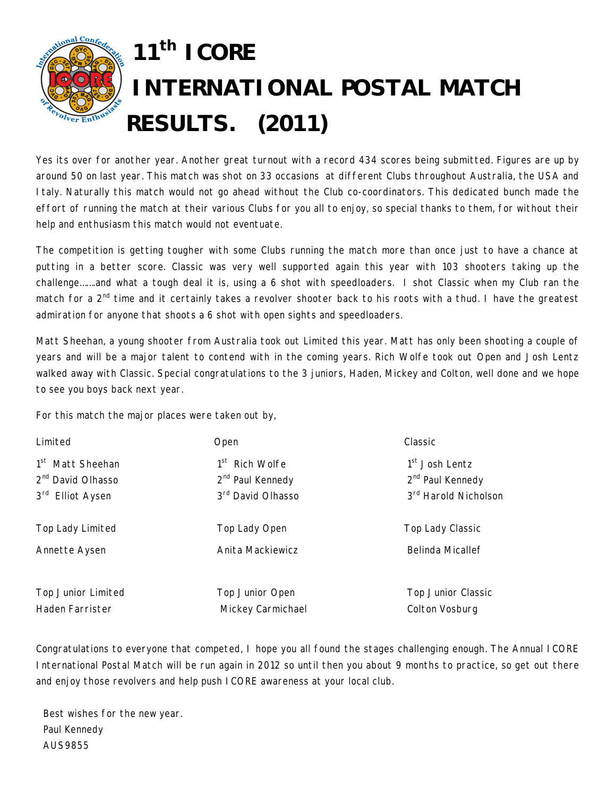

Yes its over for another year. Another great turnout with a record 434 scores being submitted. Figures are up by around 50 on last year. This match was shot on 33 occasions at different Clubs throughout Australia, the USA and Italy. Naturally this match would not go ahead without the Club co-coordinators. This dedicated bunch made the effort of running the match at their various Clubs for you all to enjoy, so special thanks to them, for without their help and enthusiasm this match would not eventuate.

The competition is getting tougher with some Clubs running the match more than once just to have a chance at putting in a better score. Classic was very well supported again this year with 103 shooters taking up the challenge…….and what a tough deal it is, using a 6 shot with speedloaders. I shot Classic when my Club ran the match for a 2<sup>nd</sup> time and it certainly takes a revolver shooter back to his roots with a thud. I have the greatest admiration for anyone that shoots a 6 shot with open sights and speedloaders.

Matt Sheehan, a young shooter from Australia took out Limited this year. Matt has only been shooting a couple of years and will be a major talent to contend with in the coming years. Rich Wolfe took out Open and Josh Lentz walked away with Classic. Special congratulations to the 3 juniors, Haden, Mickey and Colton, well done and we hope to see you boys back next year.

For this match the major places were taken out by,

| Limited                       | Open                         | Classic                          |
|-------------------------------|------------------------------|----------------------------------|
| 1 <sup>st</sup> Matt Sheehan  | 1 <sup>st</sup> Rich Wolfe   | 1 <sup>st</sup> Josh Lentz       |
| 2 <sup>nd</sup> David Olhasso | 2 <sup>nd</sup> Paul Kennedy | 2 <sup>nd</sup> Paul Kennedy     |
| 3rd Elliot Aysen              | 3rd David Olhasso            | 3 <sup>rd</sup> Harold Nicholson |
| Top Lady Limited              | Top Lady Open                | Top Lady Classic                 |
| Annette Aysen                 | Anita Mackiewicz             | <b>Belinda Micallef</b>          |
| Top Junior Limited            | Top Junior Open              | <b>Top Junior Classic</b>        |
| Haden Farrister               | Mickey Carmichael            | Colton Vosburg                   |

Congratulations to everyone that competed, I hope you all found the stages challenging enough. The Annual ICORE International Postal Match will be run again in 2012 so until then you about 9 months to practice, so get out there and enjoy those revolvers and help push ICORE awareness at your local club.

Best wishes for the new year. Paul Kennedy AUS9855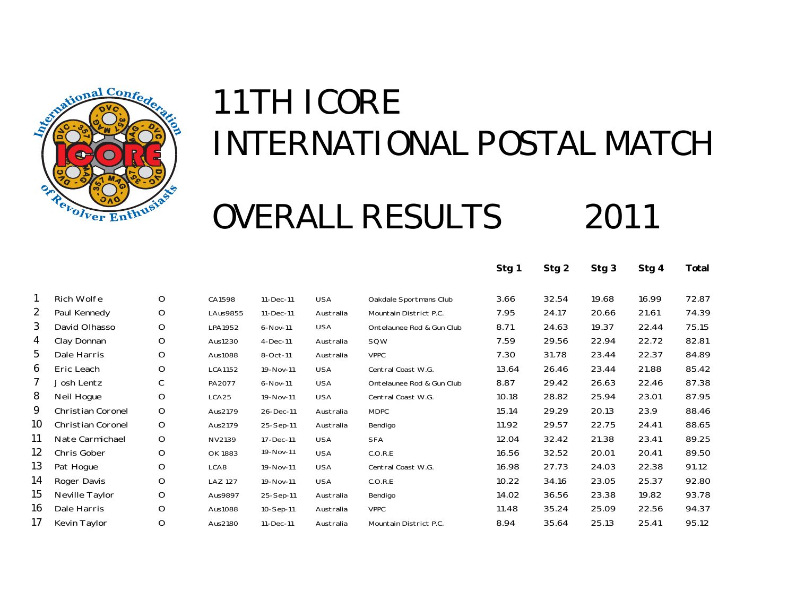

# OVERALL RESULTS 2011

|    |                          |             |                 |            |            |                           | Stg 1 | Stg 2 | Stg 3 | Stg 4 | Total |
|----|--------------------------|-------------|-----------------|------------|------------|---------------------------|-------|-------|-------|-------|-------|
|    | <b>Rich Wolfe</b>        | O           | CA1598          | 11-Dec-11  | <b>USA</b> | Oakdale Sportmans Club    | 3.66  | 32.54 | 19.68 | 16.99 | 72.87 |
| 2  | Paul Kennedy             | O           | <b>LAus9855</b> | 11-Dec-11  | Australia  | Mountain District P.C.    | 7.95  | 24.17 | 20.66 | 21.61 | 74.39 |
| 3  | David Olhasso            | O           | LPA1952         | 6-Nov-11   | <b>USA</b> | Ontelaunee Rod & Gun Club | 8.71  | 24.63 | 19.37 | 22.44 | 75.15 |
| 4  | Clay Donnan              | O           | Aus1230         | $4-Dec-11$ | Australia  | SQW                       | 7.59  | 29.56 | 22.94 | 22.72 | 82.81 |
| 5  | Dale Harris              | O           | Aus1088         | 8-Oct-11   | Australia  | <b>VPPC</b>               | 7.30  | 31.78 | 23.44 | 22.37 | 84.89 |
| 6  | Eric Leach               | O           | <b>LCA1152</b>  | 19-Nov-11  | <b>USA</b> | Central Coast W.G.        | 13.64 | 26.46 | 23.44 | 21.88 | 85.42 |
|    | Josh Lentz               | С           | PA2077          | 6-Nov-11   | <b>USA</b> | Ontelaunee Rod & Gun Club | 8.87  | 29.42 | 26.63 | 22.46 | 87.38 |
| 8  | Neil Hogue               | O           | LCA25           | 19-Nov-11  | <b>USA</b> | Central Coast W.G.        | 10.18 | 28.82 | 25.94 | 23.01 | 87.95 |
| 9  | <b>Christian Coronel</b> | $\mathsf O$ | Aus2179         | 26-Dec-11  | Australia  | <b>MDPC</b>               | 15.14 | 29.29 | 20.13 | 23.9  | 88.46 |
| 10 | Christian Coronel        | $\mathsf O$ | Aus2179         | 25-Sep-11  | Australia  | Bendigo                   | 11.92 | 29.57 | 22.75 | 24.41 | 88.65 |
| 11 | Nate Carmichael          | O           | NV2139          | 17-Dec-11  | <b>USA</b> | <b>SFA</b>                | 12.04 | 32.42 | 21.38 | 23.41 | 89.25 |
| 12 | Chris Gober              | O           | OK 1883         | 19-Nov-11  | <b>USA</b> | C.O.R.E                   | 16.56 | 32.52 | 20.01 | 20.41 | 89.50 |
| 13 | Pat Hogue                | O           | LCA8            | 19-Nov-11  | <b>USA</b> | Central Coast W.G.        | 16.98 | 27.73 | 24.03 | 22.38 | 91.12 |
| 14 | Roger Davis              | O           | <b>LAZ 127</b>  | 19-Nov-11  | <b>USA</b> | C.O.R.E                   | 10.22 | 34.16 | 23.05 | 25.37 | 92.80 |
| 15 | Neville Taylor           | O           | Aus9897         | 25-Sep-11  | Australia  | Bendigo                   | 14.02 | 36.56 | 23.38 | 19.82 | 93.78 |
| 16 | Dale Harris              | O           | Aus1088         | 10-Sep-11  | Australia  | <b>VPPC</b>               | 11.48 | 35.24 | 25.09 | 22.56 | 94.37 |
| 17 | Kevin Taylor             | O           | Aus2180         | 11-Dec-11  | Australia  | Mountain District P.C.    | 8.94  | 35.64 | 25.13 | 25.41 | 95.12 |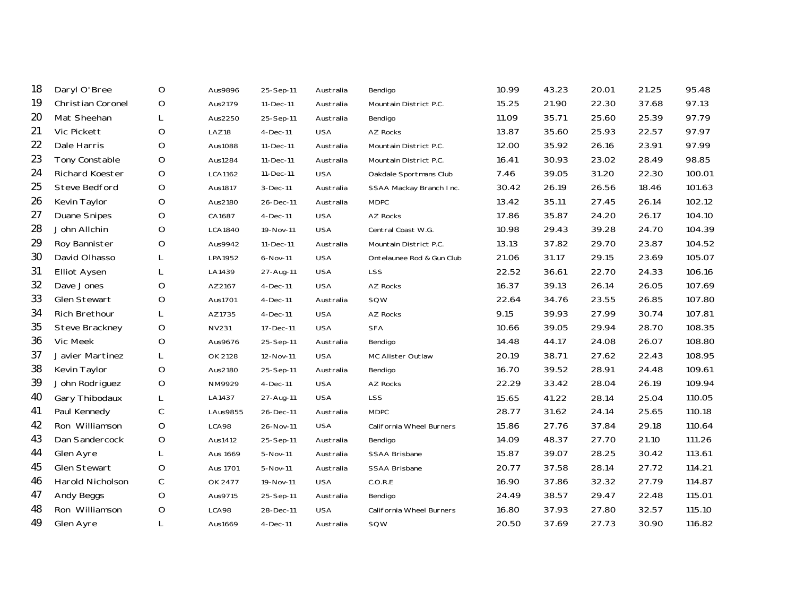| 18 | Daryl O'Bree         | O           | Aus9896        | 25-Sep-11  | Australia  | Bendigo                   | 10.99 | 43.23 | 20.01 | 21.25 | 95.48  |
|----|----------------------|-------------|----------------|------------|------------|---------------------------|-------|-------|-------|-------|--------|
| 19 | Christian Coronel    | O           | Aus2179        | 11-Dec-11  | Australia  | Mountain District P.C.    | 15.25 | 21.90 | 22.30 | 37.68 | 97.13  |
| 20 | Mat Sheehan          | L           | Aus2250        | 25-Sep-11  | Australia  | Bendigo                   | 11.09 | 35.71 | 25.60 | 25.39 | 97.79  |
| 21 | <b>Vic Pickett</b>   | O           | LAZ18          | $4-Dec-11$ | <b>USA</b> | AZ Rocks                  | 13.87 | 35.60 | 25.93 | 22.57 | 97.97  |
| 22 | Dale Harris          | $\mathsf O$ | Aus1088        | 11-Dec-11  | Australia  | Mountain District P.C.    | 12.00 | 35.92 | 26.16 | 23.91 | 97.99  |
| 23 | Tony Constable       | $\mathsf O$ | Aus1284        | 11-Dec-11  | Australia  | Mountain District P.C.    | 16.41 | 30.93 | 23.02 | 28.49 | 98.85  |
| 24 | Richard Koester      | O           | LCA1162        | 11-Dec-11  | <b>USA</b> | Oakdale Sportmans Club    | 7.46  | 39.05 | 31.20 | 22.30 | 100.01 |
| 25 | <b>Steve Bedford</b> | $\mathsf O$ | Aus1817        | 3-Dec-11   | Australia  | SSAA Mackay Branch Inc.   | 30.42 | 26.19 | 26.56 | 18.46 | 101.63 |
| 26 | Kevin Taylor         | O           | Aus2180        | 26-Dec-11  | Australia  | <b>MDPC</b>               | 13.42 | 35.11 | 27.45 | 26.14 | 102.12 |
| 27 | <b>Duane Snipes</b>  | O           | CA1687         | $4-Dec-11$ | <b>USA</b> | AZ Rocks                  | 17.86 | 35.87 | 24.20 | 26.17 | 104.10 |
| 28 | John Allchin         | $\mathsf O$ | <b>LCA1840</b> | 19-Nov-11  | <b>USA</b> | Central Coast W.G.        | 10.98 | 29.43 | 39.28 | 24.70 | 104.39 |
| 29 | Roy Bannister        | O           | Aus9942        | 11-Dec-11  | Australia  | Mountain District P.C.    | 13.13 | 37.82 | 29.70 | 23.87 | 104.52 |
| 30 | David Olhasso        | L           | LPA1952        | 6-Nov-11   | <b>USA</b> | Ontelaunee Rod & Gun Club | 21.06 | 31.17 | 29.15 | 23.69 | 105.07 |
| 31 | <b>Elliot Aysen</b>  | L           | LA1439         | 27-Aug-11  | <b>USA</b> | LSS                       | 22.52 | 36.61 | 22.70 | 24.33 | 106.16 |
| 32 | Dave Jones           | $\mathsf O$ | AZ2167         | 4-Dec-11   | <b>USA</b> | AZ Rocks                  | 16.37 | 39.13 | 26.14 | 26.05 | 107.69 |
| 33 | Glen Stewart         | O           | Aus1701        | $4-Dec-11$ | Australia  | SQW                       | 22.64 | 34.76 | 23.55 | 26.85 | 107.80 |
| 34 | <b>Rich Brethour</b> | L           | AZ1735         | $4-Dec-11$ | <b>USA</b> | AZ Rocks                  | 9.15  | 39.93 | 27.99 | 30.74 | 107.81 |
| 35 | Steve Brackney       | $\mathsf O$ | <b>NV231</b>   | 17-Dec-11  | <b>USA</b> | <b>SFA</b>                | 10.66 | 39.05 | 29.94 | 28.70 | 108.35 |
| 36 | Vic Meek             | $\mathsf O$ | Aus9676        | 25-Sep-11  | Australia  | Bendigo                   | 14.48 | 44.17 | 24.08 | 26.07 | 108.80 |
| 37 | Javier Martinez      | L           | OK 2128        | 12-Nov-11  | <b>USA</b> | MC Alister Outlaw         | 20.19 | 38.71 | 27.62 | 22.43 | 108.95 |
| 38 | Kevin Taylor         | $\mathsf O$ | Aus2180        | 25-Sep-11  | Australia  | Bendigo                   | 16.70 | 39.52 | 28.91 | 24.48 | 109.61 |
| 39 | John Rodriguez       | O           | NM9929         | $4-Dec-11$ | <b>USA</b> | AZ Rocks                  | 22.29 | 33.42 | 28.04 | 26.19 | 109.94 |
| 40 | Gary Thibodaux       | L           | LA1437         | 27-Aug-11  | <b>USA</b> | <b>LSS</b>                | 15.65 | 41.22 | 28.14 | 25.04 | 110.05 |
| 41 | Paul Kennedy         | $\mathsf C$ | LAus9855       | 26-Dec-11  | Australia  | <b>MDPC</b>               | 28.77 | 31.62 | 24.14 | 25.65 | 110.18 |
| 42 | Ron Williamson       | $\mathsf O$ | LCA98          | 26-Nov-11  | <b>USA</b> | California Wheel Burners  | 15.86 | 27.76 | 37.84 | 29.18 | 110.64 |
| 43 | Dan Sandercock       | O           | Aus1412        | 25-Sep-11  | Australia  | Bendigo                   | 14.09 | 48.37 | 27.70 | 21.10 | 111.26 |
| 44 | Glen Ayre            | L           | Aus 1669       | 5-Nov-11   | Australia  | SSAA Brisbane             | 15.87 | 39.07 | 28.25 | 30.42 | 113.61 |
| 45 | Glen Stewart         | O           | Aus 1701       | 5-Nov-11   | Australia  | <b>SSAA Brisbane</b>      | 20.77 | 37.58 | 28.14 | 27.72 | 114.21 |
| 46 | Harold Nicholson     | C           | OK 2477        | 19-Nov-11  | <b>USA</b> | C.O.R.E                   | 16.90 | 37.86 | 32.32 | 27.79 | 114.87 |
| 47 | Andy Beggs           | $\mathsf O$ | Aus9715        | 25-Sep-11  | Australia  | Bendigo                   | 24.49 | 38.57 | 29.47 | 22.48 | 115.01 |
| 48 | Ron Williamson       | $\mathsf O$ | LCA98          | 28-Dec-11  | <b>USA</b> | California Wheel Burners  | 16.80 | 37.93 | 27.80 | 32.57 | 115.10 |
| 49 | Glen Ayre            | L           | Aus1669        | 4-Dec-11   | Australia  | SQW                       | 20.50 | 37.69 | 27.73 | 30.90 | 116.82 |
|    |                      |             |                |            |            |                           |       |       |       |       |        |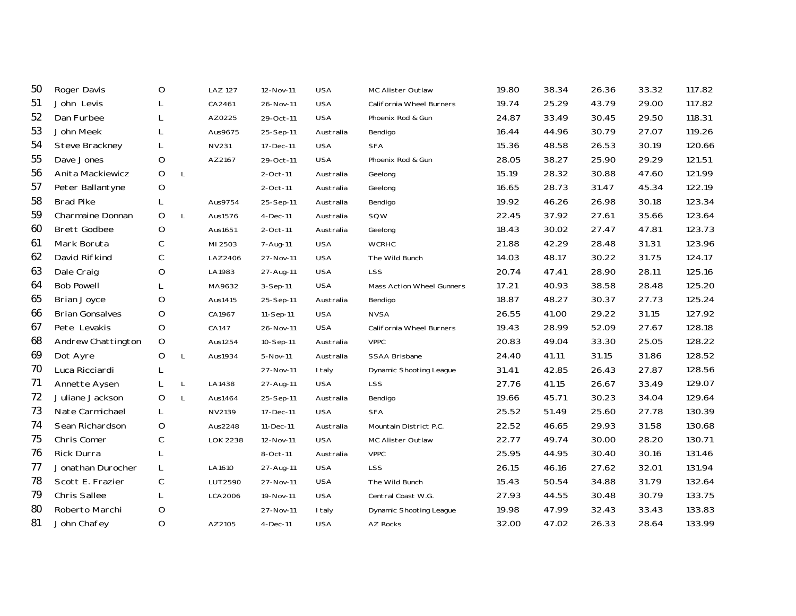| 50 | Roger Davis            | O           |              | <b>LAZ 127</b>  | 12-Nov-11   | <b>USA</b>    | MC Alister Outlaw         | 19.80 | 38.34 | 26.36 | 33.32 | 117.82 |
|----|------------------------|-------------|--------------|-----------------|-------------|---------------|---------------------------|-------|-------|-------|-------|--------|
| 51 | John Levis             | L           |              | CA2461          | 26-Nov-11   | <b>USA</b>    | California Wheel Burners  | 19.74 | 25.29 | 43.79 | 29.00 | 117.82 |
| 52 | Dan Furbee             | L           |              | AZ0225          | 29-Oct-11   | <b>USA</b>    | Phoenix Rod & Gun         | 24.87 | 33.49 | 30.45 | 29.50 | 118.31 |
| 53 | John Meek              | L           |              | Aus9675         | 25-Sep-11   | Australia     | Bendigo                   | 16.44 | 44.96 | 30.79 | 27.07 | 119.26 |
| 54 | Steve Brackney         | L           |              | <b>NV231</b>    | 17-Dec-11   | <b>USA</b>    | <b>SFA</b>                | 15.36 | 48.58 | 26.53 | 30.19 | 120.66 |
| 55 | Dave Jones             | O           |              | AZ2167          | 29-Oct-11   | <b>USA</b>    | Phoenix Rod & Gun         | 28.05 | 38.27 | 25.90 | 29.29 | 121.51 |
| 56 | Anita Mackiewicz       | O           | $\mathsf{L}$ |                 | 2-Oct-11    | Australia     | Geelong                   | 15.19 | 28.32 | 30.88 | 47.60 | 121.99 |
| 57 | Peter Ballantyne       | $\mathsf O$ |              |                 | $2$ -Oct-11 | Australia     | Geelong                   | 16.65 | 28.73 | 31.47 | 45.34 | 122.19 |
| 58 | <b>Brad Pike</b>       | L           |              | Aus9754         | 25-Sep-11   | Australia     | Bendigo                   | 19.92 | 46.26 | 26.98 | 30.18 | 123.34 |
| 59 | Charmaine Donnan       | O           | L            | Aus1576         | 4-Dec-11    | Australia     | SQW                       | 22.45 | 37.92 | 27.61 | 35.66 | 123.64 |
| 60 | <b>Brett Godbee</b>    | $\mathsf O$ |              | Aus1651         | 2-Oct-11    | Australia     | Geelong                   | 18.43 | 30.02 | 27.47 | 47.81 | 123.73 |
| 61 | Mark Boruta            | $\mathsf C$ |              | MI 2503         | 7-Aug-11    | <b>USA</b>    | <b>WCRHC</b>              | 21.88 | 42.29 | 28.48 | 31.31 | 123.96 |
| 62 | David Rifkind          | $\mathsf C$ |              | LAZ2406         | 27-Nov-11   | <b>USA</b>    | The Wild Bunch            | 14.03 | 48.17 | 30.22 | 31.75 | 124.17 |
| 63 | Dale Craig             | O           |              | LA1983          | 27-Aug-11   | <b>USA</b>    | <b>LSS</b>                | 20.74 | 47.41 | 28.90 | 28.11 | 125.16 |
| 64 | <b>Bob Powell</b>      | L           |              | MA9632          | 3-Sep-11    | <b>USA</b>    | Mass Action Wheel Gunners | 17.21 | 40.93 | 38.58 | 28.48 | 125.20 |
| 65 | <b>Brian Joyce</b>     | O           |              | Aus1415         | 25-Sep-11   | Australia     | Bendigo                   | 18.87 | 48.27 | 30.37 | 27.73 | 125.24 |
| 66 | <b>Brian Gonsalves</b> | O           |              | CA1967          | 11-Sep-11   | <b>USA</b>    | <b>NVSA</b>               | 26.55 | 41.00 | 29.22 | 31.15 | 127.92 |
| 67 | Pete Levakis           | $\mathsf O$ |              | CA147           | 26-Nov-11   | <b>USA</b>    | California Wheel Burners  | 19.43 | 28.99 | 52.09 | 27.67 | 128.18 |
| 68 | Andrew Chattington     | $\mathsf O$ |              | Aus1254         | 10-Sep-11   | Australia     | <b>VPPC</b>               | 20.83 | 49.04 | 33.30 | 25.05 | 128.22 |
| 69 | Dot Ayre               | $\mathsf O$ | L            | Aus1934         | 5-Nov-11    | Australia     | <b>SSAA Brisbane</b>      | 24.40 | 41.11 | 31.15 | 31.86 | 128.52 |
| 70 | Luca Ricciardi         | L           |              |                 | 27-Nov-11   | I taly        | Dynamic Shooting League   | 31.41 | 42.85 | 26.43 | 27.87 | 128.56 |
| 71 | Annette Aysen          | L           | L            | LA1438          | 27-Aug-11   | <b>USA</b>    | <b>LSS</b>                | 27.76 | 41.15 | 26.67 | 33.49 | 129.07 |
| 72 | Juliane Jackson        | O           | L            | Aus1464         | 25-Sep-11   | Australia     | Bendigo                   | 19.66 | 45.71 | 30.23 | 34.04 | 129.64 |
| 73 | Nate Carmichael        | L           |              | NV2139          | 17-Dec-11   | <b>USA</b>    | <b>SFA</b>                | 25.52 | 51.49 | 25.60 | 27.78 | 130.39 |
| 74 | Sean Richardson        | $\circ$     |              | Aus2248         | 11-Dec-11   | Australia     | Mountain District P.C.    | 22.52 | 46.65 | 29.93 | 31.58 | 130.68 |
| 75 | Chris Comer            | C           |              | <b>LOK 2238</b> | 12-Nov-11   | <b>USA</b>    | MC Alister Outlaw         | 22.77 | 49.74 | 30.00 | 28.20 | 130.71 |
| 76 | Rick Durra             | L           |              |                 | 8-Oct-11    | Australia     | <b>VPPC</b>               | 25.95 | 44.95 | 30.40 | 30.16 | 131.46 |
| 77 | Jonathan Durocher      | L           |              | LA1610          | 27-Aug-11   | <b>USA</b>    | <b>LSS</b>                | 26.15 | 46.16 | 27.62 | 32.01 | 131.94 |
| 78 | Scott E. Frazier       | $\mathsf C$ |              | LUT2590         | 27-Nov-11   | <b>USA</b>    | The Wild Bunch            | 15.43 | 50.54 | 34.88 | 31.79 | 132.64 |
| 79 | <b>Chris Sallee</b>    | L           |              | LCA2006         | 19-Nov-11   | <b>USA</b>    | Central Coast W.G.        | 27.93 | 44.55 | 30.48 | 30.79 | 133.75 |
| 80 | Roberto Marchi         | O           |              |                 | 27-Nov-11   | <b>I</b> taly | Dynamic Shooting League   | 19.98 | 47.99 | 32.43 | 33.43 | 133.83 |
| 81 | John Chafey            | $\circ$     |              | AZ2105          | 4-Dec-11    | <b>USA</b>    | AZ Rocks                  | 32.00 | 47.02 | 26.33 | 28.64 | 133.99 |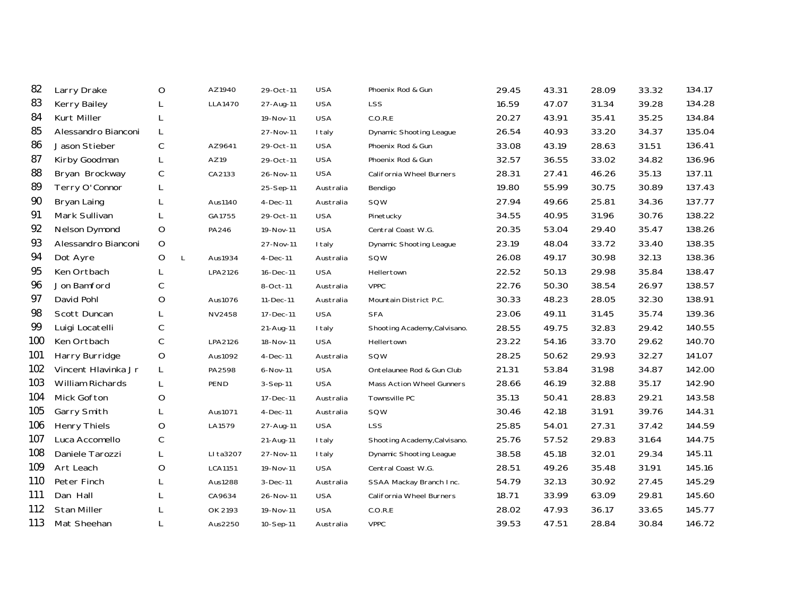| 82  | Larry Drake         | O       | AZ1940                  | 29-Oct-11  | <b>USA</b>    | Phoenix Rod & Gun              | 29.45 | 43.31 | 28.09 | 33.32 | 134.17 |
|-----|---------------------|---------|-------------------------|------------|---------------|--------------------------------|-------|-------|-------|-------|--------|
| 83  | <b>Kerry Bailey</b> |         | <b>LLA1470</b>          | 27-Aug-11  | <b>USA</b>    | <b>LSS</b>                     | 16.59 | 47.07 | 31.34 | 39.28 | 134.28 |
| 84  | Kurt Miller         |         |                         | 19-Nov-11  | <b>USA</b>    | C.O.R.E                        | 20.27 | 43.91 | 35.41 | 35.25 | 134.84 |
| 85  | Alessandro Bianconi | L       |                         | 27-Nov-11  | <b>I</b> taly | <b>Dynamic Shooting League</b> | 26.54 | 40.93 | 33.20 | 34.37 | 135.04 |
| 86  | Jason Stieber       | C       | AZ9641                  | 29-Oct-11  | <b>USA</b>    | Phoenix Rod & Gun              | 33.08 | 43.19 | 28.63 | 31.51 | 136.41 |
| 87  | Kirby Goodman       | L       | AZ19                    | 29-Oct-11  | <b>USA</b>    | Phoenix Rod & Gun              | 32.57 | 36.55 | 33.02 | 34.82 | 136.96 |
| 88  | Bryan Brockway      | C       | CA2133                  | 26-Nov-11  | <b>USA</b>    | California Wheel Burners       | 28.31 | 27.41 | 46.26 | 35.13 | 137.11 |
| 89  | Terry O'Connor      | L       |                         | 25-Sep-11  | Australia     | Bendigo                        | 19.80 | 55.99 | 30.75 | 30.89 | 137.43 |
| 90  | Bryan Laing         | L       | Aus1140                 | 4-Dec-11   | Australia     | SQW                            | 27.94 | 49.66 | 25.81 | 34.36 | 137.77 |
| 91  | Mark Sullivan       | L       | GA1755                  | 29-Oct-11  | <b>USA</b>    | Pinetucky                      | 34.55 | 40.95 | 31.96 | 30.76 | 138.22 |
| 92  | Nelson Dymond       | O       | PA246                   | 19-Nov-11  | <b>USA</b>    | Central Coast W.G.             | 20.35 | 53.04 | 29.40 | 35.47 | 138.26 |
| 93  | Alessandro Bianconi | $\circ$ |                         | 27-Nov-11  | I taly        | <b>Dynamic Shooting League</b> | 23.19 | 48.04 | 33.72 | 33.40 | 138.35 |
| 94  | Dot Ayre            | O       | $\mathsf{L}$<br>Aus1934 | $4-Dec-11$ | Australia     | SQW                            | 26.08 | 49.17 | 30.98 | 32.13 | 138.36 |
| 95  | Ken Ortbach         | L       | LPA2126                 | 16-Dec-11  | <b>USA</b>    | Hellertown                     | 22.52 | 50.13 | 29.98 | 35.84 | 138.47 |
| 96  | Jon Bamford         | C       |                         | 8-Oct-11   | Australia     | <b>VPPC</b>                    | 22.76 | 50.30 | 38.54 | 26.97 | 138.57 |
| 97  | David Pohl          | O       | Aus1076                 | 11-Dec-11  | Australia     | Mountain District P.C.         | 30.33 | 48.23 | 28.05 | 32.30 | 138.91 |
| 98  | Scott Duncan        | L       | <b>NV2458</b>           | 17-Dec-11  | <b>USA</b>    | <b>SFA</b>                     | 23.06 | 49.11 | 31.45 | 35.74 | 139.36 |
| 99  | Luigi Locatelli     | C       |                         | 21-Aug-11  | I taly        | Shooting Academy, Calvisano.   | 28.55 | 49.75 | 32.83 | 29.42 | 140.55 |
| 100 | Ken Ortbach         | С       | LPA2126                 | 18-Nov-11  | <b>USA</b>    | Hellertown                     | 23.22 | 54.16 | 33.70 | 29.62 | 140.70 |
| 101 | Harry Burridge      | O       | Aus1092                 | 4-Dec-11   | Australia     | SQW                            | 28.25 | 50.62 | 29.93 | 32.27 | 141.07 |
| 102 | Vincent Hlavinka Jr | L       | PA2598                  | 6-Nov-11   | <b>USA</b>    | Ontelaunee Rod & Gun Club      | 21.31 | 53.84 | 31.98 | 34.87 | 142.00 |
| 103 | William Richards    | L       | PEND                    | 3-Sep-11   | <b>USA</b>    | Mass Action Wheel Gunners      | 28.66 | 46.19 | 32.88 | 35.17 | 142.90 |
| 104 | Mick Gofton         | O       |                         | 17-Dec-11  | Australia     | Townsville PC                  | 35.13 | 50.41 | 28.83 | 29.21 | 143.58 |
| 105 | Garry Smith         | L       | Aus1071                 | $4-Dec-11$ | Australia     | SQW                            | 30.46 | 42.18 | 31.91 | 39.76 | 144.31 |
| 106 | <b>Henry Thiels</b> | O       | LA1579                  | 27-Aug-11  | <b>USA</b>    | <b>LSS</b>                     | 25.85 | 54.01 | 27.31 | 37.42 | 144.59 |
| 107 | Luca Accomello      | C       |                         | 21-Aug-11  | I taly        | Shooting Academy, Calvisano.   | 25.76 | 57.52 | 29.83 | 31.64 | 144.75 |
| 108 | Daniele Tarozzi     | L       | LI ta3207               | 27-Nov-11  | <b>I</b> taly | <b>Dynamic Shooting League</b> | 38.58 | 45.18 | 32.01 | 29.34 | 145.11 |
| 109 | Art Leach           | O       | <b>LCA1151</b>          | 19-Nov-11  | <b>USA</b>    | Central Coast W.G.             | 28.51 | 49.26 | 35.48 | 31.91 | 145.16 |
| 110 | Peter Finch         |         | Aus1288                 | $3-Dec-11$ | Australia     | SSAA Mackay Branch Inc.        | 54.79 | 32.13 | 30.92 | 27.45 | 145.29 |
| 111 | Dan Hall            | L       | CA9634                  | 26-Nov-11  | <b>USA</b>    | California Wheel Burners       | 18.71 | 33.99 | 63.09 | 29.81 | 145.60 |
| 112 | <b>Stan Miller</b>  |         | OK 2193                 | 19-Nov-11  | <b>USA</b>    | C.O.R.E                        | 28.02 | 47.93 | 36.17 | 33.65 | 145.77 |
| 113 | Mat Sheehan         | L       | Aus2250                 | 10-Sep-11  | Australia     | <b>VPPC</b>                    | 39.53 | 47.51 | 28.84 | 30.84 | 146.72 |
|     |                     |         |                         |            |               |                                |       |       |       |       |        |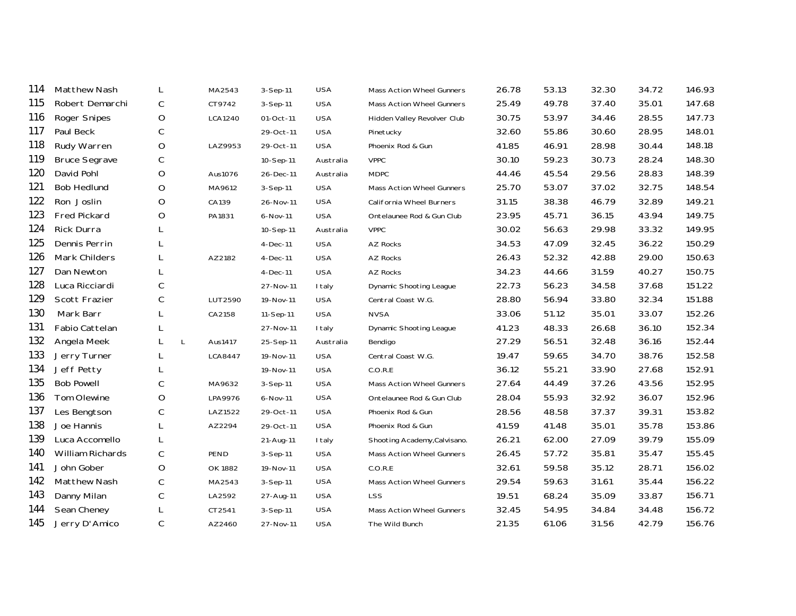| 114 | Matthew Nash         | L                 | MA2543  | 3-Sep-11       | <b>USA</b> | Mass Action Wheel Gunners    | 26.78 | 53.13 | 32.30 | 34.72 | 146.93 |
|-----|----------------------|-------------------|---------|----------------|------------|------------------------------|-------|-------|-------|-------|--------|
| 115 | Robert Demarchi      | C                 | CT9742  | $3-Sep-11$     | <b>USA</b> | Mass Action Wheel Gunners    | 25.49 | 49.78 | 37.40 | 35.01 | 147.68 |
| 116 | Roger Snipes         | O                 | LCA1240 | 01-Oct-11      | <b>USA</b> | Hidden Valley Revolver Club  | 30.75 | 53.97 | 34.46 | 28.55 | 147.73 |
| 117 | Paul Beck            | С                 |         | 29-Oct-11      | <b>USA</b> | Pinetucky                    | 32.60 | 55.86 | 30.60 | 28.95 | 148.01 |
| 118 | Rudy Warren          | O                 | LAZ9953 | 29-Oct-11      | <b>USA</b> | Phoenix Rod & Gun            | 41.85 | 46.91 | 28.98 | 30.44 | 148.18 |
| 119 | <b>Bruce Segrave</b> | $\mathsf C$       |         | 10-Sep-11      | Australia  | <b>VPPC</b>                  | 30.10 | 59.23 | 30.73 | 28.24 | 148.30 |
| 120 | David Pohl           | O                 | Aus1076 | 26-Dec-11      | Australia  | <b>MDPC</b>                  | 44.46 | 45.54 | 29.56 | 28.83 | 148.39 |
| 121 | <b>Bob Hedlund</b>   | O                 | MA9612  | 3-Sep-11       | <b>USA</b> | Mass Action Wheel Gunners    | 25.70 | 53.07 | 37.02 | 32.75 | 148.54 |
| 122 | Ron Joslin           | O                 | CA139   | 26-Nov-11      | <b>USA</b> | California Wheel Burners     | 31.15 | 38.38 | 46.79 | 32.89 | 149.21 |
| 123 | <b>Fred Pickard</b>  | $\circ$           | PA1831  | 6-Nov-11       | <b>USA</b> | Ontelaunee Rod & Gun Club    | 23.95 | 45.71 | 36.15 | 43.94 | 149.75 |
| 124 | <b>Rick Durra</b>    |                   |         | 10-Sep-11      | Australia  | <b>VPPC</b>                  | 30.02 | 56.63 | 29.98 | 33.32 | 149.95 |
| 125 | Dennis Perrin        | L                 |         | 4-Dec-11       | <b>USA</b> | AZ Rocks                     | 34.53 | 47.09 | 32.45 | 36.22 | 150.29 |
| 126 | Mark Childers        | L                 | AZ2182  | $4-Dec-11$     | <b>USA</b> | <b>AZ Rocks</b>              | 26.43 | 52.32 | 42.88 | 29.00 | 150.63 |
| 127 | Dan Newton           | L                 |         | $4-Dec-11$     | <b>USA</b> | <b>AZ Rocks</b>              | 34.23 | 44.66 | 31.59 | 40.27 | 150.75 |
| 128 | Luca Ricciardi       | $\mathsf C$       |         | 27-Nov-11      | I taly     | Dynamic Shooting League      | 22.73 | 56.23 | 34.58 | 37.68 | 151.22 |
| 129 | Scott Frazier        | $\mathsf C$       | LUT2590 | 19-Nov-11      | <b>USA</b> | Central Coast W.G.           | 28.80 | 56.94 | 33.80 | 32.34 | 151.88 |
| 130 | Mark Barr            | L                 | CA2158  | 11-Sep-11      | <b>USA</b> | <b>NVSA</b>                  | 33.06 | 51.12 | 35.01 | 33.07 | 152.26 |
| 131 | Fabio Cattelan       | L                 |         | 27-Nov-11      | I taly     | Dynamic Shooting League      | 41.23 | 48.33 | 26.68 | 36.10 | 152.34 |
| 132 | Angela Meek          | L<br>$\mathsf{L}$ | Aus1417 | 25-Sep-11      | Australia  | Bendigo                      | 27.29 | 56.51 | 32.48 | 36.16 | 152.44 |
| 133 | Jerry Turner         | L                 | LCA8447 | 19-Nov-11      | <b>USA</b> | Central Coast W.G.           | 19.47 | 59.65 | 34.70 | 38.76 | 152.58 |
| 134 | Jeff Petty           | L                 |         | 19-Nov-11      | <b>USA</b> | C.O.R.E                      | 36.12 | 55.21 | 33.90 | 27.68 | 152.91 |
| 135 | <b>Bob Powell</b>    | С                 | MA9632  | 3-Sep-11       | <b>USA</b> | Mass Action Wheel Gunners    | 27.64 | 44.49 | 37.26 | 43.56 | 152.95 |
| 136 | Tom Olewine          | O                 | LPA9976 | 6-Nov-11       | <b>USA</b> | Ontelaunee Rod & Gun Club    | 28.04 | 55.93 | 32.92 | 36.07 | 152.96 |
| 137 | Les Bengtson         | $\mathsf C$       | LAZ1522 | 29-Oct-11      | <b>USA</b> | Phoenix Rod & Gun            | 28.56 | 48.58 | 37.37 | 39.31 | 153.82 |
| 138 | Joe Hannis           | L                 | AZ2294  | 29-Oct-11      | <b>USA</b> | Phoenix Rod & Gun            | 41.59 | 41.48 | 35.01 | 35.78 | 153.86 |
| 139 | Luca Accomello       | L                 |         | 21-Aug-11      | I taly     | Shooting Academy, Calvisano. | 26.21 | 62.00 | 27.09 | 39.79 | 155.09 |
| 140 | William Richards     | C                 | PEND    | 3-Sep-11       | <b>USA</b> | Mass Action Wheel Gunners    | 26.45 | 57.72 | 35.81 | 35.47 | 155.45 |
| 141 | John Gober           | O                 | OK 1882 | 19-Nov-11      | <b>USA</b> | C.O.R.E                      | 32.61 | 59.58 | 35.12 | 28.71 | 156.02 |
| 142 | Matthew Nash         | С                 | MA2543  | $3-$ Sep $-11$ | <b>USA</b> | Mass Action Wheel Gunners    | 29.54 | 59.63 | 31.61 | 35.44 | 156.22 |
| 143 | Danny Milan          | $\mathsf C$       | LA2592  | 27-Aug-11      | <b>USA</b> | <b>LSS</b>                   | 19.51 | 68.24 | 35.09 | 33.87 | 156.71 |
| 144 | Sean Cheney          | L                 | CT2541  | 3-Sep-11       | <b>USA</b> | Mass Action Wheel Gunners    | 32.45 | 54.95 | 34.84 | 34.48 | 156.72 |
| 145 | Jerry D'Amico        | C                 | AZ2460  | 27-Nov-11      | <b>USA</b> | The Wild Bunch               | 21.35 | 61.06 | 31.56 | 42.79 | 156.76 |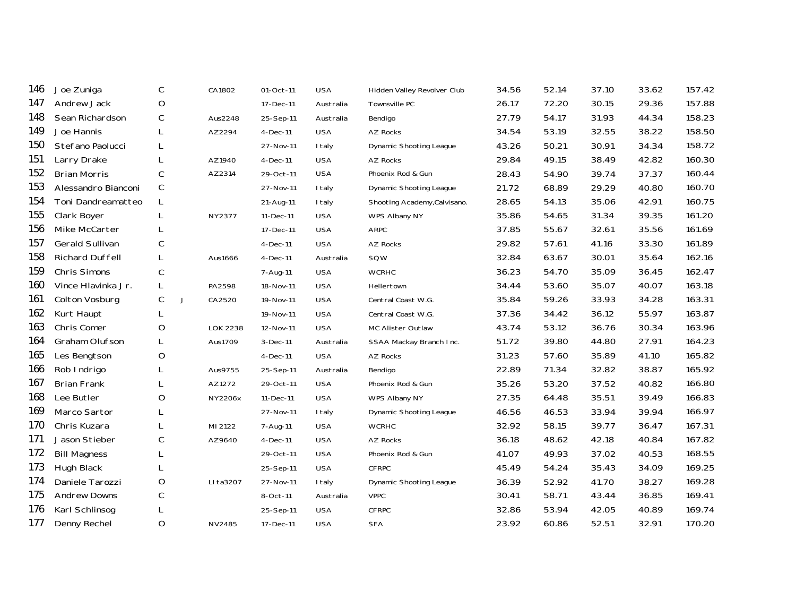| Joe Zuniga             | С           |   | CA1802          | 01-Oct-11  | <b>USA</b>    | Hidden Valley Revolver Club    | 34.56 | 52.14 | 37.10 | 33.62 | 157.42 |
|------------------------|-------------|---|-----------------|------------|---------------|--------------------------------|-------|-------|-------|-------|--------|
| Andrew Jack            | O           |   |                 | 17-Dec-11  | Australia     | Townsville PC                  | 26.17 | 72.20 | 30.15 | 29.36 | 157.88 |
| Sean Richardson        | C           |   | Aus2248         | 25-Sep-11  | Australia     | Bendigo                        | 27.79 | 54.17 | 31.93 | 44.34 | 158.23 |
| Joe Hannis             | L           |   | AZ2294          | 4-Dec-11   | <b>USA</b>    | <b>AZ Rocks</b>                | 34.54 | 53.19 | 32.55 | 38.22 | 158.50 |
| Stefano Paolucci       | L           |   |                 | 27-Nov-11  | <b>I</b> taly | Dynamic Shooting League        | 43.26 | 50.21 | 30.91 | 34.34 | 158.72 |
| Larry Drake            | L           |   | AZ1940          | $4-Dec-11$ | <b>USA</b>    | AZ Rocks                       | 29.84 | 49.15 | 38.49 | 42.82 | 160.30 |
| <b>Brian Morris</b>    | $\mathsf C$ |   | AZ2314          | 29-Oct-11  | <b>USA</b>    | Phoenix Rod & Gun              | 28.43 | 54.90 | 39.74 | 37.37 | 160.44 |
| Alessandro Bianconi    | $\mathsf C$ |   |                 | 27-Nov-11  | I taly        | <b>Dynamic Shooting League</b> | 21.72 | 68.89 | 29.29 | 40.80 | 160.70 |
| Toni Dandreamatteo     | L           |   |                 | 21-Aug-11  | I taly        | Shooting Academy, Calvisano.   | 28.65 | 54.13 | 35.06 | 42.91 | 160.75 |
| Clark Boyer            | L           |   | NY2377          | 11-Dec-11  | <b>USA</b>    | WPS Albany NY                  | 35.86 | 54.65 | 31.34 | 39.35 | 161.20 |
| Mike McCarter          | L           |   |                 | 17-Dec-11  | <b>USA</b>    | ARPC                           | 37.85 | 55.67 | 32.61 | 35.56 | 161.69 |
| Gerald Sullivan        | C           |   |                 | $4-Dec-11$ | <b>USA</b>    | <b>AZ Rocks</b>                | 29.82 | 57.61 | 41.16 | 33.30 | 161.89 |
| <b>Richard Duffell</b> | L           |   | Aus1666         | $4-Dec-11$ | Australia     | SQW                            | 32.84 | 63.67 | 30.01 | 35.64 | 162.16 |
| Chris Simons           | $\mathsf C$ |   |                 | 7-Aug-11   | <b>USA</b>    | <b>WCRHC</b>                   | 36.23 | 54.70 | 35.09 | 36.45 | 162.47 |
| Vince Hlavinka Jr.     | L           |   | PA2598          | 18-Nov-11  | <b>USA</b>    | Hellertown                     | 34.44 | 53.60 | 35.07 | 40.07 | 163.18 |
| Colton Vosburg         | С           | J | CA2520          | 19-Nov-11  | <b>USA</b>    | Central Coast W.G.             | 35.84 | 59.26 | 33.93 | 34.28 | 163.31 |
| Kurt Haupt             | L           |   |                 | 19-Nov-11  | <b>USA</b>    | Central Coast W.G.             | 37.36 | 34.42 | 36.12 | 55.97 | 163.87 |
| Chris Comer            | O           |   | <b>LOK 2238</b> | 12-Nov-11  | <b>USA</b>    | MC Alister Outlaw              | 43.74 | 53.12 | 36.76 | 30.34 | 163.96 |
| Graham Olufson         | L           |   | Aus1709         | 3-Dec-11   | Australia     | SSAA Mackay Branch Inc.        | 51.72 | 39.80 | 44.80 | 27.91 | 164.23 |
| Les Bengtson           | O           |   |                 | $4-Dec-11$ | <b>USA</b>    | AZ Rocks                       | 31.23 | 57.60 | 35.89 | 41.10 | 165.82 |
| Rob Indrigo            | L           |   | Aus9755         | 25-Sep-11  | Australia     | Bendigo                        | 22.89 | 71.34 | 32.82 | 38.87 | 165.92 |
| <b>Brian Frank</b>     | L           |   | AZ1272          | 29-Oct-11  | <b>USA</b>    | Phoenix Rod & Gun              | 35.26 | 53.20 | 37.52 | 40.82 | 166.80 |
| Lee Butler             | O           |   | NY2206x         | 11-Dec-11  | <b>USA</b>    | WPS Albany NY                  | 27.35 | 64.48 | 35.51 | 39.49 | 166.83 |
| Marco Sartor           | L           |   |                 | 27-Nov-11  | I taly        | Dynamic Shooting League        | 46.56 | 46.53 | 33.94 | 39.94 | 166.97 |
| Chris Kuzara           | L           |   | MI 2122         | 7-Aug-11   | <b>USA</b>    | <b>WCRHC</b>                   | 32.92 | 58.15 | 39.77 | 36.47 | 167.31 |
| Jason Stieber          | C           |   | AZ9640          | $4-Dec-11$ | <b>USA</b>    | AZ Rocks                       | 36.18 | 48.62 | 42.18 | 40.84 | 167.82 |
| <b>Bill Magness</b>    | L           |   |                 | 29-Oct-11  | <b>USA</b>    | Phoenix Rod & Gun              | 41.07 | 49.93 | 37.02 | 40.53 | 168.55 |
| Hugh Black             | L           |   |                 | 25-Sep-11  | <b>USA</b>    | <b>CFRPC</b>                   | 45.49 | 54.24 | 35.43 | 34.09 | 169.25 |
| Daniele Tarozzi        | O           |   | LI ta3207       | 27-Nov-11  | I taly        | <b>Dynamic Shooting League</b> | 36.39 | 52.92 | 41.70 | 38.27 | 169.28 |
| <b>Andrew Downs</b>    | $\mathsf C$ |   |                 | 8-Oct-11   | Australia     | <b>VPPC</b>                    | 30.41 | 58.71 | 43.44 | 36.85 | 169.41 |
| Karl Schlinsog         | L           |   |                 | 25-Sep-11  | <b>USA</b>    | CFRPC                          | 32.86 | 53.94 | 42.05 | 40.89 | 169.74 |
| Denny Rechel           | $\circ$     |   | NV2485          | 17-Dec-11  | <b>USA</b>    | <b>SFA</b>                     | 23.92 | 60.86 | 52.51 | 32.91 | 170.20 |
|                        |             |   |                 |            |               |                                |       |       |       |       |        |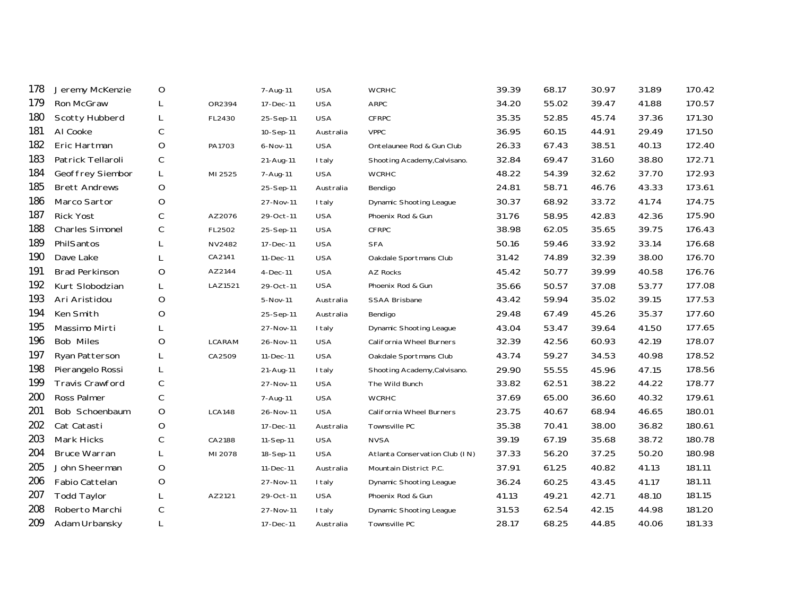| 178 | Jeremy McKenzie        | O           |               | 7-Aug-11   | <b>USA</b>    | <b>WCRHC</b>                   | 39.39 | 68.17 | 30.97 | 31.89 | 170.42 |
|-----|------------------------|-------------|---------------|------------|---------------|--------------------------------|-------|-------|-------|-------|--------|
| 179 | Ron McGraw             | L           | OR2394        | 17-Dec-11  | <b>USA</b>    | <b>ARPC</b>                    | 34.20 | 55.02 | 39.47 | 41.88 | 170.57 |
| 180 | Scotty Hubberd         | L           | FL2430        | 25-Sep-11  | <b>USA</b>    | <b>CFRPC</b>                   | 35.35 | 52.85 | 45.74 | 37.36 | 171.30 |
| 181 | Al Cooke               | С           |               | 10-Sep-11  | Australia     | <b>VPPC</b>                    | 36.95 | 60.15 | 44.91 | 29.49 | 171.50 |
| 182 | Eric Hartman           | $\circ$     | PA1703        | 6-Nov-11   | <b>USA</b>    | Ontelaunee Rod & Gun Club      | 26.33 | 67.43 | 38.51 | 40.13 | 172.40 |
| 183 | Patrick Tellaroli      | $\mathsf C$ |               | 21-Aug-11  | I taly        | Shooting Academy, Calvisano.   | 32.84 | 69.47 | 31.60 | 38.80 | 172.71 |
| 184 | Geoffrey Siembor       | L           | MI 2525       | 7-Aug-11   | <b>USA</b>    | <b>WCRHC</b>                   | 48.22 | 54.39 | 32.62 | 37.70 | 172.93 |
| 185 | <b>Brett Andrews</b>   | $\circ$     |               | 25-Sep-11  | Australia     | Bendigo                        | 24.81 | 58.71 | 46.76 | 43.33 | 173.61 |
| 186 | Marco Sartor           | O           |               | 27-Nov-11  | <b>I</b> taly | <b>Dynamic Shooting League</b> | 30.37 | 68.92 | 33.72 | 41.74 | 174.75 |
| 187 | <b>Rick Yost</b>       | C           | AZ2076        | 29-Oct-11  | <b>USA</b>    | Phoenix Rod & Gun              | 31.76 | 58.95 | 42.83 | 42.36 | 175.90 |
| 188 | <b>Charles Simonel</b> | C           | FL2502        | 25-Sep-11  | <b>USA</b>    | <b>CFRPC</b>                   | 38.98 | 62.05 | 35.65 | 39.75 | 176.43 |
| 189 | PhilSantos             | L           | NV2482        | 17-Dec-11  | <b>USA</b>    | <b>SFA</b>                     | 50.16 | 59.46 | 33.92 | 33.14 | 176.68 |
| 190 | Dave Lake              |             | CA2141        | 11-Dec-11  | <b>USA</b>    | Oakdale Sportmans Club         | 31.42 | 74.89 | 32.39 | 38.00 | 176.70 |
| 191 | <b>Brad Perkinson</b>  | O           | AZ2144        | $4-Dec-11$ | <b>USA</b>    | <b>AZ Rocks</b>                | 45.42 | 50.77 | 39.99 | 40.58 | 176.76 |
| 192 | Kurt Slobodzian        | L           | LAZ1521       | 29-Oct-11  | <b>USA</b>    | Phoenix Rod & Gun              | 35.66 | 50.57 | 37.08 | 53.77 | 177.08 |
| 193 | Ari Aristidou          | O           |               | 5-Nov-11   | Australia     | <b>SSAA Brisbane</b>           | 43.42 | 59.94 | 35.02 | 39.15 | 177.53 |
| 194 | Ken Smith              | O           |               | 25-Sep-11  | Australia     | Bendigo                        | 29.48 | 67.49 | 45.26 | 35.37 | 177.60 |
| 195 | Massimo Mirti          | L           |               | 27-Nov-11  | <b>I</b> taly | Dynamic Shooting League        | 43.04 | 53.47 | 39.64 | 41.50 | 177.65 |
| 196 | <b>Bob Miles</b>       | O           | LCARAM        | 26-Nov-11  | <b>USA</b>    | California Wheel Burners       | 32.39 | 42.56 | 60.93 | 42.19 | 178.07 |
| 197 | Ryan Patterson         | L           | CA2509        | 11-Dec-11  | <b>USA</b>    | Oakdale Sportmans Club         | 43.74 | 59.27 | 34.53 | 40.98 | 178.52 |
| 198 | Pierangelo Rossi       | L           |               | 21-Aug-11  | I taly        | Shooting Academy, Calvisano.   | 29.90 | 55.55 | 45.96 | 47.15 | 178.56 |
| 199 | <b>Travis Crawford</b> | $\mathsf C$ |               | 27-Nov-11  | <b>USA</b>    | The Wild Bunch                 | 33.82 | 62.51 | 38.22 | 44.22 | 178.77 |
| 200 | Ross Palmer            | С           |               | 7-Aug-11   | <b>USA</b>    | <b>WCRHC</b>                   | 37.69 | 65.00 | 36.60 | 40.32 | 179.61 |
| 201 | Bob Schoenbaum         | $\circ$     | <b>LCA148</b> | 26-Nov-11  | <b>USA</b>    | California Wheel Burners       | 23.75 | 40.67 | 68.94 | 46.65 | 180.01 |
| 202 | Cat Catasti            | O           |               | 17-Dec-11  | Australia     | Townsville PC                  | 35.38 | 70.41 | 38.00 | 36.82 | 180.61 |
| 203 | Mark Hicks             | C           | CA2188        | 11-Sep-11  | <b>USA</b>    | <b>NVSA</b>                    | 39.19 | 67.19 | 35.68 | 38.72 | 180.78 |
| 204 | <b>Bruce Warran</b>    | L           | MI 2078       | 18-Sep-11  | <b>USA</b>    | Atlanta Conservation Club (IN) | 37.33 | 56.20 | 37.25 | 50.20 | 180.98 |
| 205 | John Sheerman          | O           |               | 11-Dec-11  | Australia     | Mountain District P.C.         | 37.91 | 61.25 | 40.82 | 41.13 | 181.11 |
| 206 | Fabio Cattelan         | O           |               | 27-Nov-11  | I taly        | Dynamic Shooting League        | 36.24 | 60.25 | 43.45 | 41.17 | 181.11 |
| 207 | <b>Todd Taylor</b>     | L           | AZ2121        | 29-Oct-11  | <b>USA</b>    | Phoenix Rod & Gun              | 41.13 | 49.21 | 42.71 | 48.10 | 181.15 |
| 208 | Roberto Marchi         | С           |               | 27-Nov-11  | <b>I</b> taly | Dynamic Shooting League        | 31.53 | 62.54 | 42.15 | 44.98 | 181.20 |
| 209 | Adam Urbansky          | L           |               | 17-Dec-11  | Australia     | Townsville PC                  | 28.17 | 68.25 | 44.85 | 40.06 | 181.33 |
|     |                        |             |               |            |               |                                |       |       |       |       |        |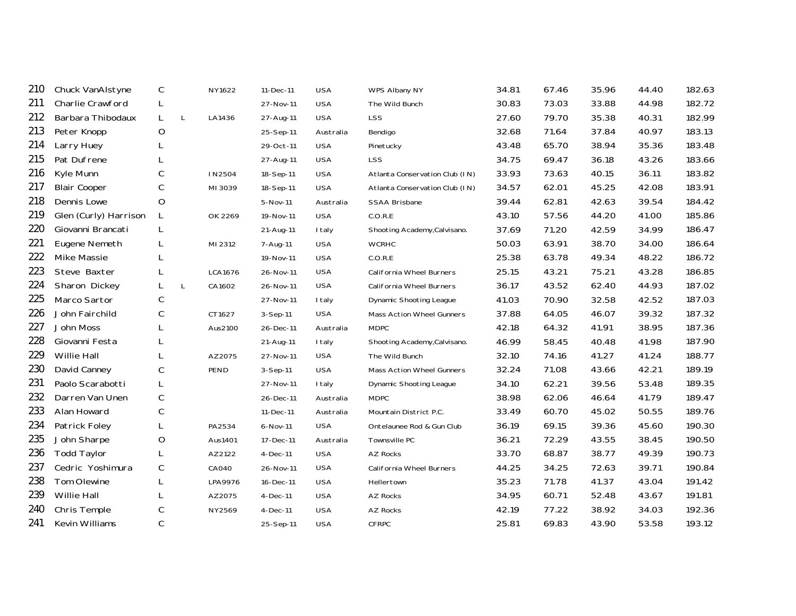| 210 | Chuck VanAlstyne      | C           |   | NY1622  | 11-Dec-11  | <b>USA</b> | WPS Albany NY                  | 34.81 | 67.46 | 35.96 | 44.40 | 182.63 |
|-----|-----------------------|-------------|---|---------|------------|------------|--------------------------------|-------|-------|-------|-------|--------|
| 211 | Charlie Crawford      | L           |   |         | 27-Nov-11  | <b>USA</b> | The Wild Bunch                 | 30.83 | 73.03 | 33.88 | 44.98 | 182.72 |
| 212 | Barbara Thibodaux     | L           | L | LA1436  | 27-Aug-11  | <b>USA</b> | LSS                            | 27.60 | 79.70 | 35.38 | 40.31 | 182.99 |
| 213 | Peter Knopp           | O           |   |         | 25-Sep-11  | Australia  | Bendigo                        | 32.68 | 71.64 | 37.84 | 40.97 | 183.13 |
| 214 | Larry Huey            |             |   |         | 29-Oct-11  | <b>USA</b> | Pinetucky                      | 43.48 | 65.70 | 38.94 | 35.36 | 183.48 |
| 215 | Pat Dufrene           |             |   |         | 27-Aug-11  | <b>USA</b> | <b>LSS</b>                     | 34.75 | 69.47 | 36.18 | 43.26 | 183.66 |
| 216 | Kyle Munn             | C           |   | IN2504  | 18-Sep-11  | <b>USA</b> | Atlanta Conservation Club (IN) | 33.93 | 73.63 | 40.15 | 36.11 | 183.82 |
| 217 | <b>Blair Cooper</b>   | C           |   | MI 3039 | 18-Sep-11  | <b>USA</b> | Atlanta Conservation Club (IN) | 34.57 | 62.01 | 45.25 | 42.08 | 183.91 |
| 218 | Dennis Lowe           | O           |   |         | 5-Nov-11   | Australia  | SSAA Brisbane                  | 39.44 | 62.81 | 42.63 | 39.54 | 184.42 |
| 219 | Glen (Curly) Harrison | L           |   | OK 2269 | 19-Nov-11  | <b>USA</b> | C.O.R.E                        | 43.10 | 57.56 | 44.20 | 41.00 | 185.86 |
| 220 | Giovanni Brancati     | L           |   |         | 21-Aug-11  | I taly     | Shooting Academy, Calvisano.   | 37.69 | 71.20 | 42.59 | 34.99 | 186.47 |
| 221 | Eugene Nemeth         | L           |   | MI 2312 | 7-Aug-11   | <b>USA</b> | <b>WCRHC</b>                   | 50.03 | 63.91 | 38.70 | 34.00 | 186.64 |
| 222 | Mike Massie           | L           |   |         | 19-Nov-11  | <b>USA</b> | C.O.R.E                        | 25.38 | 63.78 | 49.34 | 48.22 | 186.72 |
| 223 | Steve Baxter          | L           |   | LCA1676 | 26-Nov-11  | <b>USA</b> | California Wheel Burners       | 25.15 | 43.21 | 75.21 | 43.28 | 186.85 |
| 224 | Sharon Dickey         | L           | L | CA1602  | 26-Nov-11  | <b>USA</b> | California Wheel Burners       | 36.17 | 43.52 | 62.40 | 44.93 | 187.02 |
| 225 | Marco Sartor          | C           |   |         | 27-Nov-11  | I taly     | Dynamic Shooting League        | 41.03 | 70.90 | 32.58 | 42.52 | 187.03 |
| 226 | John Fairchild        | C           |   | CT1627  | $3-Sep-11$ | <b>USA</b> | Mass Action Wheel Gunners      | 37.88 | 64.05 | 46.07 | 39.32 | 187.32 |
| 227 | John Moss             | L           |   | Aus2100 | 26-Dec-11  | Australia  | <b>MDPC</b>                    | 42.18 | 64.32 | 41.91 | 38.95 | 187.36 |
| 228 | Giovanni Festa        | L           |   |         | 21-Aug-11  | I taly     | Shooting Academy, Calvisano.   | 46.99 | 58.45 | 40.48 | 41.98 | 187.90 |
| 229 | Willie Hall           | L           |   | AZ2075  | 27-Nov-11  | <b>USA</b> | The Wild Bunch                 | 32.10 | 74.16 | 41.27 | 41.24 | 188.77 |
| 230 | David Canney          | $\mathsf C$ |   | PEND    | $3-Sep-11$ | <b>USA</b> | Mass Action Wheel Gunners      | 32.24 | 71.08 | 43.66 | 42.21 | 189.19 |
| 231 | Paolo Scarabotti      | L           |   |         | 27-Nov-11  | I taly     | Dynamic Shooting League        | 34.10 | 62.21 | 39.56 | 53.48 | 189.35 |
| 232 | Darren Van Unen       | $\mathsf C$ |   |         | 26-Dec-11  | Australia  | <b>MDPC</b>                    | 38.98 | 62.06 | 46.64 | 41.79 | 189.47 |
| 233 | Alan Howard           | $\mathsf C$ |   |         | 11-Dec-11  | Australia  | Mountain District P.C.         | 33.49 | 60.70 | 45.02 | 50.55 | 189.76 |
| 234 | Patrick Foley         |             |   | PA2534  | 6-Nov-11   | <b>USA</b> | Ontelaunee Rod & Gun Club      | 36.19 | 69.15 | 39.36 | 45.60 | 190.30 |
| 235 | John Sharpe           | O           |   | Aus1401 | 17-Dec-11  | Australia  | Townsville PC                  | 36.21 | 72.29 | 43.55 | 38.45 | 190.50 |
| 236 | <b>Todd Taylor</b>    | L           |   | AZ2122  | 4-Dec-11   | <b>USA</b> | AZ Rocks                       | 33.70 | 68.87 | 38.77 | 49.39 | 190.73 |
| 237 | Cedric Yoshimura      | C           |   | CA040   | 26-Nov-11  | <b>USA</b> | California Wheel Burners       | 44.25 | 34.25 | 72.63 | 39.71 | 190.84 |
| 238 | Tom Olewine           | L           |   | LPA9976 | 16-Dec-11  | <b>USA</b> | Hellertown                     | 35.23 | 71.78 | 41.37 | 43.04 | 191.42 |
| 239 | Willie Hall           | L           |   | AZ2075  | 4-Dec-11   | <b>USA</b> | AZ Rocks                       | 34.95 | 60.71 | 52.48 | 43.67 | 191.81 |
| 240 | Chris Temple          | С           |   | NY2569  | 4-Dec-11   | <b>USA</b> | AZ Rocks                       | 42.19 | 77.22 | 38.92 | 34.03 | 192.36 |
| 241 | Kevin Williams        | $\mathsf C$ |   |         | 25-Sep-11  | <b>USA</b> | <b>CFRPC</b>                   | 25.81 | 69.83 | 43.90 | 53.58 | 193.12 |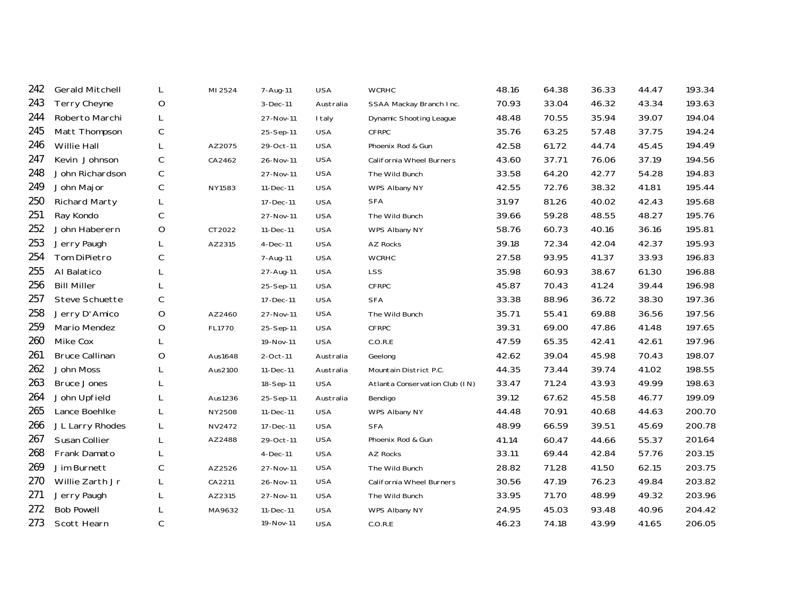| <b>Gerald Mitchell</b> | L           | MI 2524 | 7-Aug-11   | <b>USA</b> | <b>WCRHC</b>                   | 48.16 | 64.38 | 36.33 | 44.47 | 193.34 |
|------------------------|-------------|---------|------------|------------|--------------------------------|-------|-------|-------|-------|--------|
| <b>Terry Cheyne</b>    | O           |         | $3-Dec-11$ | Australia  | SSAA Mackay Branch Inc.        | 70.93 | 33.04 | 46.32 | 43.34 | 193.63 |
| Roberto Marchi         | L           |         | 27-Nov-11  | I taly     | Dynamic Shooting League        | 48.48 | 70.55 | 35.94 | 39.07 | 194.04 |
| Matt Thompson          | C           |         | 25-Sep-11  | <b>USA</b> | CFRPC                          | 35.76 | 63.25 | 57.48 | 37.75 | 194.24 |
| Willie Hall            | L           | AZ2075  | 29-Oct-11  | <b>USA</b> | Phoenix Rod & Gun              | 42.58 | 61.72 | 44.74 | 45.45 | 194.49 |
| Kevin Johnson          | $\mathsf C$ | CA2462  | 26-Nov-11  | <b>USA</b> | California Wheel Burners       | 43.60 | 37.71 | 76.06 | 37.19 | 194.56 |
| John Richardson        | С           |         | 27-Nov-11  | <b>USA</b> | The Wild Bunch                 | 33.58 | 64.20 | 42.77 | 54.28 | 194.83 |
| John Major             | C           | NY1583  | 11-Dec-11  | <b>USA</b> | WPS Albany NY                  | 42.55 | 72.76 | 38.32 | 41.81 | 195.44 |
| <b>Richard Marty</b>   | L           |         | 17-Dec-11  | <b>USA</b> | <b>SFA</b>                     | 31.97 | 81.26 | 40.02 | 42.43 | 195.68 |
| Ray Kondo              | C           |         | 27-Nov-11  | <b>USA</b> | The Wild Bunch                 | 39.66 | 59.28 | 48.55 | 48.27 | 195.76 |
| John Haberern          | O           | CT2022  | 11-Dec-11  | <b>USA</b> | WPS Albany NY                  | 58.76 | 60.73 | 40.16 | 36.16 | 195.81 |
| Jerry Paugh            | L           | AZ2315  | 4-Dec-11   | <b>USA</b> | AZ Rocks                       | 39.18 | 72.34 | 42.04 | 42.37 | 195.93 |
| Tom DiPietro           | С           |         | 7-Aug-11   | <b>USA</b> | <b>WCRHC</b>                   | 27.58 | 93.95 | 41.37 | 33.93 | 196.83 |
| Al Balatico            |             |         | 27-Aug-11  | <b>USA</b> | <b>LSS</b>                     | 35.98 | 60.93 | 38.67 | 61.30 | 196.88 |
| <b>Bill Miller</b>     | L           |         | 25-Sep-11  | <b>USA</b> | <b>CFRPC</b>                   | 45.87 | 70.43 | 41.24 | 39.44 | 196.98 |
| Steve Schuette         | С           |         | 17-Dec-11  | <b>USA</b> | <b>SFA</b>                     | 33.38 | 88.96 | 36.72 | 38.30 | 197.36 |
| Jerry D'Amico          | $\circ$     | AZ2460  | 27-Nov-11  | <b>USA</b> | The Wild Bunch                 | 35.71 | 55.41 | 69.88 | 36.56 | 197.56 |
| Mario Mendez           | $\circ$     | FL1770  | 25-Sep-11  | <b>USA</b> | CFRPC                          | 39.31 | 69.00 | 47.86 | 41.48 | 197.65 |
| Mike Cox               |             |         | 19-Nov-11  | <b>USA</b> | C.O.R.E                        | 47.59 | 65.35 | 42.41 | 42.61 | 197.96 |
| <b>Bruce Callinan</b>  | O           | Aus1648 | 2-Oct-11   | Australia  | Geelong                        | 42.62 | 39.04 | 45.98 | 70.43 | 198.07 |
| John Moss              | L           | Aus2100 | 11-Dec-11  | Australia  | Mountain District P.C.         | 44.35 | 73.44 | 39.74 | 41.02 | 198.55 |
| <b>Bruce Jones</b>     | L           |         | 18-Sep-11  | <b>USA</b> | Atlanta Conservation Club (IN) | 33.47 | 71.24 | 43.93 | 49.99 | 198.63 |
| John Upfield           | L           | Aus1236 | 25-Sep-11  | Australia  | Bendigo                        | 39.12 | 67.62 | 45.58 | 46.77 | 199.09 |
| Lance Boehlke          | L           | NY2508  | 11-Dec-11  | <b>USA</b> | WPS Albany NY                  | 44.48 | 70.91 | 40.68 | 44.63 | 200.70 |
| JL Larry Rhodes        | L           | NV2472  | 17-Dec-11  | <b>USA</b> | <b>SFA</b>                     | 48.99 | 66.59 | 39.51 | 45.69 | 200.78 |
| Susan Collier          | L           | AZ2488  | 29-Oct-11  | <b>USA</b> | Phoenix Rod & Gun              | 41.14 | 60.47 | 44.66 | 55.37 | 201.64 |
| Frank Damato           | L           |         | $4-Dec-11$ | <b>USA</b> | AZ Rocks                       | 33.11 | 69.44 | 42.84 | 57.76 | 203.15 |
| Jim Burnett            | С           | AZ2526  | 27-Nov-11  | <b>USA</b> | The Wild Bunch                 | 28.82 | 71.28 | 41.50 | 62.15 | 203.75 |
| Willie Zarth Jr        | L           | CA2211  | 26-Nov-11  | <b>USA</b> | California Wheel Burners       | 30.56 | 47.19 | 76.23 | 49.84 | 203.82 |
| Jerry Paugh            | L           | AZ2315  | 27-Nov-11  | <b>USA</b> | The Wild Bunch                 | 33.95 | 71.70 | 48.99 | 49.32 | 203.96 |
| <b>Bob Powell</b>      |             | MA9632  | 11-Dec-11  | <b>USA</b> | WPS Albany NY                  | 24.95 | 45.03 | 93.48 | 40.96 | 204.42 |
| Scott Hearn            | C           |         | 19-Nov-11  | <b>USA</b> | C.O.R.E                        | 46.23 | 74.18 | 43.99 | 41.65 | 206.05 |
|                        |             |         |            |            |                                |       |       |       |       |        |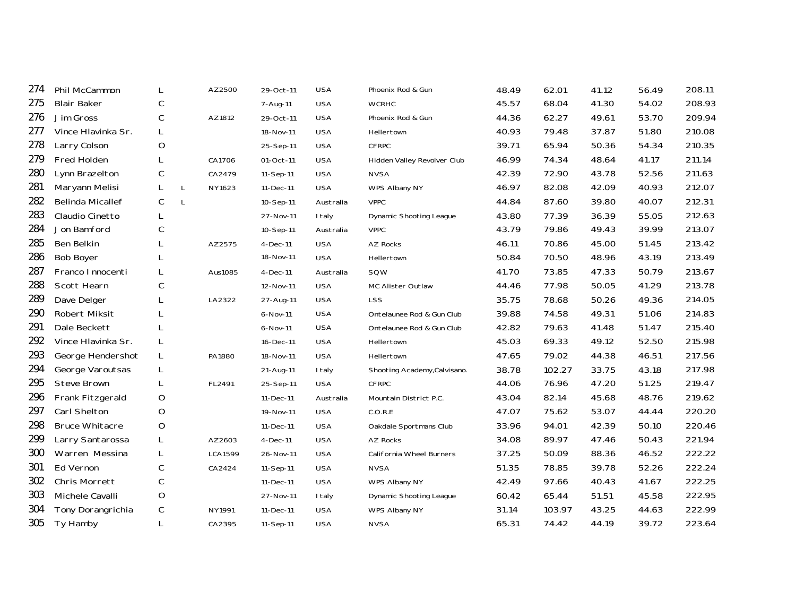| 274 | Phil McCammon           | L | AZ2500       | 29-Oct-11  | <b>USA</b> | Phoenix Rod & Gun              | 48.49 | 62.01  | 41.12 | 56.49 | 208.11 |
|-----|-------------------------|---|--------------|------------|------------|--------------------------------|-------|--------|-------|-------|--------|
| 275 | <b>Blair Baker</b>      | С |              | 7-Aug-11   | <b>USA</b> | <b>WCRHC</b>                   | 45.57 | 68.04  | 41.30 | 54.02 | 208.93 |
| 276 | Jim Gross               | С | AZ1812       | 29-Oct-11  | <b>USA</b> | Phoenix Rod & Gun              | 44.36 | 62.27  | 49.61 | 53.70 | 209.94 |
| 277 | Vince Hlavinka Sr.      | L |              | 18-Nov-11  | <b>USA</b> | Hellertown                     | 40.93 | 79.48  | 37.87 | 51.80 | 210.08 |
| 278 | Larry Colson            | O |              | 25-Sep-11  | <b>USA</b> | <b>CFRPC</b>                   | 39.71 | 65.94  | 50.36 | 54.34 | 210.35 |
| 279 | Fred Holden             | L | CA1706       | 01-Oct-11  | <b>USA</b> | Hidden Valley Revolver Club    | 46.99 | 74.34  | 48.64 | 41.17 | 211.14 |
| 280 | Lynn Brazelton          | С | CA2479       | 11-Sep-11  | <b>USA</b> | <b>NVSA</b>                    | 42.39 | 72.90  | 43.78 | 52.56 | 211.63 |
| 281 | Maryann Melisi          | L | L<br>NY1623  | 11-Dec-11  | <b>USA</b> | WPS Albany NY                  | 46.97 | 82.08  | 42.09 | 40.93 | 212.07 |
| 282 | <b>Belinda Micallef</b> | С | $\mathsf{L}$ | 10-Sep-11  | Australia  | <b>VPPC</b>                    | 44.84 | 87.60  | 39.80 | 40.07 | 212.31 |
| 283 | Claudio Cinetto         | L |              | 27-Nov-11  | I taly     | <b>Dynamic Shooting League</b> | 43.80 | 77.39  | 36.39 | 55.05 | 212.63 |
| 284 | Jon Bamford             | С |              | 10-Sep-11  | Australia  | <b>VPPC</b>                    | 43.79 | 79.86  | 49.43 | 39.99 | 213.07 |
| 285 | Ben Belkin              | L | AZ2575       | 4-Dec-11   | <b>USA</b> | AZ Rocks                       | 46.11 | 70.86  | 45.00 | 51.45 | 213.42 |
| 286 | <b>Bob Boyer</b>        | L |              | 18-Nov-11  | <b>USA</b> | Hellertown                     | 50.84 | 70.50  | 48.96 | 43.19 | 213.49 |
| 287 | Franco Innocenti        | L | Aus1085      | $4-Dec-11$ | Australia  | SQW                            | 41.70 | 73.85  | 47.33 | 50.79 | 213.67 |
| 288 | Scott Hearn             | С |              | 12-Nov-11  | <b>USA</b> | MC Alister Outlaw              | 44.46 | 77.98  | 50.05 | 41.29 | 213.78 |
| 289 | Dave Delger             | L | LA2322       | 27-Aug-11  | <b>USA</b> | <b>LSS</b>                     | 35.75 | 78.68  | 50.26 | 49.36 | 214.05 |
| 290 | Robert Miksit           | L |              | 6-Nov-11   | <b>USA</b> | Ontelaunee Rod & Gun Club      | 39.88 | 74.58  | 49.31 | 51.06 | 214.83 |
| 291 | Dale Beckett            | L |              | 6-Nov-11   | <b>USA</b> | Ontelaunee Rod & Gun Club      | 42.82 | 79.63  | 41.48 | 51.47 | 215.40 |
| 292 | Vince Hlavinka Sr.      | L |              | 16-Dec-11  | <b>USA</b> | Hellertown                     | 45.03 | 69.33  | 49.12 | 52.50 | 215.98 |
| 293 | George Hendershot       | L | PA1880       | 18-Nov-11  | <b>USA</b> | Hellertown                     | 47.65 | 79.02  | 44.38 | 46.51 | 217.56 |
| 294 | George Varoutsas        | L |              | 21-Aug-11  | I taly     | Shooting Academy, Calvisano.   | 38.78 | 102.27 | 33.75 | 43.18 | 217.98 |
| 295 | Steve Brown             | L | FL2491       | 25-Sep-11  | <b>USA</b> | <b>CFRPC</b>                   | 44.06 | 76.96  | 47.20 | 51.25 | 219.47 |
| 296 | Frank Fitzgerald        | O |              | 11-Dec-11  | Australia  | Mountain District P.C.         | 43.04 | 82.14  | 45.68 | 48.76 | 219.62 |
| 297 | Carl Shelton            | O |              | 19-Nov-11  | <b>USA</b> | C.O.R.E                        | 47.07 | 75.62  | 53.07 | 44.44 | 220.20 |
| 298 | <b>Bruce Whitacre</b>   | O |              | 11-Dec-11  | <b>USA</b> | Oakdale Sportmans Club         | 33.96 | 94.01  | 42.39 | 50.10 | 220.46 |
| 299 | Larry Santarossa        | L | AZ2603       | $4-Dec-11$ | <b>USA</b> | <b>AZ Rocks</b>                | 34.08 | 89.97  | 47.46 | 50.43 | 221.94 |
| 300 | Warren Messina          | L | LCA1599      | 26-Nov-11  | <b>USA</b> | California Wheel Burners       | 37.25 | 50.09  | 88.36 | 46.52 | 222.22 |
| 301 | Ed Vernon               | С | CA2424       | 11-Sep-11  | <b>USA</b> | <b>NVSA</b>                    | 51.35 | 78.85  | 39.78 | 52.26 | 222.24 |
| 302 | Chris Morrett           | С |              | 11-Dec-11  | <b>USA</b> | WPS Albany NY                  | 42.49 | 97.66  | 40.43 | 41.67 | 222.25 |
| 303 | Michele Cavalli         | O |              | 27-Nov-11  | I taly     | Dynamic Shooting League        | 60.42 | 65.44  | 51.51 | 45.58 | 222.95 |
| 304 | Tony Dorangrichia       | C | NY1991       | 11-Dec-11  | <b>USA</b> | WPS Albany NY                  | 31.14 | 103.97 | 43.25 | 44.63 | 222.99 |
| 305 | Ty Hamby                | L | CA2395       | 11-Sep-11  | <b>USA</b> | <b>NVSA</b>                    | 65.31 | 74.42  | 44.19 | 39.72 | 223.64 |
|     |                         |   |              |            |            |                                |       |        |       |       |        |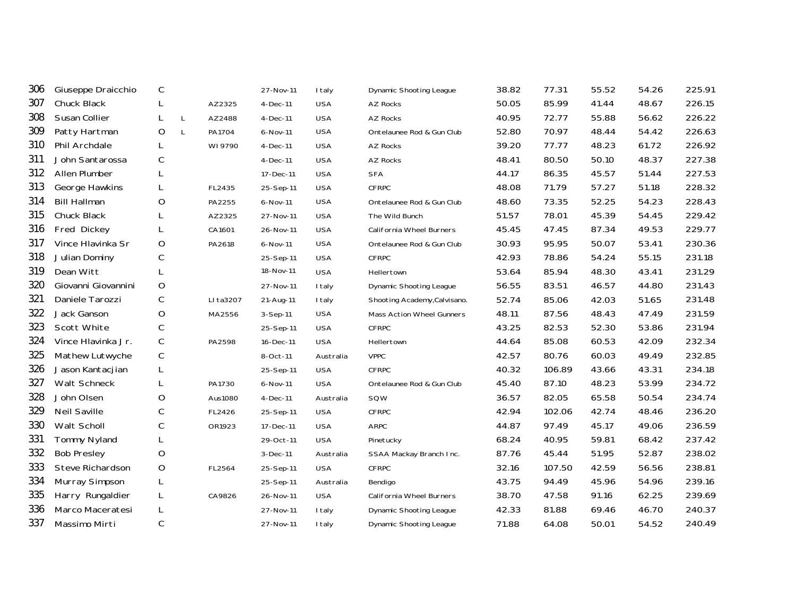| Giuseppe Draicchio  | C           |              |           | 27-Nov-11  | <b>I</b> taly | <b>Dynamic Shooting League</b> | 38.82 | 77.31  | 55.52 | 54.26 | 225.91 |
|---------------------|-------------|--------------|-----------|------------|---------------|--------------------------------|-------|--------|-------|-------|--------|
| Chuck Black         | L           |              | AZ2325    | $4-Dec-11$ | <b>USA</b>    | <b>AZ Rocks</b>                | 50.05 | 85.99  | 41.44 | 48.67 | 226.15 |
| Susan Collier       | L           | L            | AZ2488    | 4-Dec-11   | <b>USA</b>    | AZ Rocks                       | 40.95 | 72.77  | 55.88 | 56.62 | 226.22 |
| Patty Hartman       | O           | $\mathsf{L}$ | PA1704    | 6-Nov-11   | <b>USA</b>    | Ontelaunee Rod & Gun Club      | 52.80 | 70.97  | 48.44 | 54.42 | 226.63 |
| Phil Archdale       | L           |              | WI 9790   | $4-Dec-11$ | <b>USA</b>    | <b>AZ Rocks</b>                | 39.20 | 77.77  | 48.23 | 61.72 | 226.92 |
| John Santarossa     | С           |              |           | $4-Dec-11$ | <b>USA</b>    | <b>AZ Rocks</b>                | 48.41 | 80.50  | 50.10 | 48.37 | 227.38 |
| Allen Plumber       | L           |              |           | 17-Dec-11  | <b>USA</b>    | <b>SFA</b>                     | 44.17 | 86.35  | 45.57 | 51.44 | 227.53 |
| George Hawkins      | L           |              | FL2435    | 25-Sep-11  | <b>USA</b>    | <b>CFRPC</b>                   | 48.08 | 71.79  | 57.27 | 51.18 | 228.32 |
| <b>Bill Hallman</b> | O           |              | PA2255    | 6-Nov-11   | <b>USA</b>    | Ontelaunee Rod & Gun Club      | 48.60 | 73.35  | 52.25 | 54.23 | 228.43 |
| Chuck Black         | L           |              | AZ2325    | 27-Nov-11  | <b>USA</b>    | The Wild Bunch                 | 51.57 | 78.01  | 45.39 | 54.45 | 229.42 |
| Fred Dickey         | L           |              | CA1601    | 26-Nov-11  | <b>USA</b>    | California Wheel Burners       | 45.45 | 47.45  | 87.34 | 49.53 | 229.77 |
| Vince Hlavinka Sr   | O           |              | PA2618    | 6-Nov-11   | <b>USA</b>    | Ontelaunee Rod & Gun Club      | 30.93 | 95.95  | 50.07 | 53.41 | 230.36 |
| Julian Dominy       | С           |              |           | 25-Sep-11  | <b>USA</b>    | <b>CFRPC</b>                   | 42.93 | 78.86  | 54.24 | 55.15 | 231.18 |
| Dean Witt           | L           |              |           | 18-Nov-11  | <b>USA</b>    | Hellertown                     | 53.64 | 85.94  | 48.30 | 43.41 | 231.29 |
| Giovanni Giovannini | $\circ$     |              |           | 27-Nov-11  | I taly        | <b>Dynamic Shooting League</b> | 56.55 | 83.51  | 46.57 | 44.80 | 231.43 |
| Daniele Tarozzi     | С           |              | LI ta3207 | 21-Aug-11  | I taly        | Shooting Academy, Calvisano.   | 52.74 | 85.06  | 42.03 | 51.65 | 231.48 |
| Jack Ganson         | $\mathsf O$ |              | MA2556    | $3-Sep-11$ | <b>USA</b>    | Mass Action Wheel Gunners      | 48.11 | 87.56  | 48.43 | 47.49 | 231.59 |
| Scott White         | С           |              |           | 25-Sep-11  | <b>USA</b>    | <b>CFRPC</b>                   | 43.25 | 82.53  | 52.30 | 53.86 | 231.94 |
| Vince Hlavinka Jr.  | С           |              | PA2598    | 16-Dec-11  | <b>USA</b>    | Hellertown                     | 44.64 | 85.08  | 60.53 | 42.09 | 232.34 |
| Mathew Lutwyche     | С           |              |           | 8-Oct-11   | Australia     | <b>VPPC</b>                    | 42.57 | 80.76  | 60.03 | 49.49 | 232.85 |
| Jason Kantacjian    | L           |              |           | 25-Sep-11  | <b>USA</b>    | <b>CFRPC</b>                   | 40.32 | 106.89 | 43.66 | 43.31 | 234.18 |
| Walt Schneck        | L           |              | PA1730    | 6-Nov-11   | <b>USA</b>    | Ontelaunee Rod & Gun Club      | 45.40 | 87.10  | 48.23 | 53.99 | 234.72 |
| John Olsen          | O           |              | Aus1080   | $4-Dec-11$ | Australia     | SQW                            | 36.57 | 82.05  | 65.58 | 50.54 | 234.74 |
| Neil Saville        | С           |              | FL2426    | 25-Sep-11  | <b>USA</b>    | <b>CFRPC</b>                   | 42.94 | 102.06 | 42.74 | 48.46 | 236.20 |
| Walt Scholl         | С           |              | OR1923    | 17-Dec-11  | <b>USA</b>    | ARPC                           | 44.87 | 97.49  | 45.17 | 49.06 | 236.59 |
| <b>Tommy Nyland</b> | L           |              |           | 29-Oct-11  | <b>USA</b>    | Pinetucky                      | 68.24 | 40.95  | 59.81 | 68.42 | 237.42 |
| <b>Bob Presley</b>  | O           |              |           | $3-Dec-11$ | Australia     | SSAA Mackay Branch Inc.        | 87.76 | 45.44  | 51.95 | 52.87 | 238.02 |
| Steve Richardson    | $\mathsf O$ |              | FL2564    | 25-Sep-11  | <b>USA</b>    | <b>CFRPC</b>                   | 32.16 | 107.50 | 42.59 | 56.56 | 238.81 |
| Murray Simpson      | L           |              |           | 25-Sep-11  | Australia     | Bendigo                        | 43.75 | 94.49  | 45.96 | 54.96 | 239.16 |
| Harry Rungaldier    | L           |              | CA9826    | 26-Nov-11  | <b>USA</b>    | California Wheel Burners       | 38.70 | 47.58  | 91.16 | 62.25 | 239.69 |
| Marco Maceratesi    | L           |              |           | 27-Nov-11  | I taly        | Dynamic Shooting League        | 42.33 | 81.88  | 69.46 | 46.70 | 240.37 |
| Massimo Mirti       | $\mathsf C$ |              |           | 27-Nov-11  | I taly        | Dynamic Shooting League        | 71.88 | 64.08  | 50.01 | 54.52 | 240.49 |
|                     |             |              |           |            |               |                                |       |        |       |       |        |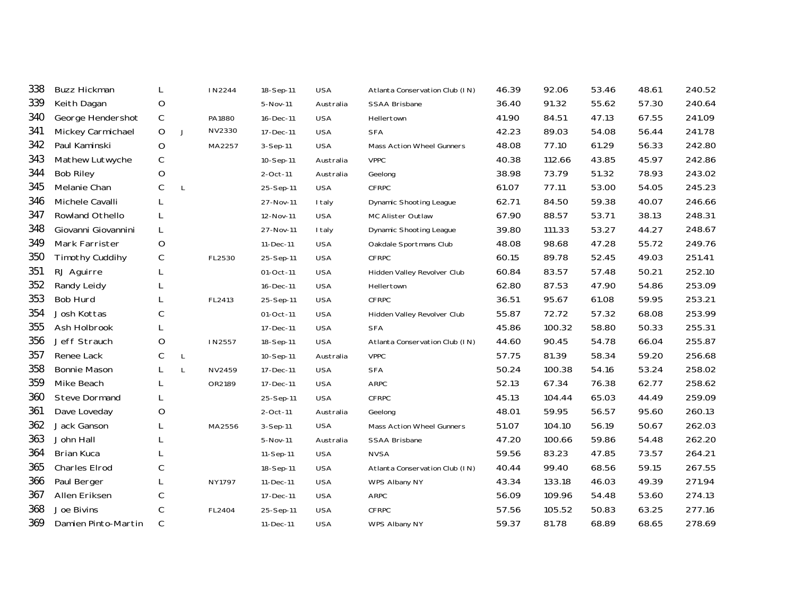| 338 | <b>Buzz Hickman</b>    | L           |              | IN2244 | 18-Sep-11      | <b>USA</b>    | Atlanta Conservation Club (IN) | 46.39 | 92.06  | 53.46 | 48.61 | 240.52 |
|-----|------------------------|-------------|--------------|--------|----------------|---------------|--------------------------------|-------|--------|-------|-------|--------|
| 339 | Keith Dagan            | O           |              |        | 5-Nov-11       | Australia     | SSAA Brisbane                  | 36.40 | 91.32  | 55.62 | 57.30 | 240.64 |
| 340 | George Hendershot      | C           |              | PA1880 | 16-Dec-11      | <b>USA</b>    | Hellertown                     | 41.90 | 84.51  | 47.13 | 67.55 | 241.09 |
| 341 | Mickey Carmichael      | O           | J            | NV2330 | 17-Dec-11      | <b>USA</b>    | <b>SFA</b>                     | 42.23 | 89.03  | 54.08 | 56.44 | 241.78 |
| 342 | Paul Kaminski          | $\mathsf O$ |              | MA2257 | $3-$ Sep $-11$ | <b>USA</b>    | Mass Action Wheel Gunners      | 48.08 | 77.10  | 61.29 | 56.33 | 242.80 |
| 343 | Mathew Lutwyche        | С           |              |        | 10-Sep-11      | Australia     | <b>VPPC</b>                    | 40.38 | 112.66 | 43.85 | 45.97 | 242.86 |
| 344 | <b>Bob Riley</b>       | O           |              |        | $2$ -Oct-11    | Australia     | Geelong                        | 38.98 | 73.79  | 51.32 | 78.93 | 243.02 |
| 345 | Melanie Chan           | С           | $\mathsf{L}$ |        | 25-Sep-11      | <b>USA</b>    | <b>CFRPC</b>                   | 61.07 | 77.11  | 53.00 | 54.05 | 245.23 |
| 346 | Michele Cavalli        | L           |              |        | 27-Nov-11      | <b>I</b> taly | Dynamic Shooting League        | 62.71 | 84.50  | 59.38 | 40.07 | 246.66 |
| 347 | Rowland Othello        | L           |              |        | 12-Nov-11      | <b>USA</b>    | MC Alister Outlaw              | 67.90 | 88.57  | 53.71 | 38.13 | 248.31 |
| 348 | Giovanni Giovannini    | L           |              |        | 27-Nov-11      | I taly        | Dynamic Shooting League        | 39.80 | 111.33 | 53.27 | 44.27 | 248.67 |
| 349 | Mark Farrister         | $\circ$     |              |        | 11-Dec-11      | <b>USA</b>    | Oakdale Sportmans Club         | 48.08 | 98.68  | 47.28 | 55.72 | 249.76 |
| 350 | <b>Timothy Cuddihy</b> | С           |              | FL2530 | 25-Sep-11      | <b>USA</b>    | <b>CFRPC</b>                   | 60.15 | 89.78  | 52.45 | 49.03 | 251.41 |
| 351 | RJ Aguirre             | L           |              |        | 01-Oct-11      | <b>USA</b>    | Hidden Valley Revolver Club    | 60.84 | 83.57  | 57.48 | 50.21 | 252.10 |
| 352 | Randy Leidy            | L           |              |        | 16-Dec-11      | <b>USA</b>    | Hellertown                     | 62.80 | 87.53  | 47.90 | 54.86 | 253.09 |
| 353 | <b>Bob Hurd</b>        | L           |              | FL2413 | 25-Sep-11      | <b>USA</b>    | <b>CFRPC</b>                   | 36.51 | 95.67  | 61.08 | 59.95 | 253.21 |
| 354 | Josh Kottas            | С           |              |        | 01-Oct-11      | <b>USA</b>    | Hidden Valley Revolver Club    | 55.87 | 72.72  | 57.32 | 68.08 | 253.99 |
| 355 | Ash Holbrook           |             |              |        | 17-Dec-11      | <b>USA</b>    | <b>SFA</b>                     | 45.86 | 100.32 | 58.80 | 50.33 | 255.31 |
| 356 | Jeff Strauch           | O           |              | IN2557 | 18-Sep-11      | <b>USA</b>    | Atlanta Conservation Club (IN) | 44.60 | 90.45  | 54.78 | 66.04 | 255.87 |
| 357 | Renee Lack             | С           | L            |        | 10-Sep-11      | Australia     | <b>VPPC</b>                    | 57.75 | 81.39  | 58.34 | 59.20 | 256.68 |
| 358 | <b>Bonnie Mason</b>    | L           | L            | NV2459 | 17-Dec-11      | <b>USA</b>    | <b>SFA</b>                     | 50.24 | 100.38 | 54.16 | 53.24 | 258.02 |
| 359 | Mike Beach             | L           |              | OR2189 | 17-Dec-11      | <b>USA</b>    | <b>ARPC</b>                    | 52.13 | 67.34  | 76.38 | 62.77 | 258.62 |
| 360 | <b>Steve Dormand</b>   |             |              |        | 25-Sep-11      | <b>USA</b>    | <b>CFRPC</b>                   | 45.13 | 104.44 | 65.03 | 44.49 | 259.09 |
| 361 | Dave Loveday           | $\circ$     |              |        | 2-Oct-11       | Australia     | Geelong                        | 48.01 | 59.95  | 56.57 | 95.60 | 260.13 |
| 362 | Jack Ganson            | L           |              | MA2556 | 3-Sep-11       | <b>USA</b>    | Mass Action Wheel Gunners      | 51.07 | 104.10 | 56.19 | 50.67 | 262.03 |
| 363 | John Hall              |             |              |        | 5-Nov-11       | Australia     | SSAA Brisbane                  | 47.20 | 100.66 | 59.86 | 54.48 | 262.20 |
| 364 | Brian Kuca             | L           |              |        | 11-Sep-11      | <b>USA</b>    | <b>NVSA</b>                    | 59.56 | 83.23  | 47.85 | 73.57 | 264.21 |
| 365 | Charles Elrod          | С           |              |        | 18-Sep-11      | <b>USA</b>    | Atlanta Conservation Club (IN) | 40.44 | 99.40  | 68.56 | 59.15 | 267.55 |
| 366 | Paul Berger            | L           |              | NY1797 | 11-Dec-11      | <b>USA</b>    | WPS Albany NY                  | 43.34 | 133.18 | 46.03 | 49.39 | 271.94 |
| 367 | Allen Eriksen          | C           |              |        | 17-Dec-11      | <b>USA</b>    | <b>ARPC</b>                    | 56.09 | 109.96 | 54.48 | 53.60 | 274.13 |
| 368 | Joe Bivins             | С           |              | FL2404 | 25-Sep-11      | <b>USA</b>    | <b>CFRPC</b>                   | 57.56 | 105.52 | 50.83 | 63.25 | 277.16 |
| 369 | Damien Pinto-Martin    | C           |              |        | 11-Dec-11      | <b>USA</b>    | WPS Albany NY                  | 59.37 | 81.78  | 68.89 | 68.65 | 278.69 |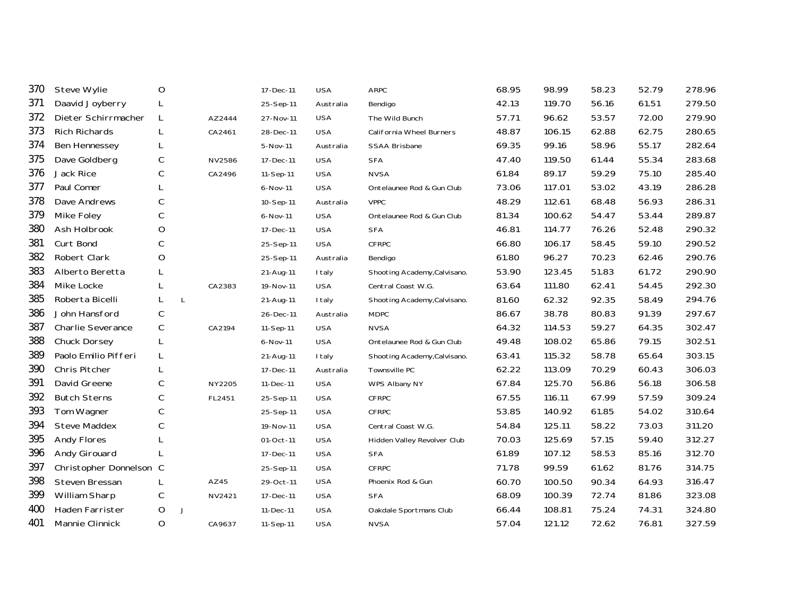| <b>Steve Wylie</b>   | O           |                         | 17-Dec-11                                                                                                | <b>USA</b> | <b>ARPC</b>                  | 68.95 | 98.99  | 58.23 | 52.79 | 278.96 |
|----------------------|-------------|-------------------------|----------------------------------------------------------------------------------------------------------|------------|------------------------------|-------|--------|-------|-------|--------|
| Daavid Joyberry      | L           |                         | 25-Sep-11                                                                                                | Australia  | Bendigo                      | 42.13 | 119.70 | 56.16 | 61.51 | 279.50 |
| Dieter Schirrmacher  | L           |                         | 27-Nov-11                                                                                                | <b>USA</b> | The Wild Bunch               | 57.71 | 96.62  | 53.57 | 72.00 | 279.90 |
| <b>Rich Richards</b> | L           |                         | 28-Dec-11                                                                                                | <b>USA</b> | California Wheel Burners     | 48.87 | 106.15 | 62.88 | 62.75 | 280.65 |
| Ben Hennessey        | L           |                         | 5-Nov-11                                                                                                 | Australia  | <b>SSAA Brisbane</b>         | 69.35 | 99.16  | 58.96 | 55.17 | 282.64 |
| Dave Goldberg        | С           |                         | 17-Dec-11                                                                                                | <b>USA</b> | <b>SFA</b>                   | 47.40 | 119.50 | 61.44 | 55.34 | 283.68 |
| Jack Rice            | С           |                         | 11-Sep-11                                                                                                | <b>USA</b> | <b>NVSA</b>                  | 61.84 | 89.17  | 59.29 | 75.10 | 285.40 |
| Paul Comer           |             |                         | 6-Nov-11                                                                                                 | <b>USA</b> | Ontelaunee Rod & Gun Club    | 73.06 | 117.01 | 53.02 | 43.19 | 286.28 |
| Dave Andrews         | С           |                         | 10-Sep-11                                                                                                | Australia  | <b>VPPC</b>                  | 48.29 | 112.61 | 68.48 | 56.93 | 286.31 |
| Mike Foley           | С           |                         | 6-Nov-11                                                                                                 | <b>USA</b> | Ontelaunee Rod & Gun Club    | 81.34 | 100.62 | 54.47 | 53.44 | 289.87 |
| Ash Holbrook         | O           |                         | 17-Dec-11                                                                                                | <b>USA</b> | <b>SFA</b>                   | 46.81 | 114.77 | 76.26 | 52.48 | 290.32 |
| Curt Bond            | $\mathsf C$ |                         | 25-Sep-11                                                                                                | <b>USA</b> | <b>CFRPC</b>                 | 66.80 | 106.17 | 58.45 | 59.10 | 290.52 |
| Robert Clark         | $\circ$     |                         | 25-Sep-11                                                                                                | Australia  | Bendigo                      | 61.80 | 96.27  | 70.23 | 62.46 | 290.76 |
| Alberto Beretta      | L           |                         | 21-Aug-11                                                                                                | I taly     | Shooting Academy, Calvisano. | 53.90 | 123.45 | 51.83 | 61.72 | 290.90 |
| Mike Locke           | L           |                         | 19-Nov-11                                                                                                | <b>USA</b> | Central Coast W.G.           | 63.64 | 111.80 | 62.41 | 54.45 | 292.30 |
| Roberta Bicelli      | L           | $\mathsf{L}$            | 21-Aug-11                                                                                                | I taly     | Shooting Academy, Calvisano. | 81.60 | 62.32  | 92.35 | 58.49 | 294.76 |
| John Hansford        | С           |                         | 26-Dec-11                                                                                                | Australia  | <b>MDPC</b>                  | 86.67 | 38.78  | 80.83 | 91.39 | 297.67 |
| Charlie Severance    | С           |                         | 11-Sep-11                                                                                                | <b>USA</b> | <b>NVSA</b>                  | 64.32 | 114.53 | 59.27 | 64.35 | 302.47 |
| Chuck Dorsey         | L           |                         | 6-Nov-11                                                                                                 | <b>USA</b> | Ontelaunee Rod & Gun Club    | 49.48 | 108.02 | 65.86 | 79.15 | 302.51 |
| Paolo Emilio Pifferi | L           |                         | 21-Aug-11                                                                                                | I taly     | Shooting Academy, Calvisano. | 63.41 | 115.32 | 58.78 | 65.64 | 303.15 |
| Chris Pitcher        | L           |                         | 17-Dec-11                                                                                                | Australia  | Townsville PC                | 62.22 | 113.09 | 70.29 | 60.43 | 306.03 |
| David Greene         | C           |                         | 11-Dec-11                                                                                                | <b>USA</b> | WPS Albany NY                | 67.84 | 125.70 | 56.86 | 56.18 | 306.58 |
| <b>Butch Sterns</b>  | C           |                         | 25-Sep-11                                                                                                | <b>USA</b> | <b>CFRPC</b>                 | 67.55 | 116.11 | 67.99 | 57.59 | 309.24 |
| Tom Wagner           | $\mathsf C$ |                         | 25-Sep-11                                                                                                | <b>USA</b> | <b>CFRPC</b>                 | 53.85 | 140.92 | 61.85 | 54.02 | 310.64 |
| <b>Steve Maddex</b>  | С           |                         | 19-Nov-11                                                                                                | <b>USA</b> | Central Coast W.G.           | 54.84 | 125.11 | 58.22 | 73.03 | 311.20 |
| <b>Andy Flores</b>   | L           |                         | 01-Oct-11                                                                                                | <b>USA</b> | Hidden Valley Revolver Club  | 70.03 | 125.69 | 57.15 | 59.40 | 312.27 |
| Andy Girouard        | L           |                         | 17-Dec-11                                                                                                | <b>USA</b> | <b>SFA</b>                   | 61.89 | 107.12 | 58.53 | 85.16 | 312.70 |
|                      |             |                         | 25-Sep-11                                                                                                | <b>USA</b> | <b>CFRPC</b>                 | 71.78 | 99.59  | 61.62 | 81.76 | 314.75 |
| Steven Bressan       | L           |                         | 29-Oct-11                                                                                                | <b>USA</b> | Phoenix Rod & Gun            | 60.70 | 100.50 | 90.34 | 64.93 | 316.47 |
| William Sharp        | С           |                         | 17-Dec-11                                                                                                | <b>USA</b> | <b>SFA</b>                   | 68.09 | 100.39 | 72.74 | 81.86 | 323.08 |
| Haden Farrister      | O           | J                       | 11-Dec-11                                                                                                | <b>USA</b> | Oakdale Sportmans Club       | 66.44 | 108.81 | 75.24 | 74.31 | 324.80 |
| Mannie Clinnick      | O           |                         | 11-Sep-11                                                                                                | <b>USA</b> | <b>NVSA</b>                  | 57.04 | 121.12 | 72.62 | 76.81 | 327.59 |
|                      |             | Christopher Donnelson C | AZ2444<br>CA2461<br>NV2586<br>CA2496<br>CA2383<br>CA2194<br>NY2205<br>FL2451<br>AZ45<br>NV2421<br>CA9637 |            |                              |       |        |       |       |        |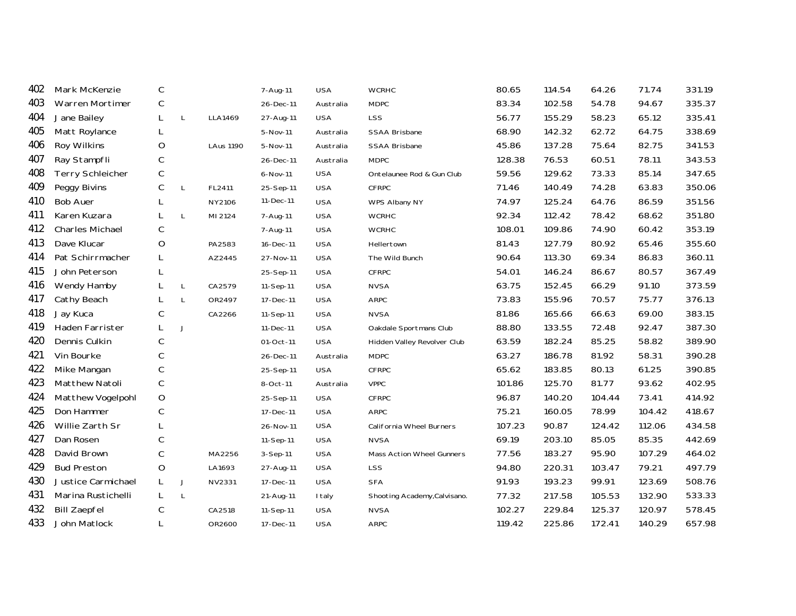| 402 | Mark McKenzie           | C           |              |                  | 7-Aug-11  | <b>USA</b> | <b>WCRHC</b>                     | 80.65  | 114.54 | 64.26  | 71.74  | 331.19 |
|-----|-------------------------|-------------|--------------|------------------|-----------|------------|----------------------------------|--------|--------|--------|--------|--------|
| 403 | Warren Mortimer         | С           |              |                  | 26-Dec-11 | Australia  | <b>MDPC</b>                      | 83.34  | 102.58 | 54.78  | 94.67  | 335.37 |
| 404 | Jane Bailey             | L           | $\mathsf{L}$ | LLA1469          | 27-Aug-11 | <b>USA</b> | LSS                              | 56.77  | 155.29 | 58.23  | 65.12  | 335.41 |
| 405 | Matt Roylance           | L           |              |                  | 5-Nov-11  | Australia  | SSAA Brisbane                    | 68.90  | 142.32 | 62.72  | 64.75  | 338.69 |
| 406 | Roy Wilkins             | O           |              | <b>LAus 1190</b> | 5-Nov-11  | Australia  | <b>SSAA Brisbane</b>             | 45.86  | 137.28 | 75.64  | 82.75  | 341.53 |
| 407 | Ray Stampfli            | С           |              |                  | 26-Dec-11 | Australia  | <b>MDPC</b>                      | 128.38 | 76.53  | 60.51  | 78.11  | 343.53 |
| 408 | <b>Terry Schleicher</b> | С           |              |                  | 6-Nov-11  | <b>USA</b> | Ontelaunee Rod & Gun Club        | 59.56  | 129.62 | 73.33  | 85.14  | 347.65 |
| 409 | Peggy Bivins            | $\mathsf C$ | $\mathsf{L}$ | FL2411           | 25-Sep-11 | <b>USA</b> | <b>CFRPC</b>                     | 71.46  | 140.49 | 74.28  | 63.83  | 350.06 |
| 410 | <b>Bob Auer</b>         | L           |              | NY2106           | 11-Dec-11 | <b>USA</b> | WPS Albany NY                    | 74.97  | 125.24 | 64.76  | 86.59  | 351.56 |
| 411 | Karen Kuzara            | L           | L            | MI 2124          | 7-Aug-11  | <b>USA</b> | <b>WCRHC</b>                     | 92.34  | 112.42 | 78.42  | 68.62  | 351.80 |
| 412 | <b>Charles Michael</b>  | С           |              |                  | 7-Aug-11  | <b>USA</b> | <b>WCRHC</b>                     | 108.01 | 109.86 | 74.90  | 60.42  | 353.19 |
| 413 | Dave Klucar             | $\mathsf O$ |              | PA2583           | 16-Dec-11 | <b>USA</b> | Hellertown                       | 81.43  | 127.79 | 80.92  | 65.46  | 355.60 |
| 414 | Pat Schirrmacher        | L           |              | AZ2445           | 27-Nov-11 | <b>USA</b> | The Wild Bunch                   | 90.64  | 113.30 | 69.34  | 86.83  | 360.11 |
| 415 | John Peterson           | L           |              |                  | 25-Sep-11 | <b>USA</b> | CFRPC                            | 54.01  | 146.24 | 86.67  | 80.57  | 367.49 |
| 416 | Wendy Hamby             | L           | $\mathsf{L}$ | CA2579           | 11-Sep-11 | <b>USA</b> | <b>NVSA</b>                      | 63.75  | 152.45 | 66.29  | 91.10  | 373.59 |
| 417 | Cathy Beach             | L           | L            | OR2497           | 17-Dec-11 | <b>USA</b> | <b>ARPC</b>                      | 73.83  | 155.96 | 70.57  | 75.77  | 376.13 |
| 418 | Jay Kuca                | С           |              | CA2266           | 11-Sep-11 | <b>USA</b> | <b>NVSA</b>                      | 81.86  | 165.66 | 66.63  | 69.00  | 383.15 |
| 419 | Haden Farrister         |             | J            |                  | 11-Dec-11 | <b>USA</b> | Oakdale Sportmans Club           | 88.80  | 133.55 | 72.48  | 92.47  | 387.30 |
| 420 | Dennis Culkin           | С           |              |                  | 01-Oct-11 | <b>USA</b> | Hidden Valley Revolver Club      | 63.59  | 182.24 | 85.25  | 58.82  | 389.90 |
| 421 | Vin Bourke              | С           |              |                  | 26-Dec-11 | Australia  | <b>MDPC</b>                      | 63.27  | 186.78 | 81.92  | 58.31  | 390.28 |
| 422 | Mike Mangan             | $\mathsf C$ |              |                  | 25-Sep-11 | <b>USA</b> | CFRPC                            | 65.62  | 183.85 | 80.13  | 61.25  | 390.85 |
| 423 | <b>Matthew Natoli</b>   | С           |              |                  | 8-Oct-11  | Australia  | <b>VPPC</b>                      | 101.86 | 125.70 | 81.77  | 93.62  | 402.95 |
| 424 | Matthew Vogelpohl       | $\mathsf O$ |              |                  | 25-Sep-11 | <b>USA</b> | CFRPC                            | 96.87  | 140.20 | 104.44 | 73.41  | 414.92 |
| 425 | Don Hammer              | С           |              |                  | 17-Dec-11 | <b>USA</b> | <b>ARPC</b>                      | 75.21  | 160.05 | 78.99  | 104.42 | 418.67 |
| 426 | Willie Zarth Sr         |             |              |                  | 26-Nov-11 | <b>USA</b> | California Wheel Burners         | 107.23 | 90.87  | 124.42 | 112.06 | 434.58 |
| 427 | Dan Rosen               | C           |              |                  | 11-Sep-11 | <b>USA</b> | <b>NVSA</b>                      | 69.19  | 203.10 | 85.05  | 85.35  | 442.69 |
| 428 | David Brown             | С           |              | MA2256           | 3-Sep-11  | <b>USA</b> | <b>Mass Action Wheel Gunners</b> | 77.56  | 183.27 | 95.90  | 107.29 | 464.02 |
| 429 | <b>Bud Preston</b>      | $\mathsf O$ |              | LA1693           | 27-Aug-11 | <b>USA</b> | <b>LSS</b>                       | 94.80  | 220.31 | 103.47 | 79.21  | 497.79 |
| 430 | Justice Carmichael      | L           | J            | NV2331           | 17-Dec-11 | <b>USA</b> | <b>SFA</b>                       | 91.93  | 193.23 | 99.91  | 123.69 | 508.76 |
| 431 | Marina Rustichelli      | L           | L            |                  | 21-Aug-11 | I taly     | Shooting Academy, Calvisano.     | 77.32  | 217.58 | 105.53 | 132.90 | 533.33 |
| 432 | <b>Bill Zaepfel</b>     | С           |              | CA2518           | 11-Sep-11 | <b>USA</b> | <b>NVSA</b>                      | 102.27 | 229.84 | 125.37 | 120.97 | 578.45 |
| 433 | John Matlock            | L           |              | OR2600           | 17-Dec-11 | <b>USA</b> | <b>ARPC</b>                      | 119.42 | 225.86 | 172.41 | 140.29 | 657.98 |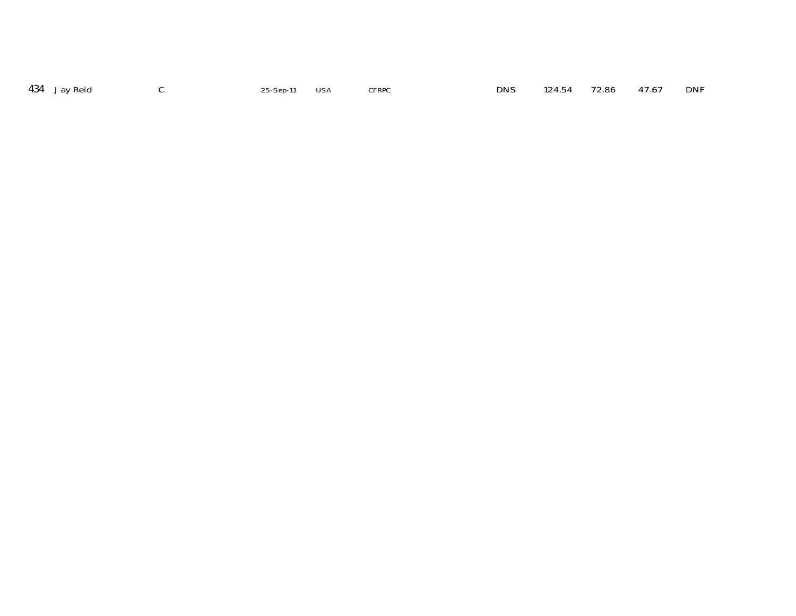| 434 Jay Reid<br>124.54 72.86 47.67 DNI<br><b>DNS</b><br><b>CFRPC</b><br>25-Sep-11 USA |  |
|---------------------------------------------------------------------------------------|--|
|---------------------------------------------------------------------------------------|--|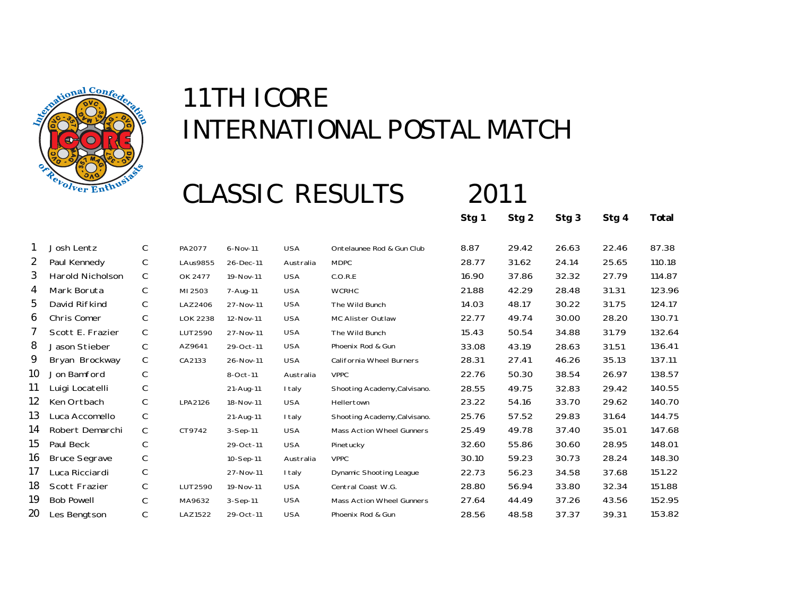

### CLASSIC RESULTS 2011

**Stg 1 Stg 2 Stg 3 Stg 4 Total**

|    | Josh Lentz           | C | PA2077          | $6 - Nov-11$   | <b>USA</b> | Ontelaunee Rod & Gun Club        | 8.87  | 29.42 | 26.63 | 22.46 | 87.38  |
|----|----------------------|---|-----------------|----------------|------------|----------------------------------|-------|-------|-------|-------|--------|
| 2  | Paul Kennedy         | C | <b>LAus9855</b> | 26-Dec-11      | Australia  | <b>MDPC</b>                      | 28.77 | 31.62 | 24.14 | 25.65 | 110.18 |
| 3  | Harold Nicholson     | C | OK 2477         | 19-Nov-11      | <b>USA</b> | C.O.R.E                          | 16.90 | 37.86 | 32.32 | 27.79 | 114.87 |
| 4  | Mark Boruta          | C | MI 2503         | 7-Aug-11       | <b>USA</b> | <b>WCRHC</b>                     | 21.88 | 42.29 | 28.48 | 31.31 | 123.96 |
| 5  | David Rifkind        | C | LAZ2406         | 27-Nov-11      | <b>USA</b> | The Wild Bunch                   | 14.03 | 48.17 | 30.22 | 31.75 | 124.17 |
| 6  | Chris Comer          | C | <b>LOK 2238</b> | 12-Nov-11      | <b>USA</b> | MC Alister Outlaw                | 22.77 | 49.74 | 30.00 | 28.20 | 130.71 |
| 7  | Scott E. Frazier     | C | LUT2590         | 27-Nov-11      | <b>USA</b> | The Wild Bunch                   | 15.43 | 50.54 | 34.88 | 31.79 | 132.64 |
| 8  | Jason Stieber        | C | AZ9641          | 29-Oct-11      | <b>USA</b> | Phoenix Rod & Gun                | 33.08 | 43.19 | 28.63 | 31.51 | 136.41 |
| 9  | Bryan Brockway       | C | CA2133          | 26-Nov-11      | <b>USA</b> | <b>California Wheel Burners</b>  | 28.31 | 27.41 | 46.26 | 35.13 | 137.11 |
| 10 | Jon Bamford          | С |                 | 8-Oct-11       | Australia  | <b>VPPC</b>                      | 22.76 | 50.30 | 38.54 | 26.97 | 138.57 |
| 11 | Luigi Locatelli      | С |                 | 21-Aug-11      | I taly     | Shooting Academy, Calvisano.     | 28.55 | 49.75 | 32.83 | 29.42 | 140.55 |
| 12 | Ken Ortbach          | C | LPA2126         | 18-Nov-11      | <b>USA</b> | Hellertown                       | 23.22 | 54.16 | 33.70 | 29.62 | 140.70 |
| 13 | Luca Accomello       | C |                 | 21-Aug-11      | I taly     | Shooting Academy, Calvisano.     | 25.76 | 57.52 | 29.83 | 31.64 | 144.75 |
| 14 | Robert Demarchi      | C | CT9742          | $3-$ Sep $-11$ | <b>USA</b> | <b>Mass Action Wheel Gunners</b> | 25.49 | 49.78 | 37.40 | 35.01 | 147.68 |
| 15 | Paul Beck            | C |                 | 29-Oct-11      | <b>USA</b> | Pinetucky                        | 32.60 | 55.86 | 30.60 | 28.95 | 148.01 |
| 16 | <b>Bruce Segrave</b> | C |                 | 10-Sep-11      | Australia  | <b>VPPC</b>                      | 30.10 | 59.23 | 30.73 | 28.24 | 148.30 |
| 17 | Luca Ricciardi       | C |                 | 27-Nov-11      | I taly     | <b>Dynamic Shooting League</b>   | 22.73 | 56.23 | 34.58 | 37.68 | 151.22 |
| 18 | Scott Frazier        | C | LUT2590         | 19-Nov-11      | <b>USA</b> | Central Coast W.G.               | 28.80 | 56.94 | 33.80 | 32.34 | 151.88 |
| 19 | <b>Bob Powell</b>    | C | MA9632          | $3-$ Sep $-11$ | <b>USA</b> | <b>Mass Action Wheel Gunners</b> | 27.64 | 44.49 | 37.26 | 43.56 | 152.95 |
| 20 | Les Bengtson         | C | LAZ1522         | 29-Oct-11      | <b>USA</b> | Phoenix Rod & Gun                | 28.56 | 48.58 | 37.37 | 39.31 | 153.82 |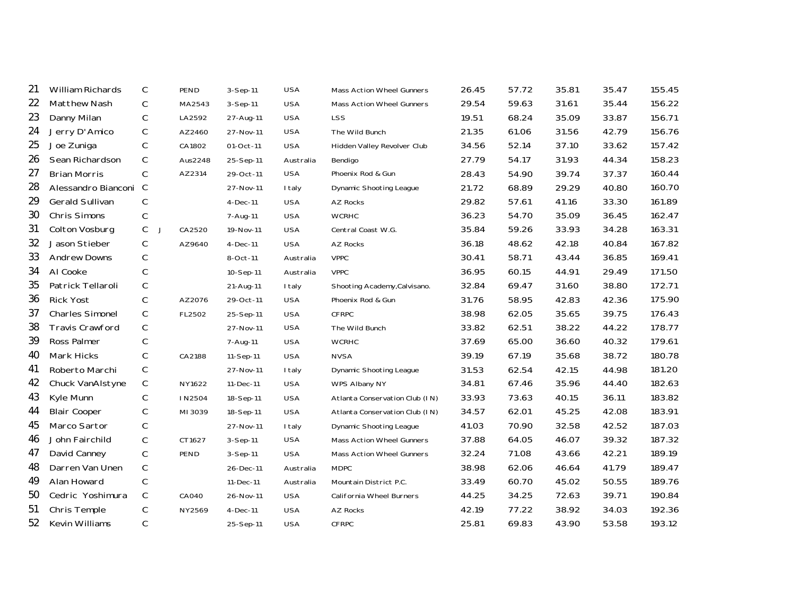| 21 | William Richards       | C            | PEND        | $3-$ Sep $-11$ | <b>USA</b>    | Mass Action Wheel Gunners      | 26.45 | 57.72 | 35.81 | 35.47 | 155.45 |
|----|------------------------|--------------|-------------|----------------|---------------|--------------------------------|-------|-------|-------|-------|--------|
| 22 | Matthew Nash           | C            | MA2543      | 3-Sep-11       | <b>USA</b>    | Mass Action Wheel Gunners      | 29.54 | 59.63 | 31.61 | 35.44 | 156.22 |
| 23 | Danny Milan            | С            | LA2592      | 27-Aug-11      | <b>USA</b>    | <b>LSS</b>                     | 19.51 | 68.24 | 35.09 | 33.87 | 156.71 |
| 24 | Jerry D'Amico          | С            | AZ2460      | 27-Nov-11      | <b>USA</b>    | The Wild Bunch                 | 21.35 | 61.06 | 31.56 | 42.79 | 156.76 |
| 25 | Joe Zuniga             | $\mathsf C$  | CA1802      | 01-Oct-11      | <b>USA</b>    | Hidden Valley Revolver Club    | 34.56 | 52.14 | 37.10 | 33.62 | 157.42 |
| 26 | Sean Richardson        | $\mathsf C$  | Aus2248     | 25-Sep-11      | Australia     | Bendigo                        | 27.79 | 54.17 | 31.93 | 44.34 | 158.23 |
| 27 | <b>Brian Morris</b>    | $\mathsf C$  | AZ2314      | 29-Oct-11      | <b>USA</b>    | Phoenix Rod & Gun              | 28.43 | 54.90 | 39.74 | 37.37 | 160.44 |
| 28 | Alessandro Bianconi    | $\mathsf{C}$ |             | 27-Nov-11      | I taly        | <b>Dynamic Shooting League</b> | 21.72 | 68.89 | 29.29 | 40.80 | 160.70 |
| 29 | Gerald Sullivan        | С            |             | 4-Dec-11       | <b>USA</b>    | AZ Rocks                       | 29.82 | 57.61 | 41.16 | 33.30 | 161.89 |
| 30 | Chris Simons           | $\mathsf C$  |             | 7-Aug-11       | <b>USA</b>    | <b>WCRHC</b>                   | 36.23 | 54.70 | 35.09 | 36.45 | 162.47 |
| 31 | Colton Vosburg         | C            | CA2520<br>J | 19-Nov-11      | <b>USA</b>    | Central Coast W.G.             | 35.84 | 59.26 | 33.93 | 34.28 | 163.31 |
| 32 | Jason Stieber          | $\mathsf C$  | AZ9640      | $4-Dec-11$     | <b>USA</b>    | <b>AZ Rocks</b>                | 36.18 | 48.62 | 42.18 | 40.84 | 167.82 |
| 33 | <b>Andrew Downs</b>    | $\mathsf C$  |             | 8-Oct-11       | Australia     | <b>VPPC</b>                    | 30.41 | 58.71 | 43.44 | 36.85 | 169.41 |
| 34 | Al Cooke               | $\mathsf C$  |             | 10-Sep-11      | Australia     | <b>VPPC</b>                    | 36.95 | 60.15 | 44.91 | 29.49 | 171.50 |
| 35 | Patrick Tellaroli      | $\mathsf C$  |             | 21-Aug-11      | <b>I</b> taly | Shooting Academy, Calvisano.   | 32.84 | 69.47 | 31.60 | 38.80 | 172.71 |
| 36 | <b>Rick Yost</b>       | $\mathsf C$  | AZ2076      | 29-Oct-11      | <b>USA</b>    | Phoenix Rod & Gun              | 31.76 | 58.95 | 42.83 | 42.36 | 175.90 |
| 37 | Charles Simonel        | С            | FL2502      | 25-Sep-11      | <b>USA</b>    | <b>CFRPC</b>                   | 38.98 | 62.05 | 35.65 | 39.75 | 176.43 |
| 38 | <b>Travis Crawford</b> | С            |             | 27-Nov-11      | <b>USA</b>    | The Wild Bunch                 | 33.82 | 62.51 | 38.22 | 44.22 | 178.77 |
| 39 | Ross Palmer            | $\mathsf C$  |             | 7-Aug-11       | <b>USA</b>    | <b>WCRHC</b>                   | 37.69 | 65.00 | 36.60 | 40.32 | 179.61 |
| 40 | Mark Hicks             | $\mathsf C$  | CA2188      | 11-Sep-11      | <b>USA</b>    | <b>NVSA</b>                    | 39.19 | 67.19 | 35.68 | 38.72 | 180.78 |
| 41 | Roberto Marchi         | $\mathsf C$  |             | 27-Nov-11      | <b>I</b> taly | Dynamic Shooting League        | 31.53 | 62.54 | 42.15 | 44.98 | 181.20 |
| 42 | Chuck VanAlstyne       | $\mathsf C$  | NY1622      | 11-Dec-11      | <b>USA</b>    | WPS Albany NY                  | 34.81 | 67.46 | 35.96 | 44.40 | 182.63 |
| 43 | Kyle Munn              | C            | IN2504      | 18-Sep-11      | <b>USA</b>    | Atlanta Conservation Club (IN) | 33.93 | 73.63 | 40.15 | 36.11 | 183.82 |
| 44 | <b>Blair Cooper</b>    | С            | MI 3039     | 18-Sep-11      | <b>USA</b>    | Atlanta Conservation Club (IN) | 34.57 | 62.01 | 45.25 | 42.08 | 183.91 |
| 45 | Marco Sartor           | С            |             | 27-Nov-11      | I taly        | Dynamic Shooting League        | 41.03 | 70.90 | 32.58 | 42.52 | 187.03 |
| 46 | John Fairchild         | C            | CT1627      | 3-Sep-11       | <b>USA</b>    | Mass Action Wheel Gunners      | 37.88 | 64.05 | 46.07 | 39.32 | 187.32 |
| 47 | David Canney           | $\mathsf C$  | PEND        | 3-Sep-11       | <b>USA</b>    | Mass Action Wheel Gunners      | 32.24 | 71.08 | 43.66 | 42.21 | 189.19 |
| 48 | Darren Van Unen        | $\mathsf C$  |             | 26-Dec-11      | Australia     | <b>MDPC</b>                    | 38.98 | 62.06 | 46.64 | 41.79 | 189.47 |
| 49 | Alan Howard            | C            |             | 11-Dec-11      | Australia     | Mountain District P.C.         | 33.49 | 60.70 | 45.02 | 50.55 | 189.76 |
| 50 | Cedric Yoshimura       | $\mathsf C$  | CA040       | 26-Nov-11      | <b>USA</b>    | California Wheel Burners       | 44.25 | 34.25 | 72.63 | 39.71 | 190.84 |
| 51 | Chris Temple           | С            | NY2569      | 4-Dec-11       | <b>USA</b>    | AZ Rocks                       | 42.19 | 77.22 | 38.92 | 34.03 | 192.36 |
| 52 | Kevin Williams         | С            |             | 25-Sep-11      | <b>USA</b>    | CFRPC                          | 25.81 | 69.83 | 43.90 | 53.58 | 193.12 |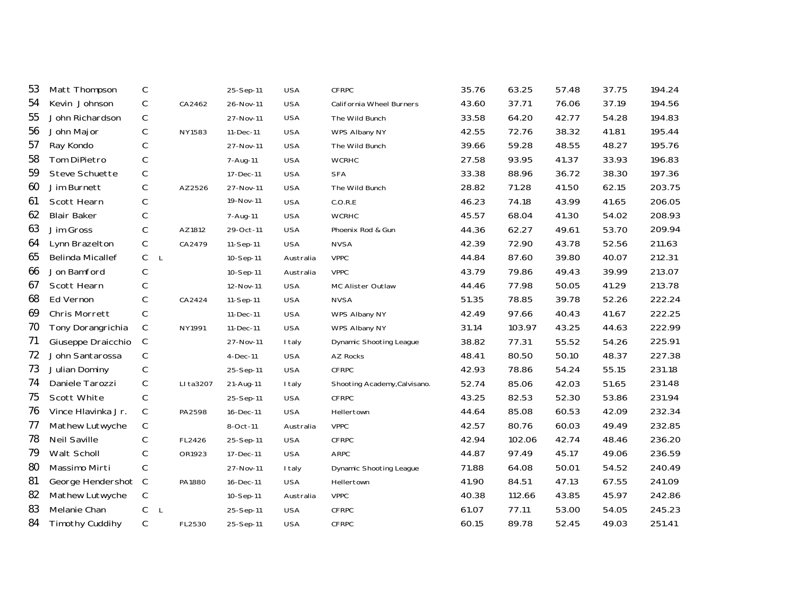| 53 | Matt Thompson           | С                |           | 25-Sep-11  | <b>USA</b> | <b>CFRPC</b>                 | 35.76 | 63.25  | 57.48 | 37.75 | 194.24 |
|----|-------------------------|------------------|-----------|------------|------------|------------------------------|-------|--------|-------|-------|--------|
| 54 | Kevin Johnson           | $\mathsf C$      | CA2462    | 26-Nov-11  | <b>USA</b> | California Wheel Burners     | 43.60 | 37.71  | 76.06 | 37.19 | 194.56 |
| 55 | John Richardson         | $\mathsf C$      |           | 27-Nov-11  | <b>USA</b> | The Wild Bunch               | 33.58 | 64.20  | 42.77 | 54.28 | 194.83 |
| 56 | John Major              | $\mathsf C$      | NY1583    | 11-Dec-11  | <b>USA</b> | WPS Albany NY                | 42.55 | 72.76  | 38.32 | 41.81 | 195.44 |
| 57 | Ray Kondo               | $\mathsf C$      |           | 27-Nov-11  | <b>USA</b> | The Wild Bunch               | 39.66 | 59.28  | 48.55 | 48.27 | 195.76 |
| 58 | Tom DiPietro            | $\mathsf C$      |           | 7-Aug-11   | <b>USA</b> | <b>WCRHC</b>                 | 27.58 | 93.95  | 41.37 | 33.93 | 196.83 |
| 59 | Steve Schuette          | С                |           | 17-Dec-11  | <b>USA</b> | <b>SFA</b>                   | 33.38 | 88.96  | 36.72 | 38.30 | 197.36 |
| 60 | Jim Burnett             | $\mathsf C$      | AZ2526    | 27-Nov-11  | <b>USA</b> | The Wild Bunch               | 28.82 | 71.28  | 41.50 | 62.15 | 203.75 |
| 61 | Scott Hearn             | $\mathsf C$      |           | 19-Nov-11  | <b>USA</b> | C.O.R.E                      | 46.23 | 74.18  | 43.99 | 41.65 | 206.05 |
| 62 | <b>Blair Baker</b>      | $\mathsf C$      |           | 7-Aug-11   | <b>USA</b> | <b>WCRHC</b>                 | 45.57 | 68.04  | 41.30 | 54.02 | 208.93 |
| 63 | Jim Gross               | $\mathsf C$      | AZ1812    | 29-Oct-11  | <b>USA</b> | Phoenix Rod & Gun            | 44.36 | 62.27  | 49.61 | 53.70 | 209.94 |
| 64 | Lynn Brazelton          | $\mathsf C$      | CA2479    | 11-Sep-11  | <b>USA</b> | <b>NVSA</b>                  | 42.39 | 72.90  | 43.78 | 52.56 | 211.63 |
| 65 | <b>Belinda Micallef</b> | C<br>$\mathsf L$ |           | 10-Sep-11  | Australia  | <b>VPPC</b>                  | 44.84 | 87.60  | 39.80 | 40.07 | 212.31 |
| 66 | Jon Bamford             | $\mathsf C$      |           | 10-Sep-11  | Australia  | <b>VPPC</b>                  | 43.79 | 79.86  | 49.43 | 39.99 | 213.07 |
| 67 | Scott Hearn             | $\mathsf C$      |           | 12-Nov-11  | <b>USA</b> | MC Alister Outlaw            | 44.46 | 77.98  | 50.05 | 41.29 | 213.78 |
| 68 | Ed Vernon               | C                | CA2424    | 11-Sep-11  | <b>USA</b> | <b>NVSA</b>                  | 51.35 | 78.85  | 39.78 | 52.26 | 222.24 |
| 69 | Chris Morrett           | $\mathsf C$      |           | 11-Dec-11  | <b>USA</b> | WPS Albany NY                | 42.49 | 97.66  | 40.43 | 41.67 | 222.25 |
| 70 | Tony Dorangrichia       | C                | NY1991    | 11-Dec-11  | <b>USA</b> | WPS Albany NY                | 31.14 | 103.97 | 43.25 | 44.63 | 222.99 |
| 71 | Giuseppe Draicchio      | C                |           | 27-Nov-11  | I taly     | Dynamic Shooting League      | 38.82 | 77.31  | 55.52 | 54.26 | 225.91 |
| 72 | John Santarossa         | С                |           | $4-Dec-11$ | <b>USA</b> | AZ Rocks                     | 48.41 | 80.50  | 50.10 | 48.37 | 227.38 |
| 73 | Julian Dominy           | $\mathsf C$      |           | 25-Sep-11  | <b>USA</b> | <b>CFRPC</b>                 | 42.93 | 78.86  | 54.24 | 55.15 | 231.18 |
| 74 | Daniele Tarozzi         | $\mathsf C$      | LI ta3207 | 21-Aug-11  | I taly     | Shooting Academy, Calvisano. | 52.74 | 85.06  | 42.03 | 51.65 | 231.48 |
| 75 | Scott White             | С                |           | 25-Sep-11  | <b>USA</b> | <b>CFRPC</b>                 | 43.25 | 82.53  | 52.30 | 53.86 | 231.94 |
| 76 | Vince Hlavinka Jr.      | $\mathsf C$      | PA2598    | 16-Dec-11  | <b>USA</b> | Hellertown                   | 44.64 | 85.08  | 60.53 | 42.09 | 232.34 |
| 77 | Mathew Lutwyche         | $\mathsf C$      |           | 8-Oct-11   | Australia  | <b>VPPC</b>                  | 42.57 | 80.76  | 60.03 | 49.49 | 232.85 |
| 78 | <b>Neil Saville</b>     | C                | FL2426    | 25-Sep-11  | <b>USA</b> | <b>CFRPC</b>                 | 42.94 | 102.06 | 42.74 | 48.46 | 236.20 |
| 79 | Walt Scholl             | $\mathsf C$      | OR1923    | 17-Dec-11  | <b>USA</b> | <b>ARPC</b>                  | 44.87 | 97.49  | 45.17 | 49.06 | 236.59 |
| 80 | Massimo Mirti           | $\mathsf C$      |           | 27-Nov-11  | I taly     | Dynamic Shooting League      | 71.88 | 64.08  | 50.01 | 54.52 | 240.49 |
| 81 | George Hendershot C     |                  | PA1880    | 16-Dec-11  | <b>USA</b> | Hellertown                   | 41.90 | 84.51  | 47.13 | 67.55 | 241.09 |
| 82 | Mathew Lutwyche         | $\mathsf C$      |           | 10-Sep-11  | Australia  | <b>VPPC</b>                  | 40.38 | 112.66 | 43.85 | 45.97 | 242.86 |
| 83 | Melanie Chan            | С<br>$\mathsf L$ |           | 25-Sep-11  | <b>USA</b> | CFRPC                        | 61.07 | 77.11  | 53.00 | 54.05 | 245.23 |
| 84 | Timothy Cuddihy         | С                | FL2530    | 25-Sep-11  | <b>USA</b> | <b>CFRPC</b>                 | 60.15 | 89.78  | 52.45 | 49.03 | 251.41 |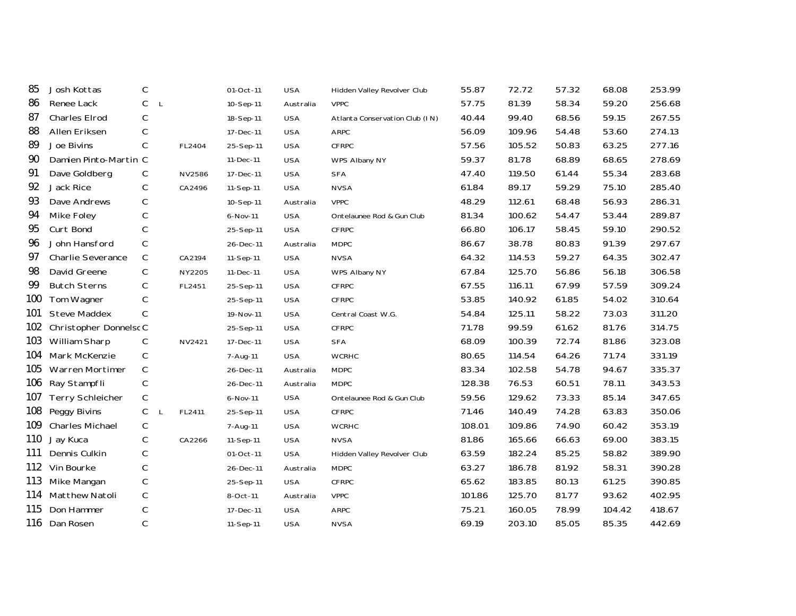| 85  | Josh Kottas             | C                           |        | 01-Oct-11 | <b>USA</b> | Hidden Valley Revolver Club    | 55.87  | 72.72  | 57.32 | 68.08  | 253.99 |
|-----|-------------------------|-----------------------------|--------|-----------|------------|--------------------------------|--------|--------|-------|--------|--------|
| 86  | Renee Lack              | $\mathsf C$<br>$\mathsf{L}$ |        | 10-Sep-11 | Australia  | <b>VPPC</b>                    | 57.75  | 81.39  | 58.34 | 59.20  | 256.68 |
| 87  | Charles Elrod           | $\mathsf C$                 |        | 18-Sep-11 | <b>USA</b> | Atlanta Conservation Club (IN) | 40.44  | 99.40  | 68.56 | 59.15  | 267.55 |
| 88  | Allen Eriksen           | C                           |        | 17-Dec-11 | <b>USA</b> | <b>ARPC</b>                    | 56.09  | 109.96 | 54.48 | 53.60  | 274.13 |
| 89  | Joe Bivins              | $\mathsf{C}$                | FL2404 | 25-Sep-11 | <b>USA</b> | <b>CFRPC</b>                   | 57.56  | 105.52 | 50.83 | 63.25  | 277.16 |
| 90  | Damien Pinto-Martin C   |                             |        | 11-Dec-11 | <b>USA</b> | WPS Albany NY                  | 59.37  | 81.78  | 68.89 | 68.65  | 278.69 |
| 91  | Dave Goldberg           | C                           | NV2586 | 17-Dec-11 | <b>USA</b> | <b>SFA</b>                     | 47.40  | 119.50 | 61.44 | 55.34  | 283.68 |
| 92  | Jack Rice               | C                           | CA2496 | 11-Sep-11 | <b>USA</b> | <b>NVSA</b>                    | 61.84  | 89.17  | 59.29 | 75.10  | 285.40 |
| 93  | Dave Andrews            | $\mathsf C$                 |        | 10-Sep-11 | Australia  | <b>VPPC</b>                    | 48.29  | 112.61 | 68.48 | 56.93  | 286.31 |
| 94  | Mike Foley              | C                           |        | 6-Nov-11  | <b>USA</b> | Ontelaunee Rod & Gun Club      | 81.34  | 100.62 | 54.47 | 53.44  | 289.87 |
| 95  | Curt Bond               | $\mathsf{C}$                |        | 25-Sep-11 | <b>USA</b> | <b>CFRPC</b>                   | 66.80  | 106.17 | 58.45 | 59.10  | 290.52 |
| 96  | John Hansford           | $\mathsf C$                 |        | 26-Dec-11 | Australia  | <b>MDPC</b>                    | 86.67  | 38.78  | 80.83 | 91.39  | 297.67 |
| 97  | Charlie Severance       | $\mathsf C$                 | CA2194 | 11-Sep-11 | <b>USA</b> | <b>NVSA</b>                    | 64.32  | 114.53 | 59.27 | 64.35  | 302.47 |
| 98  | David Greene            | C                           | NY2205 | 11-Dec-11 | <b>USA</b> | WPS Albany NY                  | 67.84  | 125.70 | 56.86 | 56.18  | 306.58 |
| 99  | <b>Butch Sterns</b>     | $\mathsf{C}$                | FL2451 | 25-Sep-11 | <b>USA</b> | <b>CFRPC</b>                   | 67.55  | 116.11 | 67.99 | 57.59  | 309.24 |
| 100 | Tom Wagner              | $\mathsf{C}$                |        | 25-Sep-11 | <b>USA</b> | <b>CFRPC</b>                   | 53.85  | 140.92 | 61.85 | 54.02  | 310.64 |
| 101 | <b>Steve Maddex</b>     | $\mathsf{C}$                |        | 19-Nov-11 | <b>USA</b> | Central Coast W.G.             | 54.84  | 125.11 | 58.22 | 73.03  | 311.20 |
| 102 | Christopher DonnelscC   |                             |        | 25-Sep-11 | <b>USA</b> | <b>CFRPC</b>                   | 71.78  | 99.59  | 61.62 | 81.76  | 314.75 |
| 103 | William Sharp           | C                           | NV2421 | 17-Dec-11 | <b>USA</b> | <b>SFA</b>                     | 68.09  | 100.39 | 72.74 | 81.86  | 323.08 |
| 104 | Mark McKenzie           | C                           |        | 7-Aug-11  | <b>USA</b> | <b>WCRHC</b>                   | 80.65  | 114.54 | 64.26 | 71.74  | 331.19 |
| 105 | Warren Mortimer         | $\mathsf{C}$                |        | 26-Dec-11 | Australia  | <b>MDPC</b>                    | 83.34  | 102.58 | 54.78 | 94.67  | 335.37 |
| 106 | Ray Stampfli            | $\mathsf{C}$                |        | 26-Dec-11 | Australia  | <b>MDPC</b>                    | 128.38 | 76.53  | 60.51 | 78.11  | 343.53 |
| 107 | <b>Terry Schleicher</b> | C                           |        | 6-Nov-11  | <b>USA</b> | Ontelaunee Rod & Gun Club      | 59.56  | 129.62 | 73.33 | 85.14  | 347.65 |
| 108 | Peggy Bivins            | С<br>L                      | FL2411 | 25-Sep-11 | <b>USA</b> | <b>CFRPC</b>                   | 71.46  | 140.49 | 74.28 | 63.83  | 350.06 |
| 109 | <b>Charles Michael</b>  | $\mathsf C$                 |        | 7-Aug-11  | <b>USA</b> | <b>WCRHC</b>                   | 108.01 | 109.86 | 74.90 | 60.42  | 353.19 |
| 110 | Jay Kuca                | C                           | CA2266 | 11-Sep-11 | <b>USA</b> | <b>NVSA</b>                    | 81.86  | 165.66 | 66.63 | 69.00  | 383.15 |
| 111 | Dennis Culkin           | $\mathsf{C}$                |        | 01-Oct-11 | <b>USA</b> | Hidden Valley Revolver Club    | 63.59  | 182.24 | 85.25 | 58.82  | 389.90 |
| 112 | Vin Bourke              | $\mathsf C$                 |        | 26-Dec-11 | Australia  | <b>MDPC</b>                    | 63.27  | 186.78 | 81.92 | 58.31  | 390.28 |
| 113 | Mike Mangan             | C                           |        | 25-Sep-11 | <b>USA</b> | <b>CFRPC</b>                   | 65.62  | 183.85 | 80.13 | 61.25  | 390.85 |
| 114 | Matthew Natoli          | $\mathsf C$                 |        | 8-Oct-11  | Australia  | <b>VPPC</b>                    | 101.86 | 125.70 | 81.77 | 93.62  | 402.95 |
| 115 | Don Hammer              | C                           |        | 17-Dec-11 | <b>USA</b> | <b>ARPC</b>                    | 75.21  | 160.05 | 78.99 | 104.42 | 418.67 |
| 116 | Dan Rosen               | $\mathsf{C}$                |        | 11-Sep-11 | <b>USA</b> | <b>NVSA</b>                    | 69.19  | 203.10 | 85.05 | 85.35  | 442.69 |
|     |                         |                             |        |           |            |                                |        |        |       |        |        |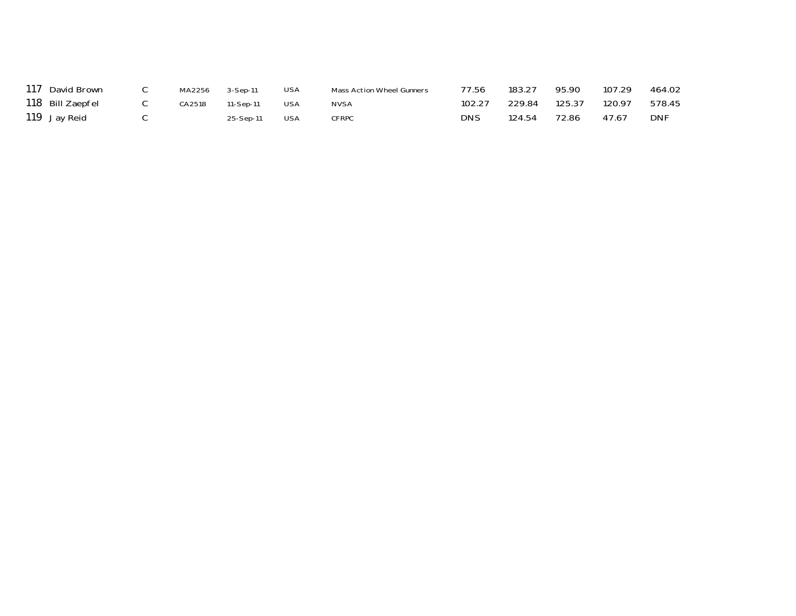| 117 David Brown  | MA2256 | 3-Sep-11  | USA        | Mass Action Wheel Gunners | 77.56  | 183.27 | 95.90  | 107.29 | 464.02     |
|------------------|--------|-----------|------------|---------------------------|--------|--------|--------|--------|------------|
| 118 Bill Zaepfel | CA2518 | 11-Sep-11 | <b>USA</b> | <b>NVSA</b>               | 102.27 | 229.84 | 125.37 | 120.97 | 578.45     |
| 119 Jay Reid     |        | 25-Sep-11 | <b>USA</b> | <b>CFRPC</b>              | DNS    | 124.54 | 72.86  | 47.67  | <b>DNF</b> |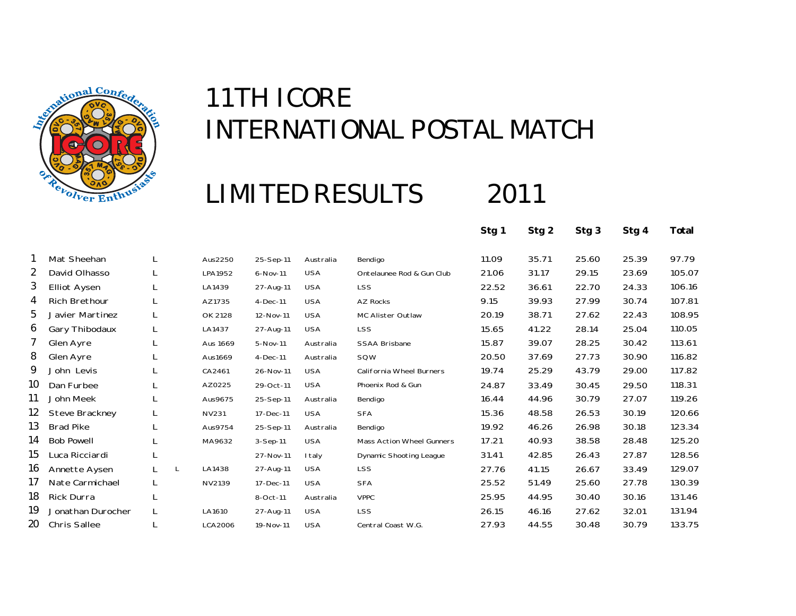

### **LIMITED RESULTS**

2011

**Stg 1 Stg 2 Stg 3 Stg 4 Total**

|    | Mat Sheehan          |    |   | Aus2250      | 25-Sep-11  | Australia  | Bendigo                          | 11.09 | 35.71 | 25.60 | 25.39 | 97.79  |
|----|----------------------|----|---|--------------|------------|------------|----------------------------------|-------|-------|-------|-------|--------|
| 2  | David Olhasso        | L  |   | LPA1952      | 6-Nov-11   | <b>USA</b> | Ontelaunee Rod & Gun Club        | 21.06 | 31.17 | 29.15 | 23.69 | 105.07 |
| 3  | <b>Elliot Aysen</b>  | L  |   | LA1439       | 27-Aug-11  | <b>USA</b> | <b>LSS</b>                       | 22.52 | 36.61 | 22.70 | 24.33 | 106.16 |
| 4  | <b>Rich Brethour</b> | L. |   | AZ1735       | $4-Dec-11$ | <b>USA</b> | <b>AZ Rocks</b>                  | 9.15  | 39.93 | 27.99 | 30.74 | 107.81 |
| 5  | Javier Martinez      | L  |   | OK 2128      | 12-Nov-11  | <b>USA</b> | MC Alister Outlaw                | 20.19 | 38.71 | 27.62 | 22.43 | 108.95 |
| 6  | Gary Thibodaux       |    |   | LA1437       | 27-Aug-11  | <b>USA</b> | <b>LSS</b>                       | 15.65 | 41.22 | 28.14 | 25.04 | 110.05 |
| 7  | Glen Ayre            | L  |   | Aus 1669     | 5-Nov-11   | Australia  | <b>SSAA Brisbane</b>             | 15.87 | 39.07 | 28.25 | 30.42 | 113.61 |
| 8  | Glen Ayre            |    |   | Aus1669      | 4-Dec-11   | Australia  | SQW                              | 20.50 | 37.69 | 27.73 | 30.90 | 116.82 |
| 9  | John Levis           |    |   | CA2461       | 26-Nov-11  | <b>USA</b> | California Wheel Burners         | 19.74 | 25.29 | 43.79 | 29.00 | 117.82 |
| 10 | Dan Furbee           |    |   | AZ0225       | 29-Oct-11  | <b>USA</b> | Phoenix Rod & Gun                | 24.87 | 33.49 | 30.45 | 29.50 | 118.31 |
| 11 | John Meek            |    |   | Aus9675      | 25-Sep-11  | Australia  | Bendigo                          | 16.44 | 44.96 | 30.79 | 27.07 | 119.26 |
| 12 | Steve Brackney       |    |   | <b>NV231</b> | 17-Dec-11  | <b>USA</b> | <b>SFA</b>                       | 15.36 | 48.58 | 26.53 | 30.19 | 120.66 |
| 13 | <b>Brad Pike</b>     | L  |   | Aus9754      | 25-Sep-11  | Australia  | Bendigo                          | 19.92 | 46.26 | 26.98 | 30.18 | 123.34 |
| 14 | <b>Bob Powell</b>    |    |   | MA9632       | 3-Sep-11   | <b>USA</b> | <b>Mass Action Wheel Gunners</b> | 17.21 | 40.93 | 38.58 | 28.48 | 125.20 |
| 15 | Luca Ricciardi       |    |   |              | 27-Nov-11  | I taly     | <b>Dynamic Shooting League</b>   | 31.41 | 42.85 | 26.43 | 27.87 | 128.56 |
| 16 | Annette Aysen        |    | L | LA1438       | 27-Aug-11  | <b>USA</b> | LSS                              | 27.76 | 41.15 | 26.67 | 33.49 | 129.07 |
| 17 | Nate Carmichael      | L  |   | NV2139       | 17-Dec-11  | <b>USA</b> | <b>SFA</b>                       | 25.52 | 51.49 | 25.60 | 27.78 | 130.39 |
| 18 | Rick Durra           | ┗  |   |              | 8-Oct-11   | Australia  | <b>VPPC</b>                      | 25.95 | 44.95 | 30.40 | 30.16 | 131.46 |
| 19 | Jonathan Durocher    | L  |   | LA1610       | 27-Aug-11  | <b>USA</b> | <b>LSS</b>                       | 26.15 | 46.16 | 27.62 | 32.01 | 131.94 |
| 20 | <b>Chris Sallee</b>  |    |   | LCA2006      | 19-Nov-11  | <b>USA</b> | Central Coast W.G.               | 27.93 | 44.55 | 30.48 | 30.79 | 133.75 |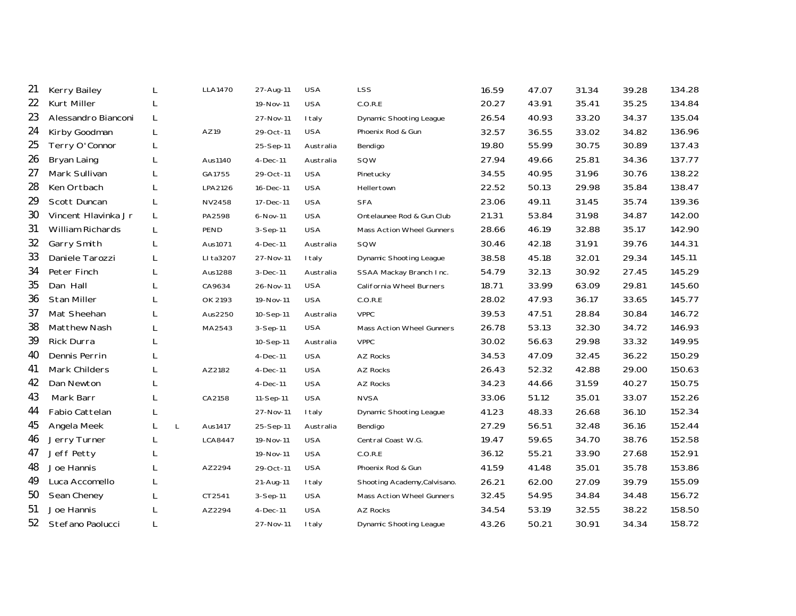| 21 | Kerry Bailey            |   |   | <b>LLA1470</b> | 27-Aug-11  | <b>USA</b> | <b>LSS</b>                       | 16.59 | 47.07 | 31.34 | 39.28 | 134.28 |
|----|-------------------------|---|---|----------------|------------|------------|----------------------------------|-------|-------|-------|-------|--------|
| 22 | Kurt Miller             |   |   |                | 19-Nov-11  | <b>USA</b> | C.O.R.E                          | 20.27 | 43.91 | 35.41 | 35.25 | 134.84 |
| 23 | Alessandro Bianconi     | L |   |                | 27-Nov-11  | I taly     | <b>Dynamic Shooting League</b>   | 26.54 | 40.93 | 33.20 | 34.37 | 135.04 |
| 24 | Kirby Goodman           | L |   | AZ19           | 29-Oct-11  | <b>USA</b> | Phoenix Rod & Gun                | 32.57 | 36.55 | 33.02 | 34.82 | 136.96 |
| 25 | Terry O'Connor          | L |   |                | 25-Sep-11  | Australia  | Bendigo                          | 19.80 | 55.99 | 30.75 | 30.89 | 137.43 |
| 26 | Bryan Laing             | L |   | Aus1140        | $4-Dec-11$ | Australia  | SQW                              | 27.94 | 49.66 | 25.81 | 34.36 | 137.77 |
| 27 | Mark Sullivan           |   |   | GA1755         | 29-Oct-11  | <b>USA</b> | Pinetucky                        | 34.55 | 40.95 | 31.96 | 30.76 | 138.22 |
| 28 | Ken Ortbach             |   |   | LPA2126        | 16-Dec-11  | <b>USA</b> | Hellertown                       | 22.52 | 50.13 | 29.98 | 35.84 | 138.47 |
| 29 | Scott Duncan            | L |   | NV2458         | 17-Dec-11  | <b>USA</b> | <b>SFA</b>                       | 23.06 | 49.11 | 31.45 | 35.74 | 139.36 |
| 30 | Vincent Hlavinka Jr     | L |   | PA2598         | 6-Nov-11   | <b>USA</b> | Ontelaunee Rod & Gun Club        | 21.31 | 53.84 | 31.98 | 34.87 | 142.00 |
| 31 | <b>William Richards</b> | L |   | PEND           | 3-Sep-11   | <b>USA</b> | Mass Action Wheel Gunners        | 28.66 | 46.19 | 32.88 | 35.17 | 142.90 |
| 32 | Garry Smith             | L |   | Aus1071        | 4-Dec-11   | Australia  | SQW                              | 30.46 | 42.18 | 31.91 | 39.76 | 144.31 |
| 33 | Daniele Tarozzi         | L |   | LI ta3207      | 27-Nov-11  | I taly     | <b>Dynamic Shooting League</b>   | 38.58 | 45.18 | 32.01 | 29.34 | 145.11 |
| 34 | Peter Finch             | L |   | Aus1288        | 3-Dec-11   | Australia  | SSAA Mackay Branch Inc.          | 54.79 | 32.13 | 30.92 | 27.45 | 145.29 |
| 35 | Dan Hall                | L |   | CA9634         | 26-Nov-11  | <b>USA</b> | California Wheel Burners         | 18.71 | 33.99 | 63.09 | 29.81 | 145.60 |
| 36 | <b>Stan Miller</b>      |   |   | OK 2193        | 19-Nov-11  | <b>USA</b> | C.O.R.E                          | 28.02 | 47.93 | 36.17 | 33.65 | 145.77 |
| 37 | Mat Sheehan             | L |   | Aus2250        | 10-Sep-11  | Australia  | <b>VPPC</b>                      | 39.53 | 47.51 | 28.84 | 30.84 | 146.72 |
| 38 | Matthew Nash            |   |   | MA2543         | $3-Sep-11$ | <b>USA</b> | <b>Mass Action Wheel Gunners</b> | 26.78 | 53.13 | 32.30 | 34.72 | 146.93 |
| 39 | Rick Durra              | L |   |                | 10-Sep-11  | Australia  | <b>VPPC</b>                      | 30.02 | 56.63 | 29.98 | 33.32 | 149.95 |
| 40 | Dennis Perrin           |   |   |                | $4-Dec-11$ | <b>USA</b> | AZ Rocks                         | 34.53 | 47.09 | 32.45 | 36.22 | 150.29 |
| 41 | Mark Childers           |   |   | AZ2182         | 4-Dec-11   | <b>USA</b> | <b>AZ Rocks</b>                  | 26.43 | 52.32 | 42.88 | 29.00 | 150.63 |
| 42 | Dan Newton              | L |   |                | $4-Dec-11$ | <b>USA</b> | <b>AZ Rocks</b>                  | 34.23 | 44.66 | 31.59 | 40.27 | 150.75 |
| 43 | Mark Barr               | L |   | CA2158         | 11-Sep-11  | <b>USA</b> | <b>NVSA</b>                      | 33.06 | 51.12 | 35.01 | 33.07 | 152.26 |
| 44 | Fabio Cattelan          | L |   |                | 27-Nov-11  | I taly     | Dynamic Shooting League          | 41.23 | 48.33 | 26.68 | 36.10 | 152.34 |
| 45 | Angela Meek             |   | L | Aus1417        | 25-Sep-11  | Australia  | Bendigo                          | 27.29 | 56.51 | 32.48 | 36.16 | 152.44 |
| 46 | Jerry Turner            | L |   | LCA8447        | 19-Nov-11  | <b>USA</b> | Central Coast W.G.               | 19.47 | 59.65 | 34.70 | 38.76 | 152.58 |
| 47 | Jeff Petty              |   |   |                | 19-Nov-11  | <b>USA</b> | C.O.R.E                          | 36.12 | 55.21 | 33.90 | 27.68 | 152.91 |
| 48 | Joe Hannis              |   |   | AZ2294         | 29-Oct-11  | <b>USA</b> | Phoenix Rod & Gun                | 41.59 | 41.48 | 35.01 | 35.78 | 153.86 |
| 49 | Luca Accomello          |   |   |                | 21-Aug-11  | I taly     | Shooting Academy, Calvisano.     | 26.21 | 62.00 | 27.09 | 39.79 | 155.09 |
| 50 | Sean Cheney             |   |   | CT2541         | 3-Sep-11   | <b>USA</b> | Mass Action Wheel Gunners        | 32.45 | 54.95 | 34.84 | 34.48 | 156.72 |
| 51 | Joe Hannis              |   |   | AZ2294         | 4-Dec-11   | <b>USA</b> | <b>AZ Rocks</b>                  | 34.54 | 53.19 | 32.55 | 38.22 | 158.50 |
| 52 | Stefano Paolucci        | L |   |                | 27-Nov-11  | I taly     | Dynamic Shooting League          | 43.26 | 50.21 | 30.91 | 34.34 | 158.72 |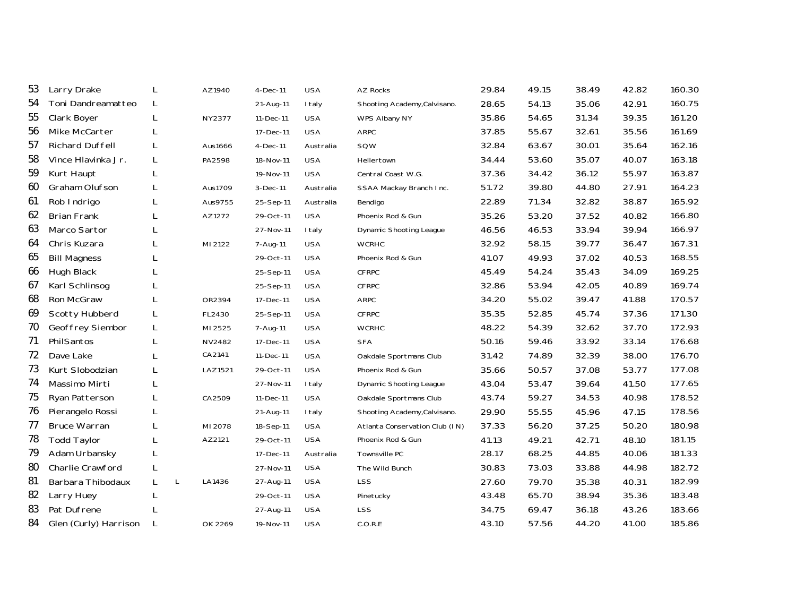| 53 | Larry Drake            |   |   | AZ1940  | $4-Dec-11$ | <b>USA</b>    | AZ Rocks                       | 29.84 | 49.15 | 38.49 | 42.82 | 160.30 |
|----|------------------------|---|---|---------|------------|---------------|--------------------------------|-------|-------|-------|-------|--------|
| 54 | Toni Dandreamatteo     | L |   |         | 21-Aug-11  | I taly        | Shooting Academy, Calvisano.   | 28.65 | 54.13 | 35.06 | 42.91 | 160.75 |
| 55 | Clark Boyer            | L |   | NY2377  | 11-Dec-11  | <b>USA</b>    | WPS Albany NY                  | 35.86 | 54.65 | 31.34 | 39.35 | 161.20 |
| 56 | Mike McCarter          | L |   |         | 17-Dec-11  | <b>USA</b>    | ARPC                           | 37.85 | 55.67 | 32.61 | 35.56 | 161.69 |
| 57 | <b>Richard Duffell</b> | L |   | Aus1666 | 4-Dec-11   | Australia     | SQW                            | 32.84 | 63.67 | 30.01 | 35.64 | 162.16 |
| 58 | Vince Hlavinka Jr.     | L |   | PA2598  | 18-Nov-11  | <b>USA</b>    | Hellertown                     | 34.44 | 53.60 | 35.07 | 40.07 | 163.18 |
| 59 | Kurt Haupt             | L |   |         | 19-Nov-11  | <b>USA</b>    | Central Coast W.G.             | 37.36 | 34.42 | 36.12 | 55.97 | 163.87 |
| 60 | Graham Olufson         | L |   | Aus1709 | 3-Dec-11   | Australia     | SSAA Mackay Branch Inc.        | 51.72 | 39.80 | 44.80 | 27.91 | 164.23 |
| 61 | Rob Indrigo            | L |   | Aus9755 | 25-Sep-11  | Australia     | Bendigo                        | 22.89 | 71.34 | 32.82 | 38.87 | 165.92 |
| 62 | <b>Brian Frank</b>     | L |   | AZ1272  | 29-Oct-11  | <b>USA</b>    | Phoenix Rod & Gun              | 35.26 | 53.20 | 37.52 | 40.82 | 166.80 |
| 63 | Marco Sartor           |   |   |         | 27-Nov-11  | I taly        | <b>Dynamic Shooting League</b> | 46.56 | 46.53 | 33.94 | 39.94 | 166.97 |
| 64 | Chris Kuzara           | L |   | MI 2122 | 7-Aug-11   | <b>USA</b>    | <b>WCRHC</b>                   | 32.92 | 58.15 | 39.77 | 36.47 | 167.31 |
| 65 | <b>Bill Magness</b>    | L |   |         | 29-Oct-11  | <b>USA</b>    | Phoenix Rod & Gun              | 41.07 | 49.93 | 37.02 | 40.53 | 168.55 |
| 66 | Hugh Black             |   |   |         | 25-Sep-11  | <b>USA</b>    | <b>CFRPC</b>                   | 45.49 | 54.24 | 35.43 | 34.09 | 169.25 |
| 67 | Karl Schlinsog         |   |   |         | 25-Sep-11  | <b>USA</b>    | <b>CFRPC</b>                   | 32.86 | 53.94 | 42.05 | 40.89 | 169.74 |
| 68 | Ron McGraw             | L |   | OR2394  | 17-Dec-11  | <b>USA</b>    | ARPC                           | 34.20 | 55.02 | 39.47 | 41.88 | 170.57 |
| 69 | Scotty Hubberd         | L |   | FL2430  | 25-Sep-11  | <b>USA</b>    | <b>CFRPC</b>                   | 35.35 | 52.85 | 45.74 | 37.36 | 171.30 |
| 70 | Geoffrey Siembor       | L |   | MI 2525 | 7-Aug-11   | <b>USA</b>    | <b>WCRHC</b>                   | 48.22 | 54.39 | 32.62 | 37.70 | 172.93 |
| 71 | PhilSantos             | L |   | NV2482  | 17-Dec-11  | <b>USA</b>    | <b>SFA</b>                     | 50.16 | 59.46 | 33.92 | 33.14 | 176.68 |
| 72 | Dave Lake              |   |   | CA2141  | 11-Dec-11  | <b>USA</b>    | Oakdale Sportmans Club         | 31.42 | 74.89 | 32.39 | 38.00 | 176.70 |
| 73 | Kurt Slobodzian        | L |   | LAZ1521 | 29-Oct-11  | <b>USA</b>    | Phoenix Rod & Gun              | 35.66 | 50.57 | 37.08 | 53.77 | 177.08 |
| 74 | Massimo Mirti          | L |   |         | 27-Nov-11  | <b>I</b> taly | <b>Dynamic Shooting League</b> | 43.04 | 53.47 | 39.64 | 41.50 | 177.65 |
| 75 | Ryan Patterson         | L |   | CA2509  | 11-Dec-11  | <b>USA</b>    | Oakdale Sportmans Club         | 43.74 | 59.27 | 34.53 | 40.98 | 178.52 |
| 76 | Pierangelo Rossi       | L |   |         | 21-Aug-11  | I taly        | Shooting Academy, Calvisano.   | 29.90 | 55.55 | 45.96 | 47.15 | 178.56 |
| 77 | <b>Bruce Warran</b>    | L |   | MI 2078 | 18-Sep-11  | <b>USA</b>    | Atlanta Conservation Club (IN) | 37.33 | 56.20 | 37.25 | 50.20 | 180.98 |
| 78 | <b>Todd Taylor</b>     | L |   | AZ2121  | 29-Oct-11  | <b>USA</b>    | Phoenix Rod & Gun              | 41.13 | 49.21 | 42.71 | 48.10 | 181.15 |
| 79 | Adam Urbansky          | L |   |         | 17-Dec-11  | Australia     | Townsville PC                  | 28.17 | 68.25 | 44.85 | 40.06 | 181.33 |
| 80 | Charlie Crawford       | L |   |         | 27-Nov-11  | <b>USA</b>    | The Wild Bunch                 | 30.83 | 73.03 | 33.88 | 44.98 | 182.72 |
| 81 | Barbara Thibodaux      | L | L | LA1436  | 27-Aug-11  | <b>USA</b>    | <b>LSS</b>                     | 27.60 | 79.70 | 35.38 | 40.31 | 182.99 |
| 82 | Larry Huey             | L |   |         | 29-Oct-11  | <b>USA</b>    | Pinetucky                      | 43.48 | 65.70 | 38.94 | 35.36 | 183.48 |
| 83 | Pat Dufrene            |   |   |         | 27-Aug-11  | <b>USA</b>    | <b>LSS</b>                     | 34.75 | 69.47 | 36.18 | 43.26 | 183.66 |
| 84 | Glen (Curly) Harrison  | L |   | OK 2269 | 19-Nov-11  | <b>USA</b>    | C.O.R.E                        | 43.10 | 57.56 | 44.20 | 41.00 | 185.86 |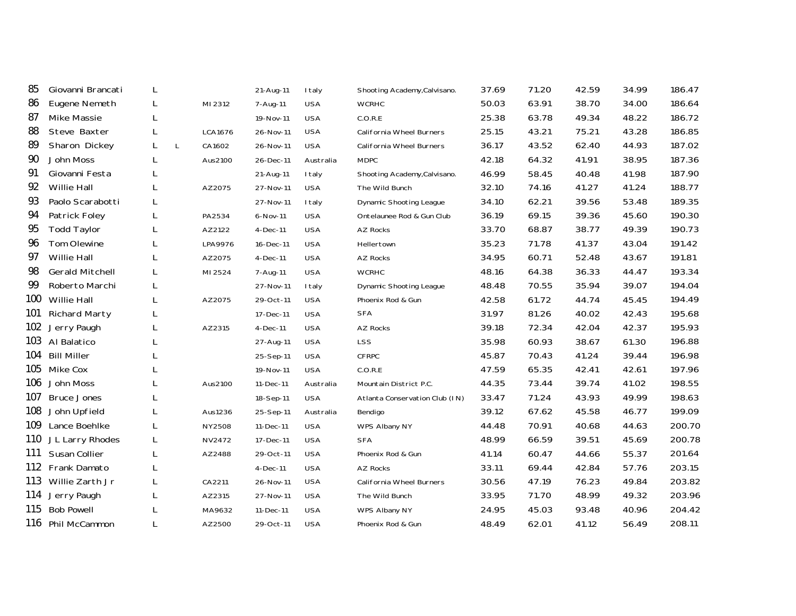| 85  | Giovanni Brancati      | L      |               | 21-Aug-11 | I taly        | Shooting Academy, Calvisano.   | 37.69 | 71.20 | 42.59 | 34.99 | 186.47 |
|-----|------------------------|--------|---------------|-----------|---------------|--------------------------------|-------|-------|-------|-------|--------|
| 86  | Eugene Nemeth          | L.     | MI 2312       | 7-Aug-11  | <b>USA</b>    | <b>WCRHC</b>                   | 50.03 | 63.91 | 38.70 | 34.00 | 186.64 |
| 87  | Mike Massie            | L      |               | 19-Nov-11 | <b>USA</b>    | C.O.R.E                        | 25.38 | 63.78 | 49.34 | 48.22 | 186.72 |
| 88  | Steve Baxter           | L.     | LCA1676       | 26-Nov-11 | <b>USA</b>    | California Wheel Burners       | 25.15 | 43.21 | 75.21 | 43.28 | 186.85 |
| 89  | Sharon Dickey          | L<br>L | CA1602        | 26-Nov-11 | <b>USA</b>    | California Wheel Burners       | 36.17 | 43.52 | 62.40 | 44.93 | 187.02 |
| 90  | John Moss              | L.     | Aus2100       | 26-Dec-11 | Australia     | <b>MDPC</b>                    | 42.18 | 64.32 | 41.91 | 38.95 | 187.36 |
| 91  | Giovanni Festa         | L      |               | 21-Aug-11 | I taly        | Shooting Academy, Calvisano.   | 46.99 | 58.45 | 40.48 | 41.98 | 187.90 |
| 92  | Willie Hall            | L      | AZ2075        | 27-Nov-11 | <b>USA</b>    | The Wild Bunch                 | 32.10 | 74.16 | 41.27 | 41.24 | 188.77 |
| 93  | Paolo Scarabotti       | L      |               | 27-Nov-11 | I taly        | <b>Dynamic Shooting League</b> | 34.10 | 62.21 | 39.56 | 53.48 | 189.35 |
| 94  | Patrick Foley          | L      | PA2534        | 6-Nov-11  | <b>USA</b>    | Ontelaunee Rod & Gun Club      | 36.19 | 69.15 | 39.36 | 45.60 | 190.30 |
| 95  | <b>Todd Taylor</b>     | L      | AZ2122        | 4-Dec-11  | <b>USA</b>    | <b>AZ Rocks</b>                | 33.70 | 68.87 | 38.77 | 49.39 | 190.73 |
| 96  | Tom Olewine            |        | LPA9976       | 16-Dec-11 | <b>USA</b>    | Hellertown                     | 35.23 | 71.78 | 41.37 | 43.04 | 191.42 |
| 97  | Willie Hall            | L      | AZ2075        | 4-Dec-11  | <b>USA</b>    | AZ Rocks                       | 34.95 | 60.71 | 52.48 | 43.67 | 191.81 |
| 98  | <b>Gerald Mitchell</b> | L.     | MI 2524       | 7-Aug-11  | <b>USA</b>    | <b>WCRHC</b>                   | 48.16 | 64.38 | 36.33 | 44.47 | 193.34 |
| 99  | Roberto Marchi         |        |               | 27-Nov-11 | <b>I</b> taly | Dynamic Shooting League        | 48.48 | 70.55 | 35.94 | 39.07 | 194.04 |
| 100 | Willie Hall            | L      | AZ2075        | 29-Oct-11 | <b>USA</b>    | Phoenix Rod & Gun              | 42.58 | 61.72 | 44.74 | 45.45 | 194.49 |
| 101 | <b>Richard Marty</b>   | L      |               | 17-Dec-11 | <b>USA</b>    | <b>SFA</b>                     | 31.97 | 81.26 | 40.02 | 42.43 | 195.68 |
| 102 | Jerry Paugh            | L      | AZ2315        | 4-Dec-11  | <b>USA</b>    | <b>AZ Rocks</b>                | 39.18 | 72.34 | 42.04 | 42.37 | 195.93 |
|     | 103 Al Balatico        | L      |               | 27-Aug-11 | <b>USA</b>    | <b>LSS</b>                     | 35.98 | 60.93 | 38.67 | 61.30 | 196.88 |
| 104 | <b>Bill Miller</b>     | L      |               | 25-Sep-11 | <b>USA</b>    | <b>CFRPC</b>                   | 45.87 | 70.43 | 41.24 | 39.44 | 196.98 |
| 105 | Mike Cox               |        |               | 19-Nov-11 | <b>USA</b>    | C.O.R.E                        | 47.59 | 65.35 | 42.41 | 42.61 | 197.96 |
| 106 | John Moss              | L.     | Aus2100       | 11-Dec-11 | Australia     | Mountain District P.C.         | 44.35 | 73.44 | 39.74 | 41.02 | 198.55 |
| 107 | <b>Bruce Jones</b>     | L      |               | 18-Sep-11 | <b>USA</b>    | Atlanta Conservation Club (IN) | 33.47 | 71.24 | 43.93 | 49.99 | 198.63 |
| 108 | John Upfield           | L      | Aus1236       | 25-Sep-11 | Australia     | Bendigo                        | 39.12 | 67.62 | 45.58 | 46.77 | 199.09 |
|     | 109 Lance Boehlke      | L.     | <b>NY2508</b> | 11-Dec-11 | <b>USA</b>    | WPS Albany NY                  | 44.48 | 70.91 | 40.68 | 44.63 | 200.70 |
|     | 110 JL Larry Rhodes    | L.     | NV2472        | 17-Dec-11 | <b>USA</b>    | <b>SFA</b>                     | 48.99 | 66.59 | 39.51 | 45.69 | 200.78 |
| 111 | Susan Collier          | L      | AZ2488        | 29-Oct-11 | <b>USA</b>    | Phoenix Rod & Gun              | 41.14 | 60.47 | 44.66 | 55.37 | 201.64 |
|     | 112 Frank Damato       | L.     |               | 4-Dec-11  | <b>USA</b>    | AZ Rocks                       | 33.11 | 69.44 | 42.84 | 57.76 | 203.15 |
| 113 | Willie Zarth Jr        | L.     | CA2211        | 26-Nov-11 | <b>USA</b>    | California Wheel Burners       | 30.56 | 47.19 | 76.23 | 49.84 | 203.82 |
| 114 | Jerry Paugh            | L      | AZ2315        | 27-Nov-11 | <b>USA</b>    | The Wild Bunch                 | 33.95 | 71.70 | 48.99 | 49.32 | 203.96 |
| 115 | <b>Bob Powell</b>      | L      | MA9632        | 11-Dec-11 | <b>USA</b>    | WPS Albany NY                  | 24.95 | 45.03 | 93.48 | 40.96 | 204.42 |
|     | 116 Phil McCammon      | L      | AZ2500        | 29-Oct-11 | <b>USA</b>    | Phoenix Rod & Gun              | 48.49 | 62.01 | 41.12 | 56.49 | 208.11 |
|     |                        |        |               |           |               |                                |       |       |       |       |        |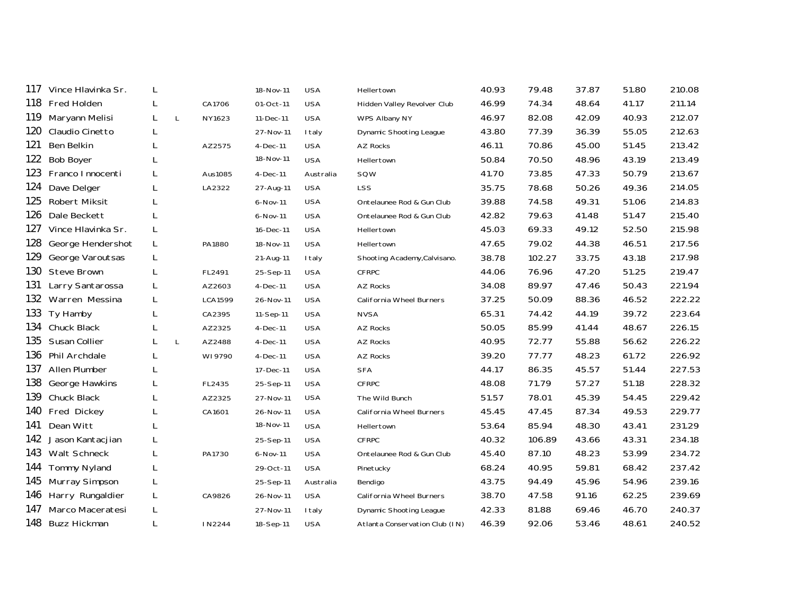| 117 | Vince Hlavinka Sr.  | L |              |         | 18-Nov-11    | <b>USA</b>    | Hellertown                     | 40.93 | 79.48  | 37.87 | 51.80 | 210.08 |
|-----|---------------------|---|--------------|---------|--------------|---------------|--------------------------------|-------|--------|-------|-------|--------|
| 118 | Fred Holden         | L |              | CA1706  | 01-Oct-11    | <b>USA</b>    | Hidden Valley Revolver Club    | 46.99 | 74.34  | 48.64 | 41.17 | 211.14 |
| 119 | Maryann Melisi      | L | L            | NY1623  | 11-Dec-11    | <b>USA</b>    | WPS Albany NY                  | 46.97 | 82.08  | 42.09 | 40.93 | 212.07 |
| 120 | Claudio Cinetto     | L |              |         | 27-Nov-11    | I taly        | Dynamic Shooting League        | 43.80 | 77.39  | 36.39 | 55.05 | 212.63 |
| 121 | Ben Belkin          | L |              | AZ2575  | $4-Dec-11$   | <b>USA</b>    | AZ Rocks                       | 46.11 | 70.86  | 45.00 | 51.45 | 213.42 |
| 122 | <b>Bob Boyer</b>    | L |              |         | 18-Nov-11    | <b>USA</b>    | Hellertown                     | 50.84 | 70.50  | 48.96 | 43.19 | 213.49 |
| 123 | Franco Innocenti    | L |              | Aus1085 | $4-Dec-11$   | Australia     | SQW                            | 41.70 | 73.85  | 47.33 | 50.79 | 213.67 |
| 124 | Dave Delger         | L |              | LA2322  | 27-Aug-11    | <b>USA</b>    | <b>LSS</b>                     | 35.75 | 78.68  | 50.26 | 49.36 | 214.05 |
| 125 | Robert Miksit       |   |              |         | $6 - Nov-11$ | <b>USA</b>    | Ontelaunee Rod & Gun Club      | 39.88 | 74.58  | 49.31 | 51.06 | 214.83 |
| 126 | Dale Beckett        |   |              |         | 6-Nov-11     | <b>USA</b>    | Ontelaunee Rod & Gun Club      | 42.82 | 79.63  | 41.48 | 51.47 | 215.40 |
| 127 | Vince Hlavinka Sr.  | L |              |         | 16-Dec-11    | <b>USA</b>    | Hellertown                     | 45.03 | 69.33  | 49.12 | 52.50 | 215.98 |
| 128 | George Hendershot   | L |              | PA1880  | 18-Nov-11    | <b>USA</b>    | Hellertown                     | 47.65 | 79.02  | 44.38 | 46.51 | 217.56 |
| 129 | George Varoutsas    | L |              |         | 21-Aug-11    | <b>I</b> taly | Shooting Academy, Calvisano.   | 38.78 | 102.27 | 33.75 | 43.18 | 217.98 |
| 130 | <b>Steve Brown</b>  | L |              | FL2491  | 25-Sep-11    | <b>USA</b>    | <b>CFRPC</b>                   | 44.06 | 76.96  | 47.20 | 51.25 | 219.47 |
| 131 | Larry Santarossa    | L |              | AZ2603  | 4-Dec-11     | <b>USA</b>    | AZ Rocks                       | 34.08 | 89.97  | 47.46 | 50.43 | 221.94 |
| 132 | Warren Messina      | L |              | LCA1599 | 26-Nov-11    | <b>USA</b>    | California Wheel Burners       | 37.25 | 50.09  | 88.36 | 46.52 | 222.22 |
| 133 | Ty Hamby            | L |              | CA2395  | 11-Sep-11    | <b>USA</b>    | <b>NVSA</b>                    | 65.31 | 74.42  | 44.19 | 39.72 | 223.64 |
| 134 | Chuck Black         | L |              | AZ2325  | 4-Dec-11     | <b>USA</b>    | AZ Rocks                       | 50.05 | 85.99  | 41.44 | 48.67 | 226.15 |
| 135 | Susan Collier       |   | $\mathsf{L}$ | AZ2488  | $4-Dec-11$   | <b>USA</b>    | <b>AZ Rocks</b>                | 40.95 | 72.77  | 55.88 | 56.62 | 226.22 |
| 136 | Phil Archdale       | L |              | WI9790  | $4-Dec-11$   | <b>USA</b>    | AZ Rocks                       | 39.20 | 77.77  | 48.23 | 61.72 | 226.92 |
| 137 | Allen Plumber       | L |              |         | 17-Dec-11    | <b>USA</b>    | <b>SFA</b>                     | 44.17 | 86.35  | 45.57 | 51.44 | 227.53 |
| 138 | George Hawkins      | L |              | FL2435  | 25-Sep-11    | <b>USA</b>    | <b>CFRPC</b>                   | 48.08 | 71.79  | 57.27 | 51.18 | 228.32 |
| 139 | Chuck Black         | L |              | AZ2325  | 27-Nov-11    | <b>USA</b>    | The Wild Bunch                 | 51.57 | 78.01  | 45.39 | 54.45 | 229.42 |
| 140 | Fred Dickey         | L |              | CA1601  | 26-Nov-11    | <b>USA</b>    | California Wheel Burners       | 45.45 | 47.45  | 87.34 | 49.53 | 229.77 |
| 141 | Dean Witt           |   |              |         | 18-Nov-11    | <b>USA</b>    | Hellertown                     | 53.64 | 85.94  | 48.30 | 43.41 | 231.29 |
| 142 | Jason Kantacjian    | L |              |         | 25-Sep-11    | <b>USA</b>    | <b>CFRPC</b>                   | 40.32 | 106.89 | 43.66 | 43.31 | 234.18 |
| 143 | Walt Schneck        | L |              | PA1730  | $6 - Nov-11$ | <b>USA</b>    | Ontelaunee Rod & Gun Club      | 45.40 | 87.10  | 48.23 | 53.99 | 234.72 |
| 144 | <b>Tommy Nyland</b> | L |              |         | 29-Oct-11    | <b>USA</b>    | Pinetucky                      | 68.24 | 40.95  | 59.81 | 68.42 | 237.42 |
| 145 | Murray Simpson      | L |              |         | 25-Sep-11    | Australia     | Bendigo                        | 43.75 | 94.49  | 45.96 | 54.96 | 239.16 |
| 146 | Harry Rungaldier    | L |              | CA9826  | 26-Nov-11    | <b>USA</b>    | California Wheel Burners       | 38.70 | 47.58  | 91.16 | 62.25 | 239.69 |
| 147 | Marco Maceratesi    | L |              |         | 27-Nov-11    | I taly        | Dynamic Shooting League        | 42.33 | 81.88  | 69.46 | 46.70 | 240.37 |
| 148 | <b>Buzz Hickman</b> | L |              | IN2244  | 18-Sep-11    | <b>USA</b>    | Atlanta Conservation Club (IN) | 46.39 | 92.06  | 53.46 | 48.61 | 240.52 |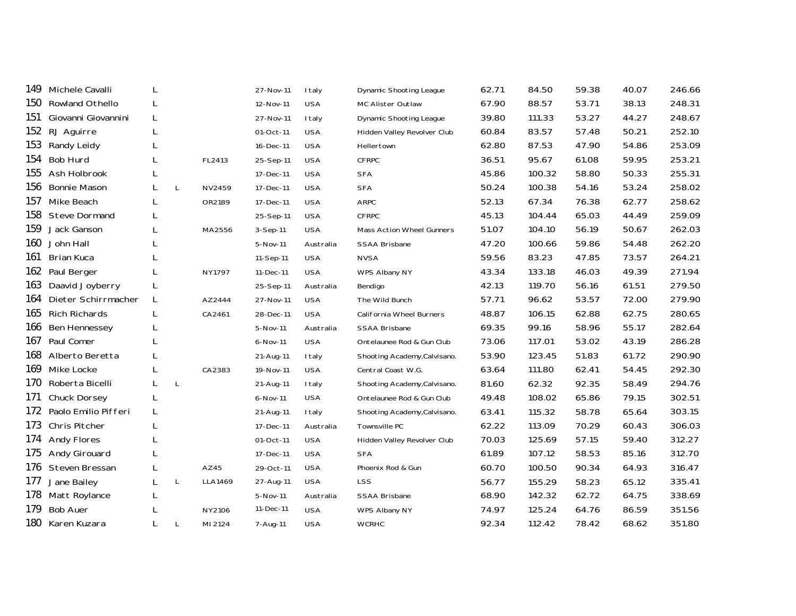| 149 | Michele Cavalli      | L |              |         | 27-Nov-11    | <b>I</b> taly | Dynamic Shooting League          | 62.71 | 84.50  | 59.38 | 40.07 | 246.66 |
|-----|----------------------|---|--------------|---------|--------------|---------------|----------------------------------|-------|--------|-------|-------|--------|
| 150 | Rowland Othello      | L |              |         | 12-Nov-11    | <b>USA</b>    | MC Alister Outlaw                | 67.90 | 88.57  | 53.71 | 38.13 | 248.31 |
| 151 | Giovanni Giovannini  | L |              |         | 27-Nov-11    | I taly        | Dynamic Shooting League          | 39.80 | 111.33 | 53.27 | 44.27 | 248.67 |
| 152 | RJ Aguirre           | L |              |         | 01-Oct-11    | <b>USA</b>    | Hidden Valley Revolver Club      | 60.84 | 83.57  | 57.48 | 50.21 | 252.10 |
| 153 | Randy Leidy          |   |              |         | 16-Dec-11    | <b>USA</b>    | Hellertown                       | 62.80 | 87.53  | 47.90 | 54.86 | 253.09 |
| 154 | <b>Bob Hurd</b>      | L |              | FL2413  | 25-Sep-11    | <b>USA</b>    | <b>CFRPC</b>                     | 36.51 | 95.67  | 61.08 | 59.95 | 253.21 |
| 155 | Ash Holbrook         | L |              |         | 17-Dec-11    | <b>USA</b>    | <b>SFA</b>                       | 45.86 | 100.32 | 58.80 | 50.33 | 255.31 |
| 156 | <b>Bonnie Mason</b>  |   | L            | NV2459  | 17-Dec-11    | <b>USA</b>    | <b>SFA</b>                       | 50.24 | 100.38 | 54.16 | 53.24 | 258.02 |
| 157 | Mike Beach           | L |              | OR2189  | 17-Dec-11    | <b>USA</b>    | <b>ARPC</b>                      | 52.13 | 67.34  | 76.38 | 62.77 | 258.62 |
| 158 | <b>Steve Dormand</b> | L |              |         | 25-Sep-11    | <b>USA</b>    | <b>CFRPC</b>                     | 45.13 | 104.44 | 65.03 | 44.49 | 259.09 |
| 159 | Jack Ganson          | L |              | MA2556  | 3-Sep-11     | <b>USA</b>    | <b>Mass Action Wheel Gunners</b> | 51.07 | 104.10 | 56.19 | 50.67 | 262.03 |
| 160 | John Hall            |   |              |         | 5-Nov-11     | Australia     | <b>SSAA Brisbane</b>             | 47.20 | 100.66 | 59.86 | 54.48 | 262.20 |
| 161 | <b>Brian Kuca</b>    | L |              |         | 11-Sep-11    | <b>USA</b>    | <b>NVSA</b>                      | 59.56 | 83.23  | 47.85 | 73.57 | 264.21 |
| 162 | Paul Berger          |   |              | NY1797  | 11-Dec-11    | <b>USA</b>    | WPS Albany NY                    | 43.34 | 133.18 | 46.03 | 49.39 | 271.94 |
| 163 | Daavid Joyberry      | L |              |         | 25-Sep-11    | Australia     | Bendigo                          | 42.13 | 119.70 | 56.16 | 61.51 | 279.50 |
| 164 | Dieter Schirrmacher  | L |              | AZ2444  | 27-Nov-11    | <b>USA</b>    | The Wild Bunch                   | 57.71 | 96.62  | 53.57 | 72.00 | 279.90 |
| 165 | <b>Rich Richards</b> | L |              | CA2461  | 28-Dec-11    | <b>USA</b>    | California Wheel Burners         | 48.87 | 106.15 | 62.88 | 62.75 | 280.65 |
| 166 | <b>Ben Hennessey</b> |   |              |         | 5-Nov-11     | Australia     | <b>SSAA Brisbane</b>             | 69.35 | 99.16  | 58.96 | 55.17 | 282.64 |
| 167 | Paul Comer           | L |              |         | $6 - Nov-11$ | <b>USA</b>    | Ontelaunee Rod & Gun Club        | 73.06 | 117.01 | 53.02 | 43.19 | 286.28 |
| 168 | Alberto Beretta      | L |              |         | 21-Aug-11    | <b>I</b> taly | Shooting Academy, Calvisano.     | 53.90 | 123.45 | 51.83 | 61.72 | 290.90 |
| 169 | Mike Locke           | L |              | CA2383  | 19-Nov-11    | <b>USA</b>    | Central Coast W.G.               | 63.64 | 111.80 | 62.41 | 54.45 | 292.30 |
| 170 | Roberta Bicelli      | L | $\mathsf{L}$ |         | 21-Aug-11    | I taly        | Shooting Academy, Calvisano.     | 81.60 | 62.32  | 92.35 | 58.49 | 294.76 |
| 171 | Chuck Dorsey         | L |              |         | 6-Nov-11     | <b>USA</b>    | Ontelaunee Rod & Gun Club        | 49.48 | 108.02 | 65.86 | 79.15 | 302.51 |
| 172 | Paolo Emilio Pifferi | L |              |         | 21-Aug-11    | I taly        | Shooting Academy, Calvisano.     | 63.41 | 115.32 | 58.78 | 65.64 | 303.15 |
| 173 | Chris Pitcher        | L |              |         | 17-Dec-11    | Australia     | Townsville PC                    | 62.22 | 113.09 | 70.29 | 60.43 | 306.03 |
| 174 | <b>Andy Flores</b>   |   |              |         | 01-Oct-11    | <b>USA</b>    | Hidden Valley Revolver Club      | 70.03 | 125.69 | 57.15 | 59.40 | 312.27 |
| 175 | Andy Girouard        |   |              |         | 17-Dec-11    | <b>USA</b>    | <b>SFA</b>                       | 61.89 | 107.12 | 58.53 | 85.16 | 312.70 |
| 176 | Steven Bressan       | L |              | AZ45    | 29-Oct-11    | <b>USA</b>    | Phoenix Rod & Gun                | 60.70 | 100.50 | 90.34 | 64.93 | 316.47 |
| 177 | Jane Bailey          | L | $\mathsf{L}$ | LLA1469 | 27-Aug-11    | <b>USA</b>    | <b>LSS</b>                       | 56.77 | 155.29 | 58.23 | 65.12 | 335.41 |
| 178 | Matt Roylance        | L |              |         | 5-Nov-11     | Australia     | <b>SSAA Brisbane</b>             | 68.90 | 142.32 | 62.72 | 64.75 | 338.69 |
| 179 | <b>Bob Auer</b>      | L |              | NY2106  | 11-Dec-11    | <b>USA</b>    | WPS Albany NY                    | 74.97 | 125.24 | 64.76 | 86.59 | 351.56 |
|     | 180 Karen Kuzara     |   | L            | MI 2124 | 7-Aug-11     | <b>USA</b>    | <b>WCRHC</b>                     | 92.34 | 112.42 | 78.42 | 68.62 | 351.80 |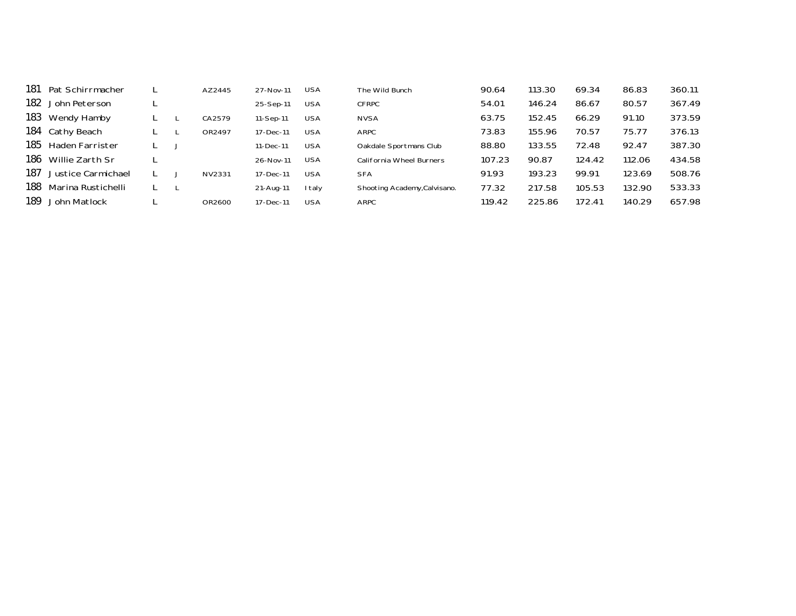| 181  | Pat Schirrmacher   |  | AZ2445 | 27-Nov-11 | <b>USA</b> | The Wild Bunch               | 90.64  | 113.30 | 69.34  | 86.83  | 360.11 |
|------|--------------------|--|--------|-----------|------------|------------------------------|--------|--------|--------|--------|--------|
| 182  | John Peterson      |  |        | 25-Sep-11 | <b>USA</b> | <b>CFRPC</b>                 | 54.01  | 146.24 | 86.67  | 80.57  | 367.49 |
| 183  | Wendy Hamby        |  | CA2579 | 11-Sep-11 | <b>USA</b> | <b>NVSA</b>                  | 63.75  | 152.45 | 66.29  | 91.10  | 373.59 |
| 184  | Cathy Beach        |  | OR2497 | 17-Dec-11 | <b>USA</b> | ARPC                         | 73.83  | 155.96 | 70.57  | 75.77  | 376.13 |
| 185  | Haden Farrister    |  |        | 11-Dec-11 | <b>USA</b> | Oakdale Sportmans Club       | 88.80  | 133.55 | 72.48  | 92.47  | 387.30 |
| 186  | Willie Zarth Sr    |  |        | 26-Nov-11 | <b>USA</b> | California Wheel Burners     | 107.23 | 90.87  | 124.42 | 112.06 | 434.58 |
| 187  | Justice Carmichael |  | NV2331 | 17-Dec-11 | <b>USA</b> | <b>SFA</b>                   | 91.93  | 193.23 | 99.91  | 123.69 | 508.76 |
| 188  | Marina Rustichelli |  |        | 21-Aug-11 | I taly     | Shooting Academy, Calvisano. | 77.32  | 217.58 | 105.53 | 132.90 | 533.33 |
| 189. | John Matlock       |  | OR2600 | 17-Dec-11 | <b>USA</b> | ARPC                         | 119.42 | 225.86 | 172.41 | 140.29 | 657.98 |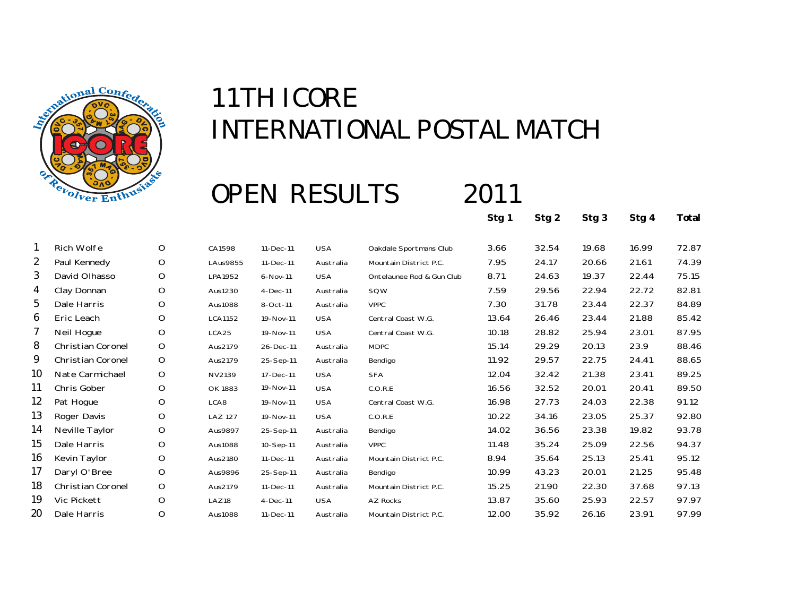

### OPEN RESULTS 2011

**Stg 1 Stg 2 Stg 3 Stg 4 Total**

|                 | Rich Wolfe               | O           | CA1598         | 11-Dec-11 | <b>USA</b> | Oakdale Sportmans Club    | 3.66  | 32.54 | 19.68 | 16.99 | 72.87 |
|-----------------|--------------------------|-------------|----------------|-----------|------------|---------------------------|-------|-------|-------|-------|-------|
| 2               | Paul Kennedy             | O           | LAus9855       | 11-Dec-11 | Australia  | Mountain District P.C.    | 7.95  | 24.17 | 20.66 | 21.61 | 74.39 |
| 3               | David Olhasso            | O           | LPA1952        | 6-Nov-11  | <b>USA</b> | Ontelaunee Rod & Gun Club | 8.71  | 24.63 | 19.37 | 22.44 | 75.15 |
| 4               | Clay Donnan              | $\circ$     | Aus1230        | 4-Dec-11  | Australia  | SQW                       | 7.59  | 29.56 | 22.94 | 22.72 | 82.81 |
| 5               | Dale Harris              | O           | Aus1088        | 8-Oct-11  | Australia  | <b>VPPC</b>               | 7.30  | 31.78 | 23.44 | 22.37 | 84.89 |
| 6               | Eric Leach               | O           | <b>LCA1152</b> | 19-Nov-11 | <b>USA</b> | Central Coast W.G.        | 13.64 | 26.46 | 23.44 | 21.88 | 85.42 |
|                 | Neil Hogue               | $\mathsf O$ | LCA25          | 19-Nov-11 | <b>USA</b> | Central Coast W.G.        | 10.18 | 28.82 | 25.94 | 23.01 | 87.95 |
| 8               | <b>Christian Coronel</b> | O           | Aus2179        | 26-Dec-11 | Australia  | <b>MDPC</b>               | 15.14 | 29.29 | 20.13 | 23.9  | 88.46 |
| 9               | Christian Coronel        | $\mathsf O$ | Aus2179        | 25-Sep-11 | Australia  | Bendigo                   | 11.92 | 29.57 | 22.75 | 24.41 | 88.65 |
| 10              | Nate Carmichael          | O           | NV2139         | 17-Dec-11 | <b>USA</b> | <b>SFA</b>                | 12.04 | 32.42 | 21.38 | 23.41 | 89.25 |
| 11              | Chris Gober              | O           | OK 1883        | 19-Nov-11 | <b>USA</b> | C.O.R.E                   | 16.56 | 32.52 | 20.01 | 20.41 | 89.50 |
| 12 <sup>°</sup> | Pat Hogue                | $\circ$     | LCA8           | 19-Nov-11 | <b>USA</b> | Central Coast W.G.        | 16.98 | 27.73 | 24.03 | 22.38 | 91.12 |
| 13              | Roger Davis              | O           | <b>LAZ 127</b> | 19-Nov-11 | <b>USA</b> | C.O.R.E                   | 10.22 | 34.16 | 23.05 | 25.37 | 92.80 |
| 14              | Neville Taylor           | $\circ$     | Aus9897        | 25-Sep-11 | Australia  | Bendigo                   | 14.02 | 36.56 | 23.38 | 19.82 | 93.78 |
| 15              | Dale Harris              | O           | Aus1088        | 10-Sep-11 | Australia  | <b>VPPC</b>               | 11.48 | 35.24 | 25.09 | 22.56 | 94.37 |
| 16              | Kevin Taylor             | O           | Aus2180        | 11-Dec-11 | Australia  | Mountain District P.C.    | 8.94  | 35.64 | 25.13 | 25.41 | 95.12 |
| 17              | Daryl O'Bree             | O           | Aus9896        | 25-Sep-11 | Australia  | Bendigo                   | 10.99 | 43.23 | 20.01 | 21.25 | 95.48 |
| 18              | Christian Coronel        | $\mathsf O$ | Aus2179        | 11-Dec-11 | Australia  | Mountain District P.C.    | 15.25 | 21.90 | 22.30 | 37.68 | 97.13 |
| 19              | Vic Pickett              | O           | LAZ18          | 4-Dec-11  | <b>USA</b> | AZ Rocks                  | 13.87 | 35.60 | 25.93 | 22.57 | 97.97 |
| 20              | Dale Harris              | O           | Aus1088        | 11-Dec-11 | Australia  | Mountain District P.C.    | 12.00 | 35.92 | 26.16 | 23.91 | 97.99 |
|                 |                          |             |                |           |            |                           |       |       |       |       |       |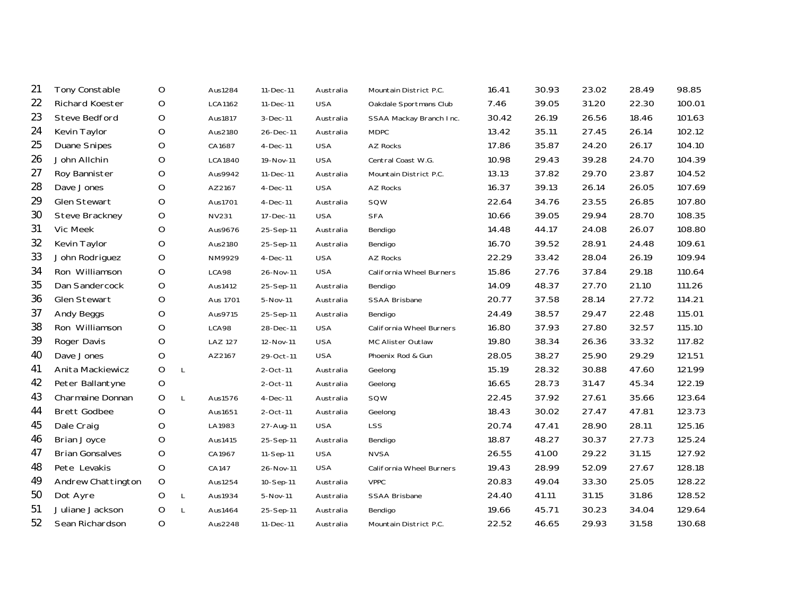| 21 | Tony Constable         | O           |              | Aus1284        | 11-Dec-11   | Australia  | Mountain District P.C.   | 16.41 | 30.93 | 23.02 | 28.49 | 98.85  |
|----|------------------------|-------------|--------------|----------------|-------------|------------|--------------------------|-------|-------|-------|-------|--------|
| 22 | Richard Koester        | O           |              | <b>LCA1162</b> | 11-Dec-11   | <b>USA</b> | Oakdale Sportmans Club   | 7.46  | 39.05 | 31.20 | 22.30 | 100.01 |
| 23 | Steve Bedford          | O           |              | Aus1817        | 3-Dec-11    | Australia  | SSAA Mackay Branch Inc.  | 30.42 | 26.19 | 26.56 | 18.46 | 101.63 |
| 24 | Kevin Taylor           | O           |              | Aus2180        | 26-Dec-11   | Australia  | <b>MDPC</b>              | 13.42 | 35.11 | 27.45 | 26.14 | 102.12 |
| 25 | <b>Duane Snipes</b>    | O           |              | CA1687         | 4-Dec-11    | <b>USA</b> | <b>AZ Rocks</b>          | 17.86 | 35.87 | 24.20 | 26.17 | 104.10 |
| 26 | John Allchin           | O           |              | <b>LCA1840</b> | 19-Nov-11   | <b>USA</b> | Central Coast W.G.       | 10.98 | 29.43 | 39.28 | 24.70 | 104.39 |
| 27 | Roy Bannister          | O           |              | Aus9942        | 11-Dec-11   | Australia  | Mountain District P.C.   | 13.13 | 37.82 | 29.70 | 23.87 | 104.52 |
| 28 | Dave Jones             | O           |              | AZ2167         | 4-Dec-11    | <b>USA</b> | AZ Rocks                 | 16.37 | 39.13 | 26.14 | 26.05 | 107.69 |
| 29 | Glen Stewart           | O           |              | Aus1701        | 4-Dec-11    | Australia  | SQW                      | 22.64 | 34.76 | 23.55 | 26.85 | 107.80 |
| 30 | Steve Brackney         | O           |              | <b>NV231</b>   | 17-Dec-11   | <b>USA</b> | <b>SFA</b>               | 10.66 | 39.05 | 29.94 | 28.70 | 108.35 |
| 31 | Vic Meek               | $\circ$     |              | Aus9676        | 25-Sep-11   | Australia  | Bendigo                  | 14.48 | 44.17 | 24.08 | 26.07 | 108.80 |
| 32 | Kevin Taylor           | O           |              | Aus2180        | 25-Sep-11   | Australia  | Bendigo                  | 16.70 | 39.52 | 28.91 | 24.48 | 109.61 |
| 33 | John Rodriguez         | O           |              | NM9929         | $4-Dec-11$  | <b>USA</b> | AZ Rocks                 | 22.29 | 33.42 | 28.04 | 26.19 | 109.94 |
| 34 | Ron Williamson         | $\mathsf O$ |              | LCA98          | 26-Nov-11   | <b>USA</b> | California Wheel Burners | 15.86 | 27.76 | 37.84 | 29.18 | 110.64 |
| 35 | Dan Sandercock         | O           |              | Aus1412        | 25-Sep-11   | Australia  | Bendigo                  | 14.09 | 48.37 | 27.70 | 21.10 | 111.26 |
| 36 | Glen Stewart           | O           |              | Aus 1701       | 5-Nov-11    | Australia  | SSAA Brisbane            | 20.77 | 37.58 | 28.14 | 27.72 | 114.21 |
| 37 | Andy Beggs             | $\circ$     |              | Aus9715        | 25-Sep-11   | Australia  | Bendigo                  | 24.49 | 38.57 | 29.47 | 22.48 | 115.01 |
| 38 | Ron Williamson         | O           |              | LCA98          | 28-Dec-11   | <b>USA</b> | California Wheel Burners | 16.80 | 37.93 | 27.80 | 32.57 | 115.10 |
| 39 | Roger Davis            | O           |              | <b>LAZ 127</b> | 12-Nov-11   | <b>USA</b> | MC Alister Outlaw        | 19.80 | 38.34 | 26.36 | 33.32 | 117.82 |
| 40 | Dave Jones             | O           |              | AZ2167         | 29-Oct-11   | <b>USA</b> | Phoenix Rod & Gun        | 28.05 | 38.27 | 25.90 | 29.29 | 121.51 |
| 41 | Anita Mackiewicz       | $\mathsf O$ | $\mathsf{L}$ |                | 2-Oct-11    | Australia  | Geelong                  | 15.19 | 28.32 | 30.88 | 47.60 | 121.99 |
| 42 | Peter Ballantyne       | $\mathsf O$ |              |                | $2$ -Oct-11 | Australia  | Geelong                  | 16.65 | 28.73 | 31.47 | 45.34 | 122.19 |
| 43 | Charmaine Donnan       | O           | L            | Aus1576        | $4-Dec-11$  | Australia  | SQW                      | 22.45 | 37.92 | 27.61 | 35.66 | 123.64 |
| 44 | <b>Brett Godbee</b>    | O           |              | Aus1651        | 2-Oct-11    | Australia  | Geelong                  | 18.43 | 30.02 | 27.47 | 47.81 | 123.73 |
| 45 | Dale Craig             | O           |              | LA1983         | 27-Aug-11   | <b>USA</b> | LSS                      | 20.74 | 47.41 | 28.90 | 28.11 | 125.16 |
| 46 | <b>Brian Joyce</b>     | O           |              | Aus1415        | 25-Sep-11   | Australia  | Bendigo                  | 18.87 | 48.27 | 30.37 | 27.73 | 125.24 |
| 47 | <b>Brian Gonsalves</b> | O           |              | CA1967         | 11-Sep-11   | <b>USA</b> | <b>NVSA</b>              | 26.55 | 41.00 | 29.22 | 31.15 | 127.92 |
| 48 | Pete Levakis           | $\mathsf O$ |              | CA147          | 26-Nov-11   | <b>USA</b> | California Wheel Burners | 19.43 | 28.99 | 52.09 | 27.67 | 128.18 |
| 49 | Andrew Chattington     | $\circ$     |              | Aus1254        | 10-Sep-11   | Australia  | <b>VPPC</b>              | 20.83 | 49.04 | 33.30 | 25.05 | 128.22 |
| 50 | Dot Ayre               | O           | $\mathsf{L}$ | Aus1934        | 5-Nov-11    | Australia  | SSAA Brisbane            | 24.40 | 41.11 | 31.15 | 31.86 | 128.52 |
| 51 | Juliane Jackson        | O           | $\mathsf{L}$ | Aus1464        | 25-Sep-11   | Australia  | Bendigo                  | 19.66 | 45.71 | 30.23 | 34.04 | 129.64 |
| 52 | Sean Richardson        | O           |              | Aus2248        | 11-Dec-11   | Australia  | Mountain District P.C.   | 22.52 | 46.65 | 29.93 | 31.58 | 130.68 |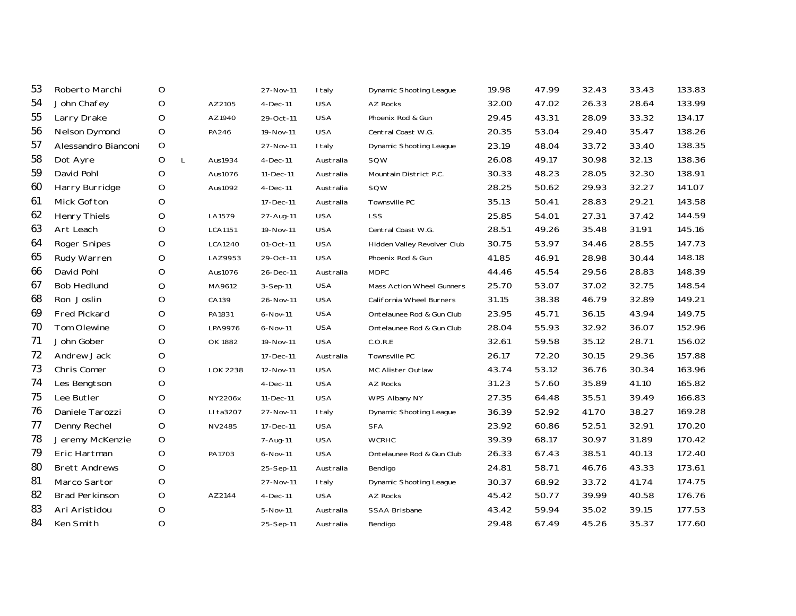| 53 | Roberto Marchi        | O                 |                 | 27-Nov-11  | <b>I</b> taly | <b>Dynamic Shooting League</b> | 19.98 | 47.99 | 32.43 | 33.43 | 133.83 |
|----|-----------------------|-------------------|-----------------|------------|---------------|--------------------------------|-------|-------|-------|-------|--------|
| 54 | John Chafey           | O                 | AZ2105          | $4-Dec-11$ | <b>USA</b>    | AZ Rocks                       | 32.00 | 47.02 | 26.33 | 28.64 | 133.99 |
| 55 | Larry Drake           | O                 | AZ1940          | 29-Oct-11  | <b>USA</b>    | Phoenix Rod & Gun              | 29.45 | 43.31 | 28.09 | 33.32 | 134.17 |
| 56 | <b>Nelson Dymond</b>  | O                 | PA246           | 19-Nov-11  | <b>USA</b>    | Central Coast W.G.             | 20.35 | 53.04 | 29.40 | 35.47 | 138.26 |
| 57 | Alessandro Bianconi   | O                 |                 | 27-Nov-11  | I taly        | Dynamic Shooting League        | 23.19 | 48.04 | 33.72 | 33.40 | 138.35 |
| 58 | Dot Ayre              | O<br>$\mathsf{L}$ | Aus1934         | $4-Dec-11$ | Australia     | SQW                            | 26.08 | 49.17 | 30.98 | 32.13 | 138.36 |
| 59 | David Pohl            | O                 | Aus1076         | 11-Dec-11  | Australia     | Mountain District P.C.         | 30.33 | 48.23 | 28.05 | 32.30 | 138.91 |
| 60 | Harry Burridge        | O                 | Aus1092         | $4-Dec-11$ | Australia     | SQW                            | 28.25 | 50.62 | 29.93 | 32.27 | 141.07 |
| 61 | Mick Gofton           | O                 |                 | 17-Dec-11  | Australia     | Townsville PC                  | 35.13 | 50.41 | 28.83 | 29.21 | 143.58 |
| 62 | <b>Henry Thiels</b>   | O                 | LA1579          | 27-Aug-11  | <b>USA</b>    | LSS                            | 25.85 | 54.01 | 27.31 | 37.42 | 144.59 |
| 63 | Art Leach             | $\circ$           | <b>LCA1151</b>  | 19-Nov-11  | <b>USA</b>    | Central Coast W.G.             | 28.51 | 49.26 | 35.48 | 31.91 | 145.16 |
| 64 | <b>Roger Snipes</b>   | O                 | LCA1240         | 01-Oct-11  | <b>USA</b>    | Hidden Valley Revolver Club    | 30.75 | 53.97 | 34.46 | 28.55 | 147.73 |
| 65 | Rudy Warren           | O                 | LAZ9953         | 29-Oct-11  | <b>USA</b>    | Phoenix Rod & Gun              | 41.85 | 46.91 | 28.98 | 30.44 | 148.18 |
| 66 | David Pohl            | O                 | Aus1076         | 26-Dec-11  | Australia     | <b>MDPC</b>                    | 44.46 | 45.54 | 29.56 | 28.83 | 148.39 |
| 67 | <b>Bob Hedlund</b>    | $\circ$           | MA9612          | 3-Sep-11   | <b>USA</b>    | Mass Action Wheel Gunners      | 25.70 | 53.07 | 37.02 | 32.75 | 148.54 |
| 68 | Ron Joslin            | O                 | CA139           | 26-Nov-11  | <b>USA</b>    | California Wheel Burners       | 31.15 | 38.38 | 46.79 | 32.89 | 149.21 |
| 69 | <b>Fred Pickard</b>   | O                 | PA1831          | 6-Nov-11   | <b>USA</b>    | Ontelaunee Rod & Gun Club      | 23.95 | 45.71 | 36.15 | 43.94 | 149.75 |
| 70 | Tom Olewine           | O                 | LPA9976         | 6-Nov-11   | <b>USA</b>    | Ontelaunee Rod & Gun Club      | 28.04 | 55.93 | 32.92 | 36.07 | 152.96 |
| 71 | John Gober            | O                 | OK 1882         | 19-Nov-11  | <b>USA</b>    | C.O.R.E                        | 32.61 | 59.58 | 35.12 | 28.71 | 156.02 |
| 72 | Andrew Jack           | O                 |                 | 17-Dec-11  | Australia     | Townsville PC                  | 26.17 | 72.20 | 30.15 | 29.36 | 157.88 |
| 73 | Chris Comer           | O                 | <b>LOK 2238</b> | 12-Nov-11  | <b>USA</b>    | MC Alister Outlaw              | 43.74 | 53.12 | 36.76 | 30.34 | 163.96 |
| 74 | Les Bengtson          | O                 |                 | $4-Dec-11$ | <b>USA</b>    | <b>AZ Rocks</b>                | 31.23 | 57.60 | 35.89 | 41.10 | 165.82 |
| 75 | Lee Butler            | O                 | <b>NY2206x</b>  | 11-Dec-11  | <b>USA</b>    | WPS Albany NY                  | 27.35 | 64.48 | 35.51 | 39.49 | 166.83 |
| 76 | Daniele Tarozzi       | $\circ$           | LI ta3207       | 27-Nov-11  | I taly        | <b>Dynamic Shooting League</b> | 36.39 | 52.92 | 41.70 | 38.27 | 169.28 |
| 77 | Denny Rechel          | O                 | NV2485          | 17-Dec-11  | <b>USA</b>    | <b>SFA</b>                     | 23.92 | 60.86 | 52.51 | 32.91 | 170.20 |
| 78 | Jeremy McKenzie       | O                 |                 | 7-Aug-11   | <b>USA</b>    | <b>WCRHC</b>                   | 39.39 | 68.17 | 30.97 | 31.89 | 170.42 |
| 79 | Eric Hartman          | O                 | PA1703          | 6-Nov-11   | <b>USA</b>    | Ontelaunee Rod & Gun Club      | 26.33 | 67.43 | 38.51 | 40.13 | 172.40 |
| 80 | <b>Brett Andrews</b>  | O                 |                 | 25-Sep-11  | Australia     | Bendigo                        | 24.81 | 58.71 | 46.76 | 43.33 | 173.61 |
| 81 | Marco Sartor          | O                 |                 | 27-Nov-11  | I taly        | Dynamic Shooting League        | 30.37 | 68.92 | 33.72 | 41.74 | 174.75 |
| 82 | <b>Brad Perkinson</b> | O                 | AZ2144          | $4-Dec-11$ | <b>USA</b>    | <b>AZ Rocks</b>                | 45.42 | 50.77 | 39.99 | 40.58 | 176.76 |
| 83 | Ari Aristidou         | O                 |                 | 5-Nov-11   | Australia     | <b>SSAA Brisbane</b>           | 43.42 | 59.94 | 35.02 | 39.15 | 177.53 |
| 84 | Ken Smith             | O                 |                 | 25-Sep-11  | Australia     | Bendigo                        | 29.48 | 67.49 | 45.26 | 35.37 | 177.60 |
|    |                       |                   |                 |            |               |                                |       |       |       |       |        |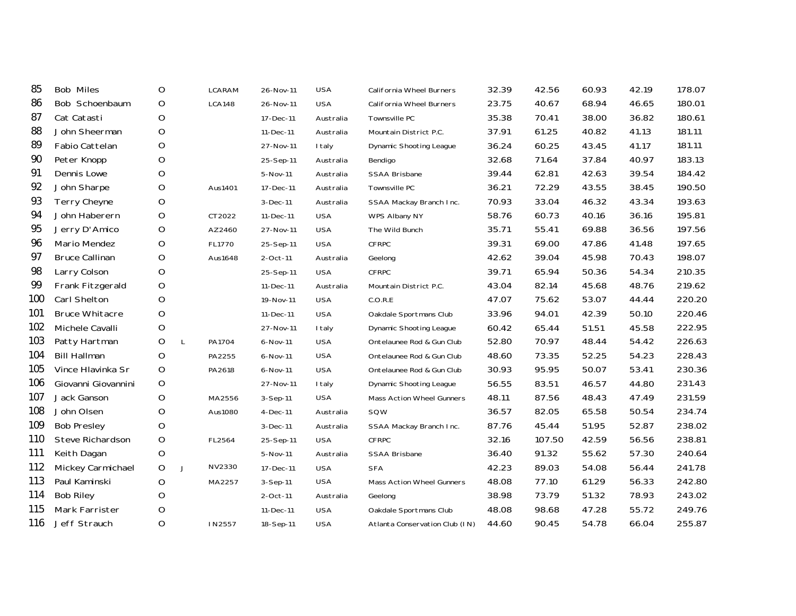| <b>Bob Miles</b>      | O |   | <b>LCARAM</b> | 26-Nov-11      | <b>USA</b> | California Wheel Burners       | 32.39 | 42.56  | 60.93 | 42.19 | 178.07 |
|-----------------------|---|---|---------------|----------------|------------|--------------------------------|-------|--------|-------|-------|--------|
| Bob Schoenbaum        | O |   | <b>LCA148</b> | 26-Nov-11      | <b>USA</b> | California Wheel Burners       | 23.75 | 40.67  | 68.94 | 46.65 | 180.01 |
| Cat Catasti           | O |   |               | 17-Dec-11      | Australia  | Townsville PC                  | 35.38 | 70.41  | 38.00 | 36.82 | 180.61 |
| John Sheerman         | O |   |               | 11-Dec-11      | Australia  | Mountain District P.C.         | 37.91 | 61.25  | 40.82 | 41.13 | 181.11 |
| Fabio Cattelan        | O |   |               | 27-Nov-11      | I taly     | <b>Dynamic Shooting League</b> | 36.24 | 60.25  | 43.45 | 41.17 | 181.11 |
| Peter Knopp           | O |   |               | 25-Sep-11      | Australia  | Bendigo                        | 32.68 | 71.64  | 37.84 | 40.97 | 183.13 |
| Dennis Lowe           | O |   |               | 5-Nov-11       | Australia  | <b>SSAA Brisbane</b>           | 39.44 | 62.81  | 42.63 | 39.54 | 184.42 |
| John Sharpe           | O |   | Aus1401       | 17-Dec-11      | Australia  | Townsville PC                  | 36.21 | 72.29  | 43.55 | 38.45 | 190.50 |
| Terry Cheyne          | O |   |               | 3-Dec-11       | Australia  | SSAA Mackay Branch Inc.        | 70.93 | 33.04  | 46.32 | 43.34 | 193.63 |
| John Haberern         | O |   | CT2022        | 11-Dec-11      | <b>USA</b> | WPS Albany NY                  | 58.76 | 60.73  | 40.16 | 36.16 | 195.81 |
| Jerry D'Amico         | O |   | AZ2460        | 27-Nov-11      | <b>USA</b> | The Wild Bunch                 | 35.71 | 55.41  | 69.88 | 36.56 | 197.56 |
| Mario Mendez          | O |   | FL1770        | 25-Sep-11      | <b>USA</b> | <b>CFRPC</b>                   | 39.31 | 69.00  | 47.86 | 41.48 | 197.65 |
| <b>Bruce Callinan</b> | O |   | Aus1648       | 2-Oct-11       | Australia  | Geelong                        | 42.62 | 39.04  | 45.98 | 70.43 | 198.07 |
| Larry Colson          | O |   |               | 25-Sep-11      | <b>USA</b> | <b>CFRPC</b>                   | 39.71 | 65.94  | 50.36 | 54.34 | 210.35 |
| Frank Fitzgerald      | O |   |               | 11-Dec-11      | Australia  | Mountain District P.C.         | 43.04 | 82.14  | 45.68 | 48.76 | 219.62 |
| Carl Shelton          | O |   |               | 19-Nov-11      | <b>USA</b> | C.O.R.E                        | 47.07 | 75.62  | 53.07 | 44.44 | 220.20 |
| <b>Bruce Whitacre</b> | O |   |               | 11-Dec-11      | <b>USA</b> | Oakdale Sportmans Club         | 33.96 | 94.01  | 42.39 | 50.10 | 220.46 |
| Michele Cavalli       | O |   |               | 27-Nov-11      | I taly     | Dynamic Shooting League        | 60.42 | 65.44  | 51.51 | 45.58 | 222.95 |
| Patty Hartman         | O | L | PA1704        | 6-Nov-11       | <b>USA</b> | Ontelaunee Rod & Gun Club      | 52.80 | 70.97  | 48.44 | 54.42 | 226.63 |
| <b>Bill Hallman</b>   | O |   | PA2255        | 6-Nov-11       | <b>USA</b> | Ontelaunee Rod & Gun Club      | 48.60 | 73.35  | 52.25 | 54.23 | 228.43 |
| Vince Hlavinka Sr     | O |   | PA2618        | 6-Nov-11       | <b>USA</b> | Ontelaunee Rod & Gun Club      | 30.93 | 95.95  | 50.07 | 53.41 | 230.36 |
| Giovanni Giovannini   | O |   |               | 27-Nov-11      | I taly     | Dynamic Shooting League        | 56.55 | 83.51  | 46.57 | 44.80 | 231.43 |
| Jack Ganson           | O |   | MA2556        | 3-Sep-11       | <b>USA</b> | Mass Action Wheel Gunners      | 48.11 | 87.56  | 48.43 | 47.49 | 231.59 |
| John Olsen            | O |   | Aus1080       | $4-Dec-11$     | Australia  | SQW                            | 36.57 | 82.05  | 65.58 | 50.54 | 234.74 |
| <b>Bob Presley</b>    | O |   |               | 3-Dec-11       | Australia  | SSAA Mackay Branch Inc.        | 87.76 | 45.44  | 51.95 | 52.87 | 238.02 |
| Steve Richardson      | O |   | FL2564        | 25-Sep-11      | <b>USA</b> | <b>CFRPC</b>                   | 32.16 | 107.50 | 42.59 | 56.56 | 238.81 |
| Keith Dagan           | O |   |               | 5-Nov-11       | Australia  | <b>SSAA Brisbane</b>           | 36.40 | 91.32  | 55.62 | 57.30 | 240.64 |
| Mickey Carmichael     | O | J | NV2330        | 17-Dec-11      | <b>USA</b> | <b>SFA</b>                     | 42.23 | 89.03  | 54.08 | 56.44 | 241.78 |
| Paul Kaminski         | O |   | MA2257        | $3-$ Sep $-11$ | <b>USA</b> | Mass Action Wheel Gunners      | 48.08 | 77.10  | 61.29 | 56.33 | 242.80 |
| <b>Bob Riley</b>      | O |   |               | $2$ -Oct-11    | Australia  | Geelong                        | 38.98 | 73.79  | 51.32 | 78.93 | 243.02 |
| Mark Farrister        | O |   |               | 11-Dec-11      | <b>USA</b> | Oakdale Sportmans Club         | 48.08 | 98.68  | 47.28 | 55.72 | 249.76 |
| Jeff Strauch          | O |   | IN2557        | 18-Sep-11      | <b>USA</b> | Atlanta Conservation Club (IN) | 44.60 | 90.45  | 54.78 | 66.04 | 255.87 |
|                       |   |   |               |                |            |                                |       |        |       |       |        |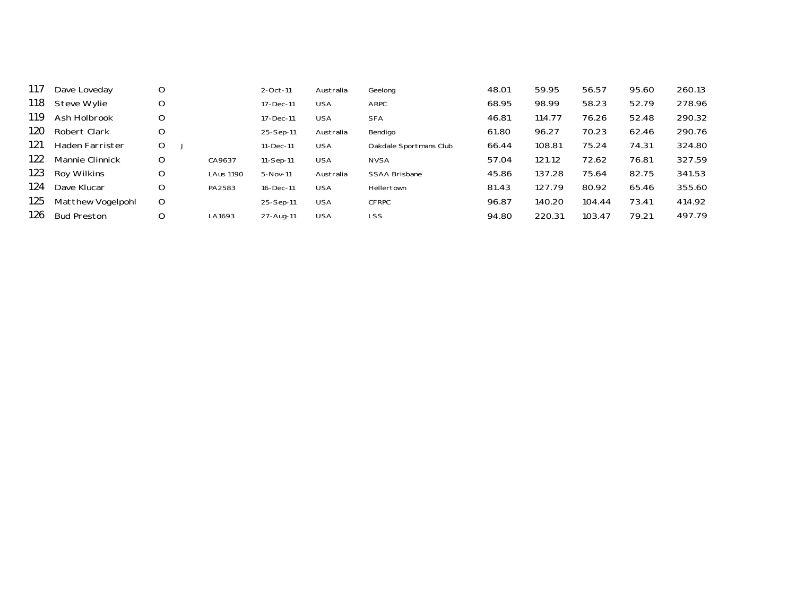| 117  | Dave Loveday           | O |                  | 2-Oct-11  | Australia  | Geelong                | 48.01 | 59.95  | 56.57  | 95.60 | 260.13 |
|------|------------------------|---|------------------|-----------|------------|------------------------|-------|--------|--------|-------|--------|
| 118  | Steve Wylie            | O |                  | 17-Dec-11 | <b>USA</b> | ARPC                   | 68.95 | 98.99  | 58.23  | 52.79 | 278.96 |
| 119  | Ash Holbrook           | O |                  | 17-Dec-11 | <b>USA</b> | <b>SFA</b>             | 46.81 | 114.77 | 76.26  | 52.48 | 290.32 |
| 120. | Robert Clark           | O |                  | 25-Sep-11 | Australia  | Bendigo                | 61.80 | 96.27  | 70.23  | 62.46 | 290.76 |
| 121  | Haden Farrister        | O |                  | 11-Dec-11 | <b>USA</b> | Oakdale Sportmans Club | 66.44 | 108.81 | 75.24  | 74.31 | 324.80 |
| 122  | <b>Mannie Clinnick</b> | O | CA9637           | 11-Sep-11 | <b>USA</b> | <b>NVSA</b>            | 57.04 | 121.12 | 72.62  | 76.81 | 327.59 |
| 123  | Roy Wilkins            | O | <b>LAus 1190</b> | 5-Nov-11  | Australia  | <b>SSAA Brisbane</b>   | 45.86 | 137.28 | 75.64  | 82.75 | 341.53 |
| 124  | Dave Klucar            | O | PA2583           | 16-Dec-11 | <b>USA</b> | Hellertown             | 81.43 | 127.79 | 80.92  | 65.46 | 355.60 |
| 125  | Matthew Vogelpohl      | O |                  | 25-Sep-11 | <b>USA</b> | <b>CFRPC</b>           | 96.87 | 140.20 | 104.44 | 73.41 | 414.92 |
| 126. | <b>Bud Preston</b>     | O | LA1693           | 27-Aug-11 | <b>USA</b> | <b>LSS</b>             | 94.80 | 220.31 | 103.47 | 79.21 | 497.79 |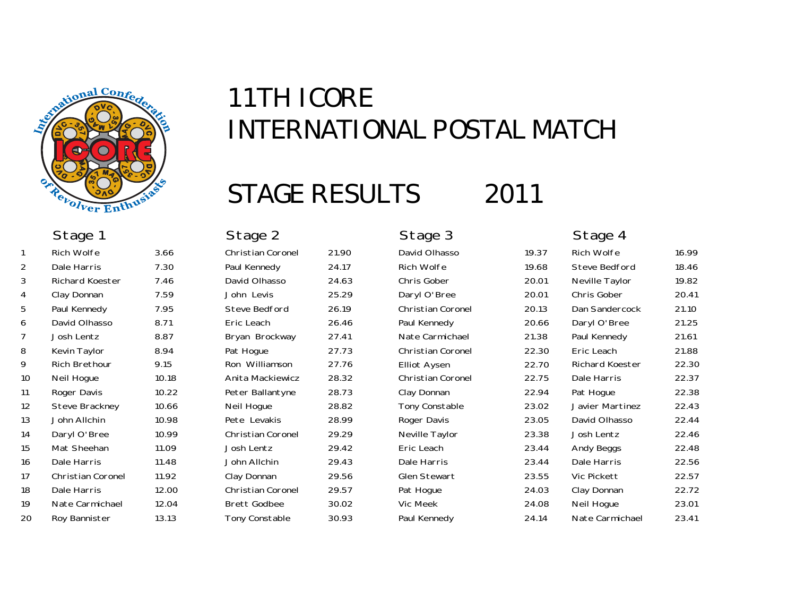

## STAGE RESULTS 2011

|                | <b>Rich Wolfe</b>        | 3.66  | <b>Christian Coronel</b> | 21.90 | David Olhasso            | 19.37 | Rich Wolfe             | 16.99 |
|----------------|--------------------------|-------|--------------------------|-------|--------------------------|-------|------------------------|-------|
| 2              | Dale Harris              | 7.30  | Paul Kennedy             | 24.17 | Rich Wolfe               | 19.68 | Steve Bedford          | 18.46 |
| 3              | Richard Koester          | 7.46  | David Olhasso            | 24.63 | Chris Gober              | 20.01 | Neville Taylor         | 19.82 |
| 4              | Clay Donnan              | 7.59  | John Levis               | 25.29 | Daryl O'Bree             | 20.01 | Chris Gober            | 20.41 |
| 5              | Paul Kennedy             | 7.95  | Steve Bedford            | 26.19 | <b>Christian Coronel</b> | 20.13 | Dan Sandercock         | 21.10 |
| 6              | David Olhasso            | 8.71  | Eric Leach               | 26.46 | Paul Kennedy             | 20.66 | Daryl O'Bree           | 21.25 |
| $\overline{7}$ | Josh Lentz               | 8.87  | Bryan Brockway           | 27.41 | Nate Carmichael          | 21.38 | Paul Kennedy           | 21.61 |
| 8              | Kevin Taylor             | 8.94  | Pat Hogue                | 27.73 | Christian Coronel        | 22.30 | Eric Leach             | 21.88 |
| 9              | <b>Rich Brethour</b>     | 9.15  | Ron Williamson           | 27.76 | <b>Elliot Aysen</b>      | 22.70 | <b>Richard Koester</b> | 22.30 |
| 10             | Neil Hogue               | 10.18 | Anita Mackiewicz         | 28.32 | <b>Christian Coronel</b> | 22.75 | Dale Harris            | 22.37 |
| 11             | Roger Davis              | 10.22 | Peter Ballantyne         | 28.73 | Clay Donnan              | 22.94 | Pat Hogue              | 22.38 |
| 12             | Steve Brackney           | 10.66 | Neil Hogue               | 28.82 | Tony Constable           | 23.02 | Javier Martinez        | 22.43 |
| 13             | John Allchin             | 10.98 | Pete Levakis             | 28.99 | Roger Davis              | 23.05 | David Olhasso          | 22.44 |
| 14             | Daryl O'Bree             | 10.99 | <b>Christian Coronel</b> | 29.29 | Neville Taylor           | 23.38 | Josh Lentz             | 22.46 |
| 15             | Mat Sheehan              | 11.09 | Josh Lentz               | 29.42 | Eric Leach               | 23.44 | Andy Beggs             | 22.48 |
| 16             | Dale Harris              | 11.48 | John Allchin             | 29.43 | Dale Harris              | 23.44 | Dale Harris            | 22.56 |
| 17             | <b>Christian Coronel</b> | 11.92 | Clay Donnan              | 29.56 | <b>Glen Stewart</b>      | 23.55 | Vic Pickett            | 22.57 |
| 18             | Dale Harris              | 12.00 | <b>Christian Coronel</b> | 29.57 | Pat Hogue                | 24.03 | Clay Donnan            | 22.72 |
| 19             | Nate Carmichael          | 12.04 | <b>Brett Godbee</b>      | 30.02 | Vic Meek                 | 24.08 | Neil Hogue             | 23.01 |
| 20             | Roy Bannister            | 13.13 | Tony Constable           | 30.93 | Paul Kennedy             | 24.14 | Nate Carmichael        | 23.41 |

| Christian Coronel        | 21. |
|--------------------------|-----|
| Paul Kennedy             | 24  |
| David Olhasso            | 24  |
| John Levis               | 25  |
| <b>Steve Bedford</b>     | 26  |
| Eric Leach               | 26  |
| Bryan Brockway           | 27  |
| Pat Hogue                | 27  |
| Ron Williamson           | 27  |
| Anita Mackiewicz         | 28  |
| Peter Ballantyne         | 28  |
| Neil Hogue               | 28  |
| Pete Levakis             | 28  |
| <b>Christian Coronel</b> | 29  |
| Josh Lentz               | 29  |
| John Allchin             | 29  |
| Clay Donnan              | 29  |
| Christian Coronel        | 29  |
| <b>Brett Godbee</b>      | 30  |
| Tony Constable           | 30  |
|                          |     |

# Stage 1 Stage 2 Stage 3 Stage 4

| …טי  | <b>UNUU GILIU</b>        | 20.VT | <b>IVOVING LAYIOL</b> | 17.UZ |
|------|--------------------------|-------|-----------------------|-------|
| .29  | Daryl O'Bree             | 20.01 | Chris Gober           | 20.41 |
| .19  | <b>Christian Coronel</b> | 20.13 | Dan Sandercock        | 21.10 |
| 46،  | Paul Kennedy             | 20.66 | Daryl O'Bree          | 21.25 |
| .41  | Nate Carmichael          | 21.38 | Paul Kennedy          | 21.61 |
| .73  | <b>Christian Coronel</b> | 22.30 | Eric Leach            | 21.88 |
| .76  | <b>Elliot Aysen</b>      | 22.70 | Richard Koester       | 22.30 |
| .32  | <b>Christian Coronel</b> | 22.75 | Dale Harris           | 22.37 |
| 1.73 | Clay Donnan              | 22.94 | Pat Hogue             | 22.38 |
| 1.82 | Tony Constable           | 23.02 | Javier Martinez       | 22.43 |
| 1.99 | Roger Davis              | 23.05 | David Olhasso         | 22.44 |
| .29  | Neville Taylor           | 23.38 | Josh Lentz            | 22.46 |
| .42  | Eric Leach               | 23.44 | Andy Beggs            | 22.48 |
| .43  | Dale Harris              | 23.44 | Dale Harris           | 22.56 |
| .56  | <b>Glen Stewart</b>      | 23.55 | Vic Pickett           | 22.57 |
| .57  | Pat Hogue                | 24.03 | Clay Donnan           | 22.72 |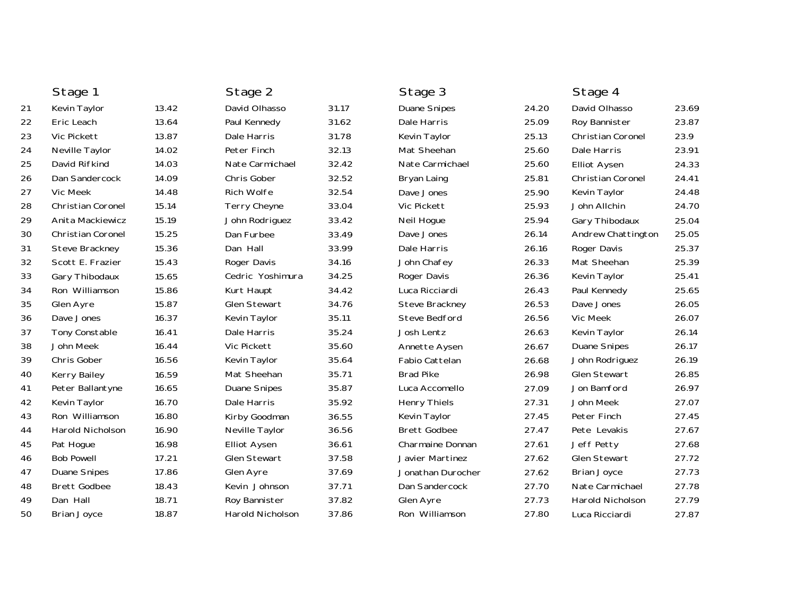|    | Stage 1                  |       | Stage 2             |       | Stage 3              |       | Stage 4             |       |
|----|--------------------------|-------|---------------------|-------|----------------------|-------|---------------------|-------|
| 21 | Kevin Taylor             | 13.42 | David Olhasso       | 31.17 | <b>Duane Snipes</b>  | 24.20 | David Olhasso       | 23.69 |
| 22 | Eric Leach               | 13.64 | Paul Kennedy        | 31.62 | Dale Harris          | 25.09 | Roy Bannister       | 23.87 |
| 23 | Vic Pickett              | 13.87 | Dale Harris         | 31.78 | Kevin Taylor         | 25.13 | Christian Coronel   | 23.9  |
| 24 | Neville Taylor           | 14.02 | Peter Finch         | 32.13 | Mat Sheehan          | 25.60 | Dale Harris         | 23.91 |
| 25 | David Rifkind            | 14.03 | Nate Carmichael     | 32.42 | Nate Carmichael      | 25.60 | <b>Elliot Aysen</b> | 24.33 |
| 26 | Dan Sandercock           | 14.09 | Chris Gober         | 32.52 | Bryan Laing          | 25.81 | Christian Coronel   | 24.41 |
| 27 | Vic Meek                 | 14.48 | Rich Wolfe          | 32.54 | Dave Jones           | 25.90 | Kevin Taylor        | 24.48 |
| 28 | <b>Christian Coronel</b> | 15.14 | Terry Cheyne        | 33.04 | Vic Pickett          | 25.93 | John Allchin        | 24.70 |
| 29 | Anita Mackiewicz         | 15.19 | John Rodriguez      | 33.42 | Neil Hogue           | 25.94 | Gary Thibodaux      | 25.04 |
| 30 | Christian Coronel        | 15.25 | Dan Furbee          | 33.49 | Dave Jones           | 26.14 | Andrew Chattington  | 25.05 |
| 31 | Steve Brackney           | 15.36 | Dan Hall            | 33.99 | Dale Harris          | 26.16 | Roger Davis         | 25.37 |
| 32 | Scott E. Frazier         | 15.43 | Roger Davis         | 34.16 | John Chafey          | 26.33 | Mat Sheehan         | 25.39 |
| 33 | Gary Thibodaux           | 15.65 | Cedric Yoshimura    | 34.25 | Roger Davis          | 26.36 | Kevin Taylor        | 25.41 |
| 34 | Ron Williamson           | 15.86 | Kurt Haupt          | 34.42 | Luca Ricciardi       | 26.43 | Paul Kennedy        | 25.65 |
| 35 | Glen Ayre                | 15.87 | <b>Glen Stewart</b> | 34.76 | Steve Brackney       | 26.53 | Dave Jones          | 26.05 |
| 36 | Dave Jones               | 16.37 | Kevin Taylor        | 35.11 | <b>Steve Bedford</b> | 26.56 | Vic Meek            | 26.07 |
| 37 | Tony Constable           | 16.41 | Dale Harris         | 35.24 | Josh Lentz           | 26.63 | Kevin Taylor        | 26.14 |
| 38 | John Meek                | 16.44 | Vic Pickett         | 35.60 | Annette Aysen        | 26.67 | <b>Duane Snipes</b> | 26.17 |
| 39 | Chris Gober              | 16.56 | Kevin Taylor        | 35.64 | Fabio Cattelan       | 26.68 | John Rodriguez      | 26.19 |
| 40 | Kerry Bailey             | 16.59 | Mat Sheehan         | 35.71 | <b>Brad Pike</b>     | 26.98 | <b>Glen Stewart</b> | 26.85 |
| 41 | Peter Ballantyne         | 16.65 | <b>Duane Snipes</b> | 35.87 | Luca Accomello       | 27.09 | Jon Bamford         | 26.97 |
| 42 | Kevin Taylor             | 16.70 | Dale Harris         | 35.92 | <b>Henry Thiels</b>  | 27.31 | John Meek           | 27.07 |
| 43 | Ron Williamson           | 16.80 | Kirby Goodman       | 36.55 | Kevin Taylor         | 27.45 | Peter Finch         | 27.45 |
| 44 | <b>Harold Nicholson</b>  | 16.90 | Neville Taylor      | 36.56 | <b>Brett Godbee</b>  | 27.47 | Pete Levakis        | 27.67 |
| 45 | Pat Hogue                | 16.98 | <b>Elliot Aysen</b> | 36.61 | Charmaine Donnan     | 27.61 | Jeff Petty          | 27.68 |
| 46 | <b>Bob Powell</b>        | 17.21 | <b>Glen Stewart</b> | 37.58 | Javier Martinez      | 27.62 | <b>Glen Stewart</b> | 27.72 |
| 47 | <b>Duane Snipes</b>      | 17.86 | Glen Ayre           | 37.69 | Jonathan Durocher    | 27.62 | <b>Brian Joyce</b>  | 27.73 |
| 48 | <b>Brett Godbee</b>      | 18.43 | Kevin Johnson       | 37.71 | Dan Sandercock       | 27.70 | Nate Carmichael     | 27.78 |
| 49 | Dan Hall                 | 18.71 | Roy Bannister       | 37.82 | Glen Ayre            | 27.73 | Harold Nicholson    | 27.79 |
| 50 | <b>Brian Joyce</b>       | 18.87 | Harold Nicholson    | 37.86 | Ron Williamson       | 27.80 | Luca Ricciardi      | 27.87 |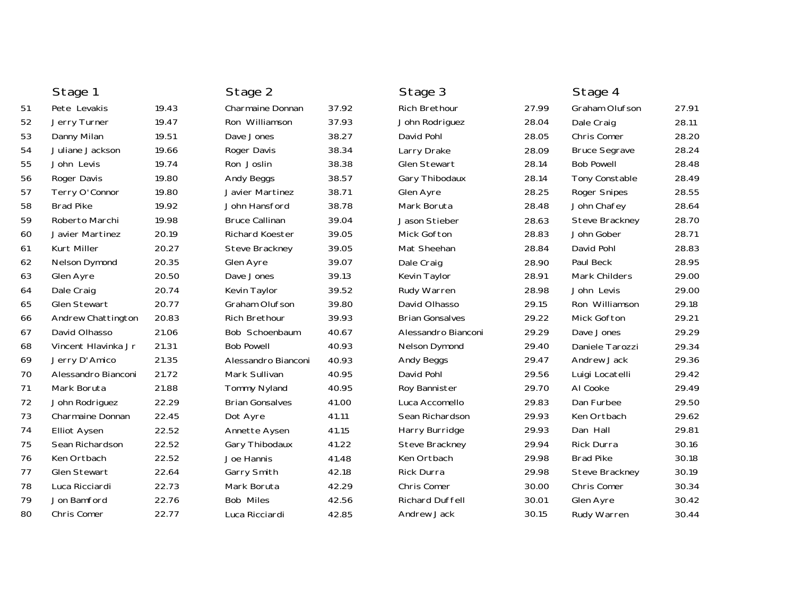|    | Stage 1                 |       | Stage 2                |       | Stage 3                |       | Stage 4              |       |
|----|-------------------------|-------|------------------------|-------|------------------------|-------|----------------------|-------|
| 51 | Pete Levakis            | 19.43 | Charmaine Donnan       | 37.92 | <b>Rich Brethour</b>   | 27.99 | Graham Olufson       | 27.91 |
| 52 | Jerry Turner            | 19.47 | Ron Williamson         | 37.93 | John Rodriguez         | 28.04 | Dale Craig           | 28.11 |
| 53 | Danny Milan             | 19.51 | Dave Jones             | 38.27 | David Pohl             | 28.05 | Chris Comer          | 28.20 |
| 54 | Juliane Jackson         | 19.66 | Roger Davis            | 38.34 | Larry Drake            | 28.09 | <b>Bruce Segrave</b> | 28.24 |
| 55 | John Levis              | 19.74 | Ron Joslin             | 38.38 | <b>Glen Stewart</b>    | 28.14 | <b>Bob Powell</b>    | 28.48 |
| 56 | Roger Davis             | 19.80 | Andy Beggs             | 38.57 | Gary Thibodaux         | 28.14 | Tony Constable       | 28.49 |
| 57 | Terry O'Connor          | 19.80 | Javier Martinez        | 38.71 | Glen Ayre              | 28.25 | Roger Snipes         | 28.55 |
| 58 | <b>Brad Pike</b>        | 19.92 | John Hansford          | 38.78 | Mark Boruta            | 28.48 | John Chafey          | 28.64 |
| 59 | Roberto Marchi          | 19.98 | <b>Bruce Callinan</b>  | 39.04 | Jason Stieber          | 28.63 | Steve Brackney       | 28.70 |
| 60 | Javier Martinez         | 20.19 | Richard Koester        | 39.05 | Mick Gofton            | 28.83 | John Gober           | 28.71 |
| 61 | Kurt Miller             | 20.27 | Steve Brackney         | 39.05 | Mat Sheehan            | 28.84 | David Pohl           | 28.83 |
| 62 | Nelson Dymond           | 20.35 | Glen Ayre              | 39.07 | Dale Craig             | 28.90 | Paul Beck            | 28.95 |
| 63 | Glen Ayre               | 20.50 | Dave Jones             | 39.13 | Kevin Taylor           | 28.91 | Mark Childers        | 29.00 |
| 64 | Dale Craig              | 20.74 | Kevin Taylor           | 39.52 | Rudy Warren            | 28.98 | John Levis           | 29.00 |
| 65 | Glen Stewart            | 20.77 | Graham Olufson         | 39.80 | David Olhasso          | 29.15 | Ron Williamson       | 29.18 |
| 66 | Andrew Chattington      | 20.83 | <b>Rich Brethour</b>   | 39.93 | <b>Brian Gonsalves</b> | 29.22 | <b>Mick Gofton</b>   | 29.21 |
| 67 | David Olhasso           | 21.06 | Bob Schoenbaum         | 40.67 | Alessandro Bianconi    | 29.29 | Dave Jones           | 29.29 |
| 68 | Vincent Hlavinka Jr     | 21.31 | <b>Bob Powell</b>      | 40.93 | <b>Nelson Dymond</b>   | 29.40 | Daniele Tarozzi      | 29.34 |
| 69 | Jerry D'Amico           | 21.35 | Alessandro Bianconi    | 40.93 | <b>Andy Beggs</b>      | 29.47 | Andrew Jack          | 29.36 |
| 70 | Alessandro Bianconi     | 21.72 | Mark Sullivan          | 40.95 | David Pohl             | 29.56 | Luigi Locatelli      | 29.42 |
| 71 | Mark Boruta             | 21.88 | Tommy Nyland           | 40.95 | Roy Bannister          | 29.70 | Al Cooke             | 29.49 |
| 72 | John Rodriguez          | 22.29 | <b>Brian Gonsalves</b> | 41.00 | Luca Accomello         | 29.83 | Dan Furbee           | 29.50 |
| 73 | <b>Charmaine Donnan</b> | 22.45 | Dot Ayre               | 41.11 | Sean Richardson        | 29.93 | Ken Ortbach          | 29.62 |
| 74 | <b>Elliot Aysen</b>     | 22.52 | Annette Aysen          | 41.15 | Harry Burridge         | 29.93 | Dan Hall             | 29.81 |
| 75 | Sean Richardson         | 22.52 | Gary Thibodaux         | 41.22 | Steve Brackney         | 29.94 | Rick Durra           | 30.16 |
| 76 | Ken Ortbach             | 22.52 | Joe Hannis             | 41.48 | Ken Ortbach            | 29.98 | <b>Brad Pike</b>     | 30.18 |
| 77 | <b>Glen Stewart</b>     | 22.64 | Garry Smith            | 42.18 | Rick Durra             | 29.98 | Steve Brackney       | 30.19 |
| 78 | Luca Ricciardi          | 22.73 | Mark Boruta            | 42.29 | Chris Comer            | 30.00 | Chris Comer          | 30.34 |
| 79 | Jon Bamford             | 22.76 | <b>Bob Miles</b>       | 42.56 | Richard Duffell        | 30.01 | Glen Ayre            | 30.42 |
| 80 | Chris Comer             | 22.77 | Luca Ricciardi         | 42.85 | Andrew Jack            | 30.15 | Rudy Warren          | 30.44 |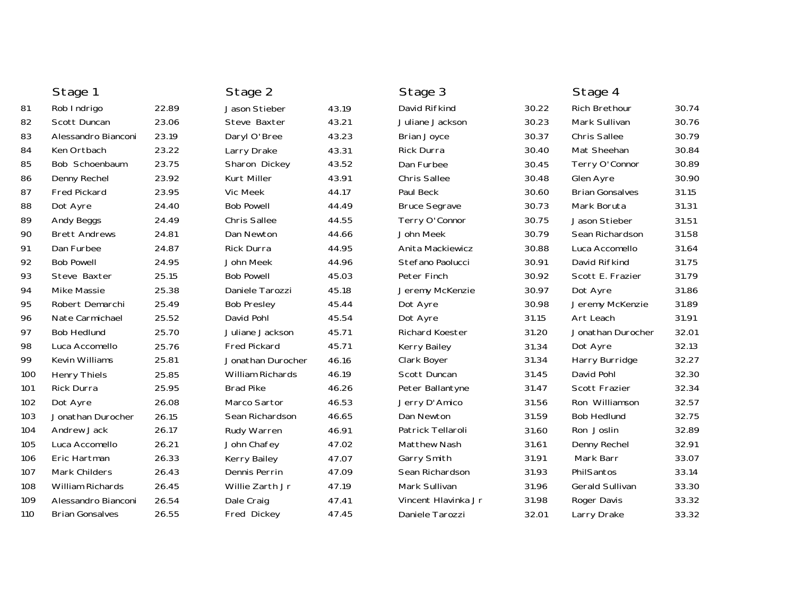|     | Stage 1                |       | Stage 2             |       | Stage 3                |       | Stage 4                |       |
|-----|------------------------|-------|---------------------|-------|------------------------|-------|------------------------|-------|
| 81  | Rob Indrigo            | 22.89 | Jason Stieber       | 43.19 | David Rifkind          | 30.22 | <b>Rich Brethour</b>   | 30.74 |
| 82  | Scott Duncan           | 23.06 | Steve Baxter        | 43.21 | Juliane Jackson        | 30.23 | Mark Sullivan          | 30.76 |
| 83  | Alessandro Bianconi    | 23.19 | Daryl O'Bree        | 43.23 | <b>Brian Joyce</b>     | 30.37 | <b>Chris Sallee</b>    | 30.79 |
| 84  | Ken Ortbach            | 23.22 | Larry Drake         | 43.31 | Rick Durra             | 30.40 | Mat Sheehan            | 30.84 |
| 85  | Bob Schoenbaum         | 23.75 | Sharon Dickey       | 43.52 | Dan Furbee             | 30.45 | Terry O'Connor         | 30.89 |
| 86  | Denny Rechel           | 23.92 | Kurt Miller         | 43.91 | Chris Sallee           | 30.48 | Glen Ayre              | 30.90 |
| 87  | <b>Fred Pickard</b>    | 23.95 | Vic Meek            | 44.17 | Paul Beck              | 30.60 | <b>Brian Gonsalves</b> | 31.15 |
| 88  | Dot Ayre               | 24.40 | <b>Bob Powell</b>   | 44.49 | <b>Bruce Segrave</b>   | 30.73 | Mark Boruta            | 31.31 |
| 89  | Andy Beggs             | 24.49 | <b>Chris Sallee</b> | 44.55 | Terry O'Connor         | 30.75 | Jason Stieber          | 31.51 |
| 90  | <b>Brett Andrews</b>   | 24.81 | Dan Newton          | 44.66 | John Meek              | 30.79 | Sean Richardson        | 31.58 |
| 91  | Dan Furbee             | 24.87 | Rick Durra          | 44.95 | Anita Mackiewicz       | 30.88 | Luca Accomello         | 31.64 |
| 92  | <b>Bob Powell</b>      | 24.95 | John Meek           | 44.96 | Stefano Paolucci       | 30.91 | David Rifkind          | 31.75 |
| 93  | Steve Baxter           | 25.15 | <b>Bob Powell</b>   | 45.03 | Peter Finch            | 30.92 | Scott E. Frazier       | 31.79 |
| 94  | <b>Mike Massie</b>     | 25.38 | Daniele Tarozzi     | 45.18 | Jeremy McKenzie        | 30.97 | Dot Ayre               | 31.86 |
| 95  | Robert Demarchi        | 25.49 | <b>Bob Presley</b>  | 45.44 | Dot Ayre               | 30.98 | Jeremy McKenzie        | 31.89 |
| 96  | Nate Carmichael        | 25.52 | David Pohl          | 45.54 | Dot Ayre               | 31.15 | Art Leach              | 31.91 |
| 97  | <b>Bob Hedlund</b>     | 25.70 | Juliane Jackson     | 45.71 | <b>Richard Koester</b> | 31.20 | Jonathan Durocher      | 32.01 |
| 98  | Luca Accomello         | 25.76 | <b>Fred Pickard</b> | 45.71 | Kerry Bailey           | 31.34 | Dot Ayre               | 32.13 |
| 99  | Kevin Williams         | 25.81 | Jonathan Durocher   | 46.16 | Clark Boyer            | 31.34 | Harry Burridge         | 32.27 |
| 100 | <b>Henry Thiels</b>    | 25.85 | William Richards    | 46.19 | Scott Duncan           | 31.45 | David Pohl             | 32.30 |
| 101 | <b>Rick Durra</b>      | 25.95 | <b>Brad Pike</b>    | 46.26 | Peter Ballantyne       | 31.47 | Scott Frazier          | 32.34 |
| 102 | Dot Ayre               | 26.08 | Marco Sartor        | 46.53 | Jerry D'Amico          | 31.56 | Ron Williamson         | 32.57 |
| 103 | Jonathan Durocher      | 26.15 | Sean Richardson     | 46.65 | Dan Newton             | 31.59 | <b>Bob Hedlund</b>     | 32.75 |
| 104 | Andrew Jack            | 26.17 | Rudy Warren         | 46.91 | Patrick Tellaroli      | 31.60 | Ron Joslin             | 32.89 |
| 105 | Luca Accomello         | 26.21 | John Chafey         | 47.02 | Matthew Nash           | 31.61 | Denny Rechel           | 32.91 |
| 106 | Eric Hartman           | 26.33 | Kerry Bailey        | 47.07 | Garry Smith            | 31.91 | Mark Barr              | 33.07 |
| 107 | Mark Childers          | 26.43 | Dennis Perrin       | 47.09 | Sean Richardson        | 31.93 | PhilSantos             | 33.14 |
| 108 | William Richards       | 26.45 | Willie Zarth Jr     | 47.19 | Mark Sullivan          | 31.96 | <b>Gerald Sullivan</b> | 33.30 |
| 109 | Alessandro Bianconi    | 26.54 | Dale Craig          | 47.41 | Vincent Hlavinka Jr    | 31.98 | Roger Davis            | 33.32 |
| 110 | <b>Brian Gonsalves</b> | 26.55 | Fred Dickey         | 47.45 | Daniele Tarozzi        | 32.01 | Larry Drake            | 33.32 |
|     |                        |       |                     |       |                        |       |                        |       |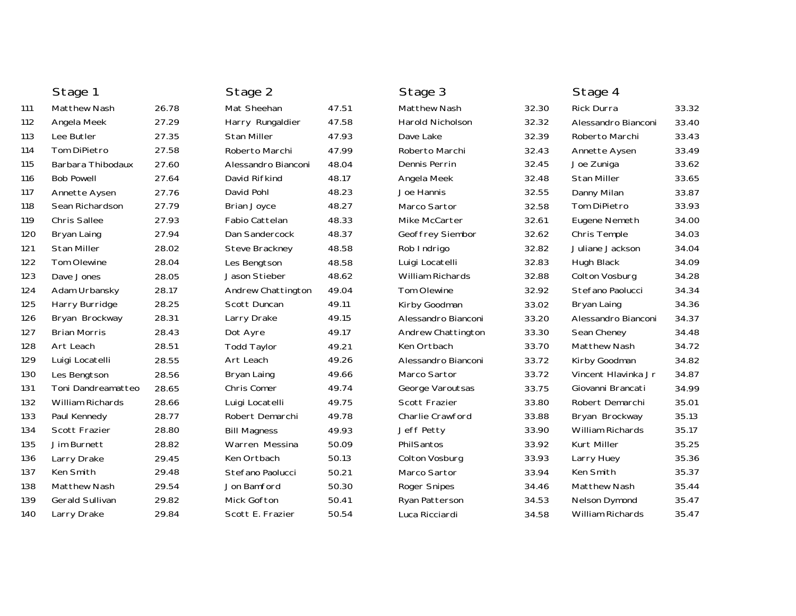|     | Stage 1                |       | Stage 2             |       | Stage 3                 |       | Stage 4              |       |
|-----|------------------------|-------|---------------------|-------|-------------------------|-------|----------------------|-------|
| 111 | <b>Matthew Nash</b>    | 26.78 | Mat Sheehan         | 47.51 | <b>Matthew Nash</b>     | 32.30 | Rick Durra           | 33.32 |
| 112 | Angela Meek            | 27.29 | Harry Rungaldier    | 47.58 | Harold Nicholson        | 32.32 | Alessandro Bianconi  | 33.40 |
| 113 | Lee Butler             | 27.35 | Stan Miller         | 47.93 | Dave Lake               | 32.39 | Roberto Marchi       | 33.43 |
| 114 | Tom DiPietro           | 27.58 | Roberto Marchi      | 47.99 | Roberto Marchi          | 32.43 | Annette Aysen        | 33.49 |
| 115 | Barbara Thibodaux      | 27.60 | Alessandro Bianconi | 48.04 | Dennis Perrin           | 32.45 | Joe Zuniga           | 33.62 |
| 116 | <b>Bob Powell</b>      | 27.64 | David Rifkind       | 48.17 | Angela Meek             | 32.48 | <b>Stan Miller</b>   | 33.65 |
| 117 | Annette Aysen          | 27.76 | David Pohl          | 48.23 | Joe Hannis              | 32.55 | Danny Milan          | 33.87 |
| 118 | Sean Richardson        | 27.79 | Brian Joyce         | 48.27 | Marco Sartor            | 32.58 | Tom DiPietro         | 33.93 |
| 119 | <b>Chris Sallee</b>    | 27.93 | Fabio Cattelan      | 48.33 | Mike McCarter           | 32.61 | Eugene Nemeth        | 34.00 |
| 120 | Bryan Laing            | 27.94 | Dan Sandercock      | 48.37 | Geoffrey Siembor        | 32.62 | Chris Temple         | 34.03 |
| 121 | Stan Miller            | 28.02 | Steve Brackney      | 48.58 | Rob Indrigo             | 32.82 | Juliane Jackson      | 34.04 |
| 122 | <b>Tom Olewine</b>     | 28.04 | Les Bengtson        | 48.58 | Luigi Locatelli         | 32.83 | Hugh Black           | 34.09 |
| 123 | Dave Jones             | 28.05 | Jason Stieber       | 48.62 | <b>William Richards</b> | 32.88 | Colton Vosburg       | 34.28 |
| 124 | Adam Urbansky          | 28.17 | Andrew Chattington  | 49.04 | <b>Tom Olewine</b>      | 32.92 | Stefano Paolucci     | 34.34 |
| 125 | Harry Burridge         | 28.25 | Scott Duncan        | 49.11 | Kirby Goodman           | 33.02 | Bryan Laing          | 34.36 |
| 126 | Bryan Brockway         | 28.31 | Larry Drake         | 49.15 | Alessandro Bianconi     | 33.20 | Alessandro Bianconi  | 34.37 |
| 127 | <b>Brian Morris</b>    | 28.43 | Dot Ayre            | 49.17 | Andrew Chattington      | 33.30 | Sean Cheney          | 34.48 |
| 128 | Art Leach              | 28.51 | <b>Todd Taylor</b>  | 49.21 | Ken Ortbach             | 33.70 | Matthew Nash         | 34.72 |
| 129 | Luigi Locatelli        | 28.55 | Art Leach           | 49.26 | Alessandro Bianconi     | 33.72 | Kirby Goodman        | 34.82 |
| 130 | Les Bengtson           | 28.56 | Bryan Laing         | 49.66 | Marco Sartor            | 33.72 | Vincent Hlavinka Jr  | 34.87 |
| 131 | Toni Dandreamatteo     | 28.65 | Chris Comer         | 49.74 | George Varoutsas        | 33.75 | Giovanni Brancati    | 34.99 |
| 132 | William Richards       | 28.66 | Luigi Locatelli     | 49.75 | Scott Frazier           | 33.80 | Robert Demarchi      | 35.01 |
| 133 | Paul Kennedy           | 28.77 | Robert Demarchi     | 49.78 | Charlie Crawford        | 33.88 | Bryan Brockway       | 35.13 |
| 134 | Scott Frazier          | 28.80 | <b>Bill Magness</b> | 49.93 | Jeff Petty              | 33.90 | William Richards     | 35.17 |
| 135 | Jim Burnett            | 28.82 | Warren Messina      | 50.09 | PhilSantos              | 33.92 | Kurt Miller          | 35.25 |
| 136 | Larry Drake            | 29.45 | Ken Ortbach         | 50.13 | Colton Vosburg          | 33.93 | Larry Huey           | 35.36 |
| 137 | Ken Smith              | 29.48 | Stefano Paolucci    | 50.21 | Marco Sartor            | 33.94 | Ken Smith            | 35.37 |
| 138 | <b>Matthew Nash</b>    | 29.54 | Jon Bamford         | 50.30 | <b>Roger Snipes</b>     | 34.46 | <b>Matthew Nash</b>  | 35.44 |
| 139 | <b>Gerald Sullivan</b> | 29.82 | Mick Gofton         | 50.41 | Ryan Patterson          | 34.53 | <b>Nelson Dymond</b> | 35.47 |
| 140 | Larry Drake            | 29.84 | Scott E. Frazier    | 50.54 | Luca Ricciardi          | 34.58 | William Richards     | 35.47 |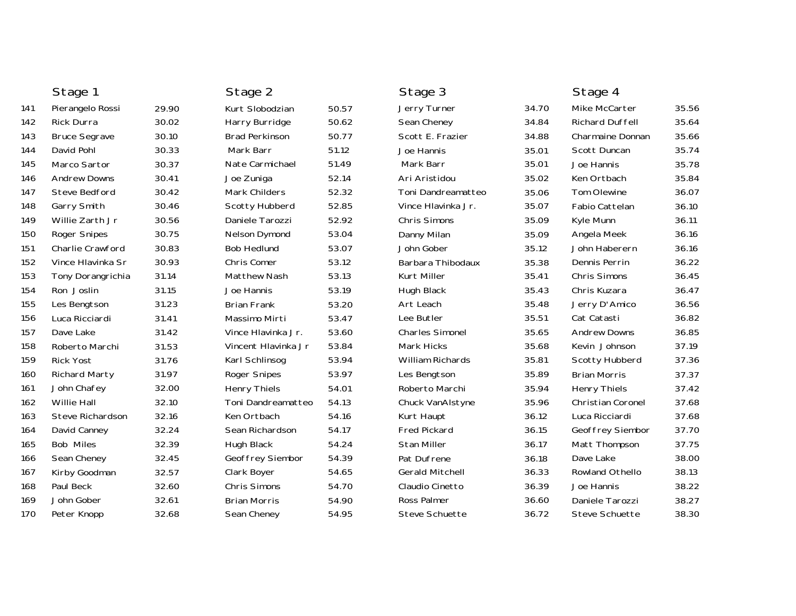|     | Stage 1                 |       | Stage 2               |       | Stage 3                |       | Stage 4                  |       |
|-----|-------------------------|-------|-----------------------|-------|------------------------|-------|--------------------------|-------|
| 141 | Pierangelo Rossi        | 29.90 | Kurt Slobodzian       | 50.57 | Jerry Turner           | 34.70 | Mike McCarter            | 35.56 |
| 142 | <b>Rick Durra</b>       | 30.02 | Harry Burridge        | 50.62 | Sean Cheney            | 34.84 | <b>Richard Duffell</b>   | 35.64 |
| 143 | <b>Bruce Segrave</b>    | 30.10 | <b>Brad Perkinson</b> | 50.77 | Scott E. Frazier       | 34.88 | Charmaine Donnan         | 35.66 |
| 144 | David Pohl              | 30.33 | Mark Barr             | 51.12 | Joe Hannis             | 35.01 | Scott Duncan             | 35.74 |
| 145 | Marco Sartor            | 30.37 | Nate Carmichael       | 51.49 | Mark Barr              | 35.01 | Joe Hannis               | 35.78 |
| 146 | <b>Andrew Downs</b>     | 30.41 | Joe Zuniga            | 52.14 | Ari Aristidou          | 35.02 | Ken Ortbach              | 35.84 |
| 147 | <b>Steve Bedford</b>    | 30.42 | Mark Childers         | 52.32 | Toni Dandreamatteo     | 35.06 | Tom Olewine              | 36.07 |
| 148 | Garry Smith             | 30.46 | Scotty Hubberd        | 52.85 | Vince Hlavinka Jr.     | 35.07 | Fabio Cattelan           | 36.10 |
| 149 | Willie Zarth Jr         | 30.56 | Daniele Tarozzi       | 52.92 | Chris Simons           | 35.09 | Kyle Munn                | 36.11 |
| 150 | Roger Snipes            | 30.75 | Nelson Dymond         | 53.04 | Danny Milan            | 35.09 | Angela Meek              | 36.16 |
| 151 | <b>Charlie Crawford</b> | 30.83 | <b>Bob Hedlund</b>    | 53.07 | John Gober             | 35.12 | John Haberern            | 36.16 |
| 152 | Vince Hlavinka Sr       | 30.93 | Chris Comer           | 53.12 | Barbara Thibodaux      | 35.38 | Dennis Perrin            | 36.22 |
| 153 | Tony Dorangrichia       | 31.14 | <b>Matthew Nash</b>   | 53.13 | Kurt Miller            | 35.41 | Chris Simons             | 36.45 |
| 154 | Ron Joslin              | 31.15 | Joe Hannis            | 53.19 | Hugh Black             | 35.43 | Chris Kuzara             | 36.47 |
| 155 | Les Bengtson            | 31.23 | <b>Brian Frank</b>    | 53.20 | Art Leach              | 35.48 | Jerry D'Amico            | 36.56 |
| 156 | Luca Ricciardi          | 31.41 | Massimo Mirti         | 53.47 | Lee Butler             | 35.51 | Cat Catasti              | 36.82 |
| 157 | Dave Lake               | 31.42 | Vince Hlavinka Jr.    | 53.60 | <b>Charles Simonel</b> | 35.65 | <b>Andrew Downs</b>      | 36.85 |
| 158 | Roberto Marchi          | 31.53 | Vincent Hlavinka Jr   | 53.84 | <b>Mark Hicks</b>      | 35.68 | Kevin Johnson            | 37.19 |
| 159 | <b>Rick Yost</b>        | 31.76 | Karl Schlinsog        | 53.94 | William Richards       | 35.81 | Scotty Hubberd           | 37.36 |
| 160 | <b>Richard Marty</b>    | 31.97 | <b>Roger Snipes</b>   | 53.97 | Les Bengtson           | 35.89 | <b>Brian Morris</b>      | 37.37 |
| 161 | John Chafey             | 32.00 | <b>Henry Thiels</b>   | 54.01 | Roberto Marchi         | 35.94 | <b>Henry Thiels</b>      | 37.42 |
| 162 | <b>Willie Hall</b>      | 32.10 | Toni Dandreamatteo    | 54.13 | Chuck VanAlstyne       | 35.96 | <b>Christian Coronel</b> | 37.68 |
| 163 | Steve Richardson        | 32.16 | Ken Ortbach           | 54.16 | Kurt Haupt             | 36.12 | Luca Ricciardi           | 37.68 |
| 164 | David Canney            | 32.24 | Sean Richardson       | 54.17 | <b>Fred Pickard</b>    | 36.15 | Geoffrey Siembor         | 37.70 |
| 165 | <b>Bob Miles</b>        | 32.39 | Hugh Black            | 54.24 | <b>Stan Miller</b>     | 36.17 | Matt Thompson            | 37.75 |
| 166 | Sean Cheney             | 32.45 | Geoffrey Siembor      | 54.39 | Pat Dufrene            | 36.18 | Dave Lake                | 38.00 |
| 167 | Kirby Goodman           | 32.57 | Clark Boyer           | 54.65 | <b>Gerald Mitchell</b> | 36.33 | Rowland Othello          | 38.13 |
| 168 | Paul Beck               | 32.60 | Chris Simons          | 54.70 | Claudio Cinetto        | 36.39 | Joe Hannis               | 38.22 |
| 169 | John Gober              | 32.61 | <b>Brian Morris</b>   | 54.90 | <b>Ross Palmer</b>     | 36.60 | Daniele Tarozzi          | 38.27 |
| 170 | Peter Knopp             | 32.68 | Sean Cheney           | 54.95 | Steve Schuette         | 36.72 | Steve Schuette           | 38.30 |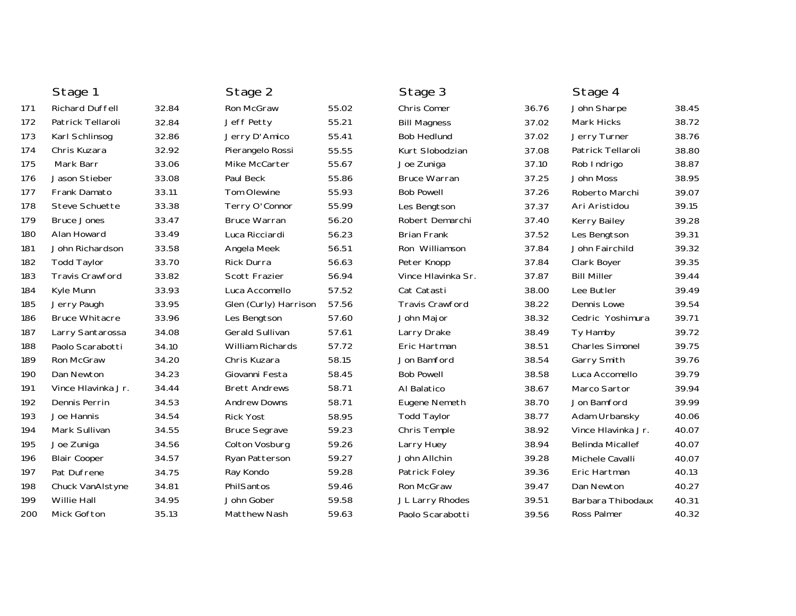|     | Stage 1                |       | Stage 2                 |       | Stage 3                |       | Stage 4                 |       |
|-----|------------------------|-------|-------------------------|-------|------------------------|-------|-------------------------|-------|
| 171 | Richard Duffell        | 32.84 | Ron McGraw              | 55.02 | Chris Comer            | 36.76 | John Sharpe             | 38.45 |
| 172 | Patrick Tellaroli      | 32.84 | Jeff Petty              | 55.21 | <b>Bill Magness</b>    | 37.02 | Mark Hicks              | 38.72 |
| 173 | Karl Schlinsog         | 32.86 | Jerry D'Amico           | 55.41 | <b>Bob Hedlund</b>     | 37.02 | Jerry Turner            | 38.76 |
| 174 | Chris Kuzara           | 32.92 | Pierangelo Rossi        | 55.55 | Kurt Slobodzian        | 37.08 | Patrick Tellaroli       | 38.80 |
| 175 | Mark Barr              | 33.06 | Mike McCarter           | 55.67 | Joe Zuniga             | 37.10 | Rob Indrigo             | 38.87 |
| 176 | Jason Stieber          | 33.08 | Paul Beck               | 55.86 | <b>Bruce Warran</b>    | 37.25 | John Moss               | 38.95 |
| 177 | <b>Frank Damato</b>    | 33.11 | <b>Tom Olewine</b>      | 55.93 | <b>Bob Powell</b>      | 37.26 | Roberto Marchi          | 39.07 |
| 178 | Steve Schuette         | 33.38 | Terry O'Connor          | 55.99 | Les Bengtson           | 37.37 | Ari Aristidou           | 39.15 |
| 179 | <b>Bruce Jones</b>     | 33.47 | <b>Bruce Warran</b>     | 56.20 | Robert Demarchi        | 37.40 | Kerry Bailey            | 39.28 |
| 180 | Alan Howard            | 33.49 | Luca Ricciardi          | 56.23 | <b>Brian Frank</b>     | 37.52 | Les Bengtson            | 39.31 |
| 181 | John Richardson        | 33.58 | Angela Meek             | 56.51 | Ron Williamson         | 37.84 | John Fairchild          | 39.32 |
| 182 | <b>Todd Taylor</b>     | 33.70 | Rick Durra              | 56.63 | Peter Knopp            | 37.84 | Clark Boyer             | 39.35 |
| 183 | <b>Travis Crawford</b> | 33.82 | Scott Frazier           | 56.94 | Vince Hlavinka Sr.     | 37.87 | <b>Bill Miller</b>      | 39.44 |
| 184 | Kyle Munn              | 33.93 | Luca Accomello          | 57.52 | Cat Catasti            | 38.00 | Lee Butler              | 39.49 |
| 185 | Jerry Paugh            | 33.95 | Glen (Curly) Harrison   | 57.56 | <b>Travis Crawford</b> | 38.22 | Dennis Lowe             | 39.54 |
| 186 | <b>Bruce Whitacre</b>  | 33.96 | Les Bengtson            | 57.60 | John Major             | 38.32 | Cedric Yoshimura        | 39.71 |
| 187 | Larry Santarossa       | 34.08 | <b>Gerald Sullivan</b>  | 57.61 | Larry Drake            | 38.49 | Ty Hamby                | 39.72 |
| 188 | Paolo Scarabotti       | 34.10 | <b>William Richards</b> | 57.72 | Eric Hartman           | 38.51 | <b>Charles Simonel</b>  | 39.75 |
| 189 | Ron McGraw             | 34.20 | Chris Kuzara            | 58.15 | Jon Bamford            | 38.54 | Garry Smith             | 39.76 |
| 190 | Dan Newton             | 34.23 | Giovanni Festa          | 58.45 | <b>Bob Powell</b>      | 38.58 | Luca Accomello          | 39.79 |
| 191 | Vince Hlavinka Jr.     | 34.44 | <b>Brett Andrews</b>    | 58.71 | Al Balatico            | 38.67 | Marco Sartor            | 39.94 |
| 192 | Dennis Perrin          | 34.53 | <b>Andrew Downs</b>     | 58.71 | Eugene Nemeth          | 38.70 | Jon Bamford             | 39.99 |
| 193 | Joe Hannis             | 34.54 | <b>Rick Yost</b>        | 58.95 | <b>Todd Taylor</b>     | 38.77 | Adam Urbansky           | 40.06 |
| 194 | Mark Sullivan          | 34.55 | <b>Bruce Segrave</b>    | 59.23 | Chris Temple           | 38.92 | Vince Hlavinka Jr.      | 40.07 |
| 195 | Joe Zuniga             | 34.56 | Colton Vosburg          | 59.26 | Larry Huey             | 38.94 | <b>Belinda Micallef</b> | 40.07 |
| 196 | <b>Blair Cooper</b>    | 34.57 | Ryan Patterson          | 59.27 | John Allchin           | 39.28 | Michele Cavalli         | 40.07 |
| 197 | Pat Dufrene            | 34.75 | Ray Kondo               | 59.28 | Patrick Foley          | 39.36 | Eric Hartman            | 40.13 |
| 198 | Chuck VanAlstyne       | 34.81 | PhilSantos              | 59.46 | Ron McGraw             | 39.47 | Dan Newton              | 40.27 |
| 199 | Willie Hall            | 34.95 | John Gober              | 59.58 | JL Larry Rhodes        | 39.51 | Barbara Thibodaux       | 40.31 |
| 200 | Mick Gofton            | 35.13 | Matthew Nash            | 59.63 | Paolo Scarabotti       | 39.56 | Ross Palmer             | 40.32 |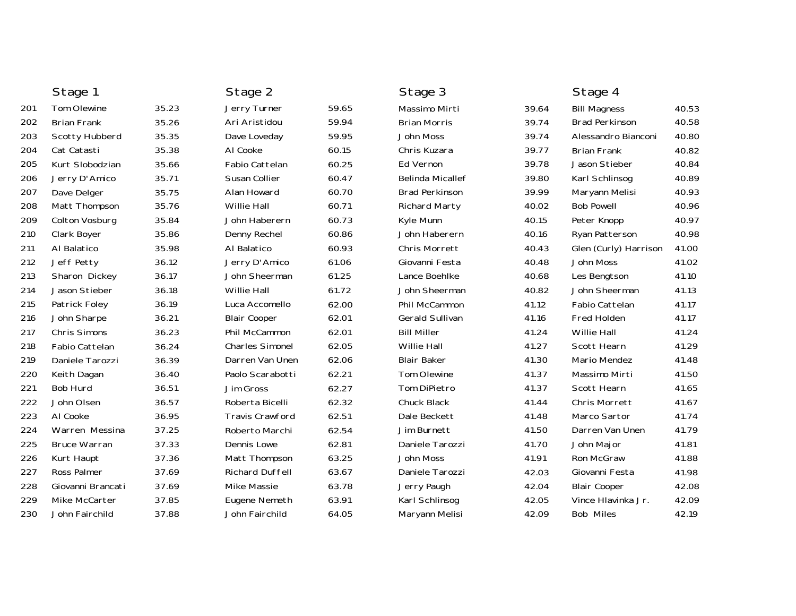| Stage 1               |       | Stage 2                |       | Stage 3                 |       | Stage 4               |       |
|-----------------------|-------|------------------------|-------|-------------------------|-------|-----------------------|-------|
| <b>Tom Olewine</b>    | 35.23 | Jerry Turner           | 59.65 | Massimo Mirti           | 39.64 | <b>Bill Magness</b>   | 40.53 |
| <b>Brian Frank</b>    | 35.26 | Ari Aristidou          | 59.94 | <b>Brian Morris</b>     | 39.74 | <b>Brad Perkinson</b> | 40.58 |
| Scotty Hubberd        | 35.35 | Dave Loveday           | 59.95 | John Moss               | 39.74 | Alessandro Bianconi   | 40.80 |
| Cat Catasti           | 35.38 | AI Cooke               | 60.15 | Chris Kuzara            | 39.77 | <b>Brian Frank</b>    | 40.82 |
| Kurt Slobodzian       | 35.66 | Fabio Cattelan         | 60.25 | Ed Vernon               | 39.78 | Jason Stieber         | 40.84 |
| Jerry D'Amico         | 35.71 | Susan Collier          | 60.47 | <b>Belinda Micallef</b> | 39.80 | Karl Schlinsog        | 40.89 |
| Dave Delger           | 35.75 | Alan Howard            | 60.70 | <b>Brad Perkinson</b>   | 39.99 | Maryann Melisi        | 40.93 |
| Matt Thompson         | 35.76 | <b>Willie Hall</b>     | 60.71 | <b>Richard Marty</b>    | 40.02 | <b>Bob Powell</b>     | 40.96 |
| Colton Vosburg        | 35.84 | John Haberern          | 60.73 | Kyle Munn               | 40.15 | Peter Knopp           | 40.97 |
| Clark Boyer           | 35.86 | Denny Rechel           | 60.86 | John Haberern           | 40.16 | Ryan Patterson        | 40.98 |
| Al Balatico           | 35.98 | Al Balatico            | 60.93 | Chris Morrett           | 40.43 | Glen (Curly) Harrison | 41.00 |
| Jeff Petty            | 36.12 | Jerry D'Amico          | 61.06 | Giovanni Festa          | 40.48 | John Moss             | 41.02 |
| Sharon Dickey         | 36.17 | John Sheerman          | 61.25 | Lance Boehlke           | 40.68 | Les Bengtson          | 41.10 |
| Jason Stieber         | 36.18 | Willie Hall            | 61.72 | John Sheerman           | 40.82 | John Sheerman         | 41.13 |
| Patrick Foley         | 36.19 | Luca Accomello         | 62.00 | Phil McCammon           | 41.12 | Fabio Cattelan        | 41.17 |
| John Sharpe           | 36.21 | <b>Blair Cooper</b>    | 62.01 | <b>Gerald Sullivan</b>  | 41.16 | Fred Holden           | 41.17 |
| Chris Simons          | 36.23 | Phil McCammon          | 62.01 | <b>Bill Miller</b>      | 41.24 | <b>Willie Hall</b>    | 41.24 |
| <b>Fabio Cattelan</b> | 36.24 | <b>Charles Simonel</b> | 62.05 | <b>Willie Hall</b>      | 41.27 | Scott Hearn           | 41.29 |
| Daniele Tarozzi       | 36.39 | Darren Van Unen        | 62.06 | <b>Blair Baker</b>      | 41.30 | Mario Mendez          | 41.48 |
| Keith Dagan           | 36.40 | Paolo Scarabotti       | 62.21 | Tom Olewine             | 41.37 | Massimo Mirti         | 41.50 |
| Bob Hurd              | 36.51 | Jim Gross              | 62.27 | Tom DiPietro            | 41.37 | Scott Hearn           | 41.65 |
| John Olsen            | 36.57 | Roberta Bicelli        | 62.32 | Chuck Black             | 41.44 | <b>Chris Morrett</b>  | 41.67 |
| AI Cooke              | 36.95 | <b>Travis Crawford</b> | 62.51 | Dale Beckett            | 41.48 | Marco Sartor          | 41.74 |
| Warren Messina        | 37.25 | Roberto Marchi         | 62.54 | Jim Burnett             | 41.50 | Darren Van Unen       | 41.79 |
| <b>Bruce Warran</b>   | 37.33 | Dennis Lowe            | 62.81 | Daniele Tarozzi         | 41.70 | John Major            | 41.81 |
| Kurt Haupt            | 37.36 | Matt Thompson          | 63.25 | John Moss               | 41.91 | Ron McGraw            | 41.88 |
| Ross Palmer           | 37.69 | Richard Duffell        | 63.67 | Daniele Tarozzi         | 42.03 | Giovanni Festa        | 41.98 |
| Giovanni Brancati     | 37.69 | Mike Massie            | 63.78 | Jerry Paugh             | 42.04 | <b>Blair Cooper</b>   | 42.08 |
| Mike McCarter         | 37.85 | Eugene Nemeth          | 63.91 | Karl Schlinsog          | 42.05 | Vince Hlavinka Jr.    | 42.09 |
| John Fairchild        | 37.88 | John Fairchild         | 64.05 | Maryann Melisi          | 42.09 | <b>Bob Miles</b>      | 42.19 |
|                       |       |                        |       |                         |       |                       |       |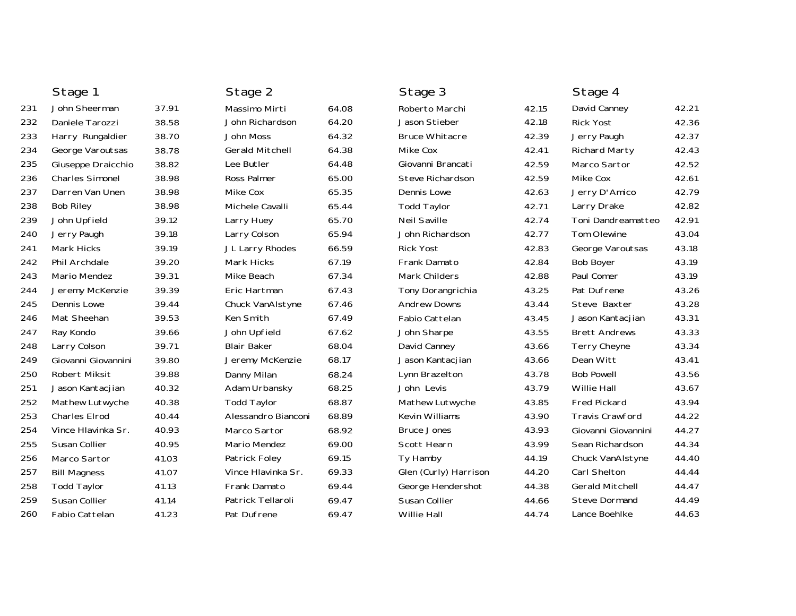|     | Stage 1                |       | Stage 2                |       | Stage 3               |       | Stage 4                |       |
|-----|------------------------|-------|------------------------|-------|-----------------------|-------|------------------------|-------|
| 231 | John Sheerman          | 37.91 | Massimo Mirti          | 64.08 | Roberto Marchi        | 42.15 | David Canney           | 42.21 |
| 232 | Daniele Tarozzi        | 38.58 | John Richardson        | 64.20 | Jason Stieber         | 42.18 | <b>Rick Yost</b>       | 42.36 |
| 233 | Harry Rungaldier       | 38.70 | John Moss              | 64.32 | <b>Bruce Whitacre</b> | 42.39 | Jerry Paugh            | 42.37 |
| 234 | George Varoutsas       | 38.78 | <b>Gerald Mitchell</b> | 64.38 | Mike Cox              | 42.41 | Richard Marty          | 42.43 |
| 235 | Giuseppe Draicchio     | 38.82 | Lee Butler             | 64.48 | Giovanni Brancati     | 42.59 | Marco Sartor           | 42.52 |
| 236 | <b>Charles Simonel</b> | 38.98 | Ross Palmer            | 65.00 | Steve Richardson      | 42.59 | Mike Cox               | 42.61 |
| 237 | Darren Van Unen        | 38.98 | Mike Cox               | 65.35 | Dennis Lowe           | 42.63 | Jerry D'Amico          | 42.79 |
| 238 | <b>Bob Riley</b>       | 38.98 | Michele Cavalli        | 65.44 | <b>Todd Taylor</b>    | 42.71 | Larry Drake            | 42.82 |
| 239 | John Upfield           | 39.12 | Larry Huey             | 65.70 | <b>Neil Saville</b>   | 42.74 | Toni Dandreamatteo     | 42.91 |
| 240 | Jerry Paugh            | 39.18 | Larry Colson           | 65.94 | John Richardson       | 42.77 | Tom Olewine            | 43.04 |
| 241 | Mark Hicks             | 39.19 | JL Larry Rhodes        | 66.59 | <b>Rick Yost</b>      | 42.83 | George Varoutsas       | 43.18 |
| 242 | Phil Archdale          | 39.20 | <b>Mark Hicks</b>      | 67.19 | Frank Damato          | 42.84 | <b>Bob Boyer</b>       | 43.19 |
| 243 | Mario Mendez           | 39.31 | Mike Beach             | 67.34 | <b>Mark Childers</b>  | 42.88 | Paul Comer             | 43.19 |
| 244 | Jeremy McKenzie        | 39.39 | Eric Hartman           | 67.43 | Tony Dorangrichia     | 43.25 | Pat Dufrene            | 43.26 |
| 245 | Dennis Lowe            | 39.44 | Chuck VanAlstyne       | 67.46 | <b>Andrew Downs</b>   | 43.44 | Steve Baxter           | 43.28 |
| 246 | Mat Sheehan            | 39.53 | Ken Smith              | 67.49 | Fabio Cattelan        | 43.45 | Jason Kantacjian       | 43.31 |
| 247 | Ray Kondo              | 39.66 | John Upfield           | 67.62 | John Sharpe           | 43.55 | <b>Brett Andrews</b>   | 43.33 |
| 248 | Larry Colson           | 39.71 | <b>Blair Baker</b>     | 68.04 | David Canney          | 43.66 | <b>Terry Cheyne</b>    | 43.34 |
| 249 | Giovanni Giovannini    | 39.80 | Jeremy McKenzie        | 68.17 | Jason Kantacjian      | 43.66 | Dean Witt              | 43.41 |
| 250 | <b>Robert Miksit</b>   | 39.88 | Danny Milan            | 68.24 | Lynn Brazelton        | 43.78 | <b>Bob Powell</b>      | 43.56 |
| 251 | Jason Kantacjian       | 40.32 | Adam Urbansky          | 68.25 | John Levis            | 43.79 | <b>Willie Hall</b>     | 43.67 |
| 252 | Mathew Lutwyche        | 40.38 | <b>Todd Taylor</b>     | 68.87 | Mathew Lutwyche       | 43.85 | <b>Fred Pickard</b>    | 43.94 |
| 253 | <b>Charles Elrod</b>   | 40.44 | Alessandro Bianconi    | 68.89 | Kevin Williams        | 43.90 | <b>Travis Crawford</b> | 44.22 |
| 254 | Vince Hlavinka Sr.     | 40.93 | Marco Sartor           | 68.92 | <b>Bruce Jones</b>    | 43.93 | Giovanni Giovannini    | 44.27 |
| 255 | Susan Collier          | 40.95 | Mario Mendez           | 69.00 | Scott Hearn           | 43.99 | Sean Richardson        | 44.34 |
| 256 | Marco Sartor           | 41.03 | Patrick Foley          | 69.15 | Ty Hamby              | 44.19 | Chuck VanAlstyne       | 44.40 |
| 257 | <b>Bill Magness</b>    | 41.07 | Vince Hlavinka Sr.     | 69.33 | Glen (Curly) Harrison | 44.20 | Carl Shelton           | 44.44 |
| 258 | <b>Todd Taylor</b>     | 41.13 | Frank Damato           | 69.44 | George Hendershot     | 44.38 | <b>Gerald Mitchell</b> | 44.47 |
| 259 | Susan Collier          | 41.14 | Patrick Tellaroli      | 69.47 | Susan Collier         | 44.66 | <b>Steve Dormand</b>   | 44.49 |
| 260 | Fabio Cattelan         | 41.23 | Pat Dufrene            | 69.47 | <b>Willie Hall</b>    | 44.74 | Lance Boehlke          | 44.63 |
|     |                        |       |                        |       |                       |       |                        |       |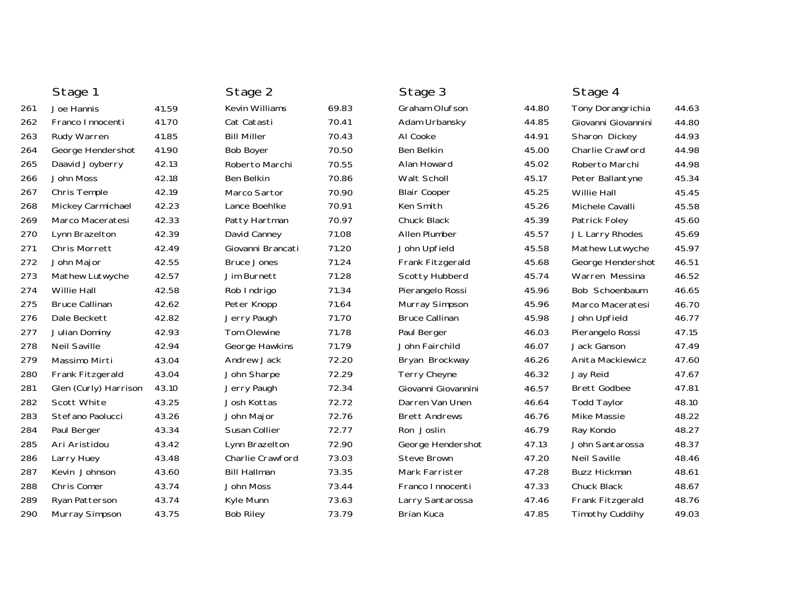|     | Stage 1               |       | Stage 2               |       | Stage 3               |       | Stage 4                |       |
|-----|-----------------------|-------|-----------------------|-------|-----------------------|-------|------------------------|-------|
| 261 | Joe Hannis            | 41.59 | <b>Kevin Williams</b> | 69.83 | Graham Olufson        | 44.80 | Tony Dorangrichia      | 44.63 |
| 262 | Franco Innocenti      | 41.70 | Cat Catasti           | 70.41 | Adam Urbansky         | 44.85 | Giovanni Giovannini    | 44.80 |
| 263 | Rudy Warren           | 41.85 | <b>Bill Miller</b>    | 70.43 | Al Cooke              | 44.91 | Sharon Dickey          | 44.93 |
| 264 | George Hendershot     | 41.90 | <b>Bob Boyer</b>      | 70.50 | Ben Belkin            | 45.00 | Charlie Crawford       | 44.98 |
| 265 | Daavid Joyberry       | 42.13 | Roberto Marchi        | 70.55 | Alan Howard           | 45.02 | Roberto Marchi         | 44.98 |
| 266 | John Moss             | 42.18 | Ben Belkin            | 70.86 | Walt Scholl           | 45.17 | Peter Ballantyne       | 45.34 |
| 267 | Chris Temple          | 42.19 | Marco Sartor          | 70.90 | <b>Blair Cooper</b>   | 45.25 | Willie Hall            | 45.45 |
| 268 | Mickey Carmichael     | 42.23 | Lance Boehlke         | 70.91 | Ken Smith             | 45.26 | Michele Cavalli        | 45.58 |
| 269 | Marco Maceratesi      | 42.33 | Patty Hartman         | 70.97 | Chuck Black           | 45.39 | Patrick Foley          | 45.60 |
| 270 | Lynn Brazelton        | 42.39 | David Canney          | 71.08 | Allen Plumber         | 45.57 | JL Larry Rhodes        | 45.69 |
| 271 | <b>Chris Morrett</b>  | 42.49 | Giovanni Brancati     | 71.20 | John Upfield          | 45.58 | Mathew Lutwyche        | 45.97 |
| 272 | John Major            | 42.55 | <b>Bruce Jones</b>    | 71.24 | Frank Fitzgerald      | 45.68 | George Hendershot      | 46.51 |
| 273 | Mathew Lutwyche       | 42.57 | Jim Burnett           | 71.28 | Scotty Hubberd        | 45.74 | Warren Messina         | 46.52 |
| 274 | <b>Willie Hall</b>    | 42.58 | Rob Indrigo           | 71.34 | Pierangelo Rossi      | 45.96 | Bob Schoenbaum         | 46.65 |
| 275 | <b>Bruce Callinan</b> | 42.62 | Peter Knopp           | 71.64 | Murray Simpson        | 45.96 | Marco Maceratesi       | 46.70 |
| 276 | Dale Beckett          | 42.82 | Jerry Paugh           | 71.70 | <b>Bruce Callinan</b> | 45.98 | John Upfield           | 46.77 |
| 277 | Julian Dominy         | 42.93 | Tom Olewine           | 71.78 | Paul Berger           | 46.03 | Pierangelo Rossi       | 47.15 |
| 278 | <b>Neil Saville</b>   | 42.94 | George Hawkins        | 71.79 | John Fairchild        | 46.07 | Jack Ganson            | 47.49 |
| 279 | Massimo Mirti         | 43.04 | Andrew Jack           | 72.20 | Bryan Brockway        | 46.26 | Anita Mackiewicz       | 47.60 |
| 280 | Frank Fitzgerald      | 43.04 | John Sharpe           | 72.29 | Terry Cheyne          | 46.32 | Jay Reid               | 47.67 |
| 281 | Glen (Curly) Harrison | 43.10 | Jerry Paugh           | 72.34 | Giovanni Giovannini   | 46.57 | <b>Brett Godbee</b>    | 47.81 |
| 282 | Scott White           | 43.25 | Josh Kottas           | 72.72 | Darren Van Unen       | 46.64 | <b>Todd Taylor</b>     | 48.10 |
| 283 | Stefano Paolucci      | 43.26 | John Major            | 72.76 | <b>Brett Andrews</b>  | 46.76 | <b>Mike Massie</b>     | 48.22 |
| 284 | Paul Berger           | 43.34 | Susan Collier         | 72.77 | Ron Joslin            | 46.79 | Ray Kondo              | 48.27 |
| 285 | Ari Aristidou         | 43.42 | Lynn Brazelton        | 72.90 | George Hendershot     | 47.13 | John Santarossa        | 48.37 |
| 286 | Larry Huey            | 43.48 | Charlie Crawford      | 73.03 | <b>Steve Brown</b>    | 47.20 | <b>Neil Saville</b>    | 48.46 |
| 287 | Kevin Johnson         | 43.60 | <b>Bill Hallman</b>   | 73.35 | Mark Farrister        | 47.28 | <b>Buzz Hickman</b>    | 48.61 |
| 288 | Chris Comer           | 43.74 | John Moss             | 73.44 | Franco Innocenti      | 47.33 | Chuck Black            | 48.67 |
| 289 | Ryan Patterson        | 43.74 | Kyle Munn             | 73.63 | Larry Santarossa      | 47.46 | Frank Fitzgerald       | 48.76 |
| 290 | Murray Simpson        | 43.75 | <b>Bob Riley</b>      | 73.79 | Brian Kuca            | 47.85 | <b>Timothy Cuddihy</b> | 49.03 |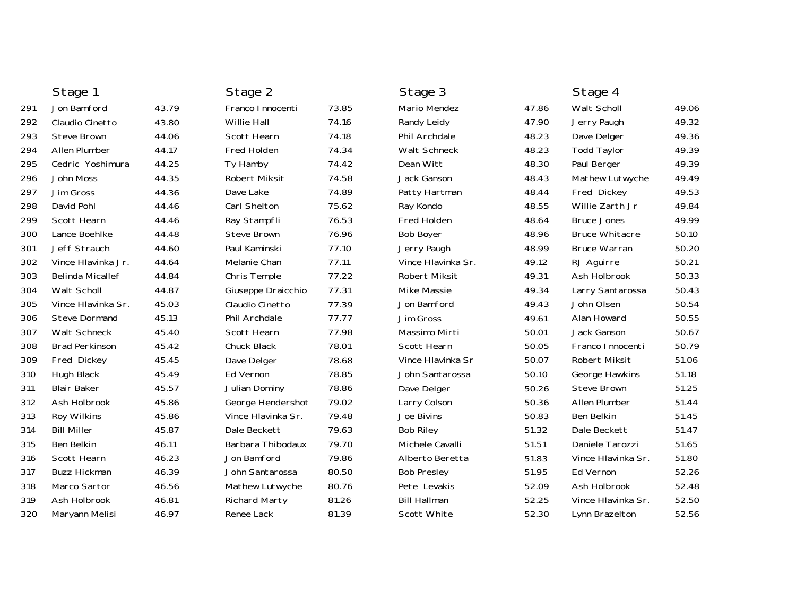|     | Stage 1                 |       | Stage 2            |       | Stage 3             |       | Stage 4               |       |
|-----|-------------------------|-------|--------------------|-------|---------------------|-------|-----------------------|-------|
| 291 | Jon Bamford             | 43.79 | Franco I nnocenti  | 73.85 | <b>Mario Mendez</b> | 47.86 | Walt Scholl           | 49.06 |
| 292 | Claudio Cinetto         | 43.80 | <b>Willie Hall</b> | 74.16 | Randy Leidy         | 47.90 | Jerry Paugh           | 49.32 |
| 293 | <b>Steve Brown</b>      | 44.06 | Scott Hearn        | 74.18 | Phil Archdale       | 48.23 | Dave Delger           | 49.36 |
| 294 | Allen Plumber           | 44.17 | Fred Holden        | 74.34 | Walt Schneck        | 48.23 | <b>Todd Taylor</b>    | 49.39 |
| 295 | Cedric Yoshimura        | 44.25 | Ty Hamby           | 74.42 | Dean Witt           | 48.30 | Paul Berger           | 49.39 |
| 296 | John Moss               | 44.35 | Robert Miksit      | 74.58 | Jack Ganson         | 48.43 | Mathew Lutwyche       | 49.49 |
| 297 | Jim Gross               | 44.36 | Dave Lake          | 74.89 | Patty Hartman       | 48.44 | Fred Dickey           | 49.53 |
| 298 | David Pohl              | 44.46 | Carl Shelton       | 75.62 | Ray Kondo           | 48.55 | Willie Zarth Jr       | 49.84 |
| 299 | Scott Hearn             | 44.46 | Ray Stampfli       | 76.53 | Fred Holden         | 48.64 | <b>Bruce Jones</b>    | 49.99 |
| 300 | Lance Boehlke           | 44.48 | <b>Steve Brown</b> | 76.96 | <b>Bob Boyer</b>    | 48.96 | <b>Bruce Whitacre</b> | 50.10 |
| 301 | Jeff Strauch            | 44.60 | Paul Kaminski      | 77.10 | Jerry Paugh         | 48.99 | <b>Bruce Warran</b>   | 50.20 |
| 302 | Vince Hlavinka Jr.      | 44.64 | Melanie Chan       | 77.11 | Vince Hlavinka Sr.  | 49.12 | RJ Aguirre            | 50.21 |
| 303 | <b>Belinda Micallef</b> | 44.84 | Chris Temple       | 77.22 | Robert Miksit       | 49.31 | Ash Holbrook          | 50.33 |
| 304 | Walt Scholl             | 44.87 | Giuseppe Draicchio | 77.31 | <b>Mike Massie</b>  | 49.34 | Larry Santarossa      | 50.43 |
| 305 | Vince Hlavinka Sr.      | 45.03 | Claudio Cinetto    | 77.39 | Jon Bamford         | 49.43 | John Olsen            | 50.54 |
| 306 | <b>Steve Dormand</b>    | 45.13 | Phil Archdale      | 77.77 | Jim Gross           | 49.61 | Alan Howard           | 50.55 |
| 307 | <b>Walt Schneck</b>     | 45.40 | Scott Hearn        | 77.98 | Massimo Mirti       | 50.01 | Jack Ganson           | 50.67 |
| 308 | <b>Brad Perkinson</b>   | 45.42 | Chuck Black        | 78.01 | Scott Hearn         | 50.05 | Franco Innocenti      | 50.79 |
| 309 | Fred Dickey             | 45.45 | Dave Delger        | 78.68 | Vince Hlavinka Sr   | 50.07 | <b>Robert Miksit</b>  | 51.06 |
| 310 | Hugh Black              | 45.49 | Ed Vernon          | 78.85 | John Santarossa     | 50.10 | George Hawkins        | 51.18 |
| 311 | <b>Blair Baker</b>      | 45.57 | Julian Dominy      | 78.86 | Dave Delger         | 50.26 | Steve Brown           | 51.25 |
| 312 | Ash Holbrook            | 45.86 | George Hendershot  | 79.02 | Larry Colson        | 50.36 | Allen Plumber         | 51.44 |
| 313 | Roy Wilkins             | 45.86 | Vince Hlavinka Sr. | 79.48 | Joe Bivins          | 50.83 | Ben Belkin            | 51.45 |
| 314 | <b>Bill Miller</b>      | 45.87 | Dale Beckett       | 79.63 | <b>Bob Riley</b>    | 51.32 | Dale Beckett          | 51.47 |
| 315 | Ben Belkin              | 46.11 | Barbara Thibodaux  | 79.70 | Michele Cavalli     | 51.51 | Daniele Tarozzi       | 51.65 |
| 316 | Scott Hearn             | 46.23 | Jon Bamford        | 79.86 | Alberto Beretta     | 51.83 | Vince Hlavinka Sr.    | 51.80 |
| 317 | <b>Buzz Hickman</b>     | 46.39 | John Santarossa    | 80.50 | <b>Bob Presley</b>  | 51.95 | Ed Vernon             | 52.26 |
| 318 | Marco Sartor            | 46.56 | Mathew Lutwyche    | 80.76 | Pete Levakis        | 52.09 | Ash Holbrook          | 52.48 |
| 319 | Ash Holbrook            | 46.81 | Richard Marty      | 81.26 | <b>Bill Hallman</b> | 52.25 | Vince Hlavinka Sr.    | 52.50 |
| 320 | Maryann Melisi          | 46.97 | Renee Lack         | 81.39 | Scott White         | 52.30 | Lynn Brazelton        | 52.56 |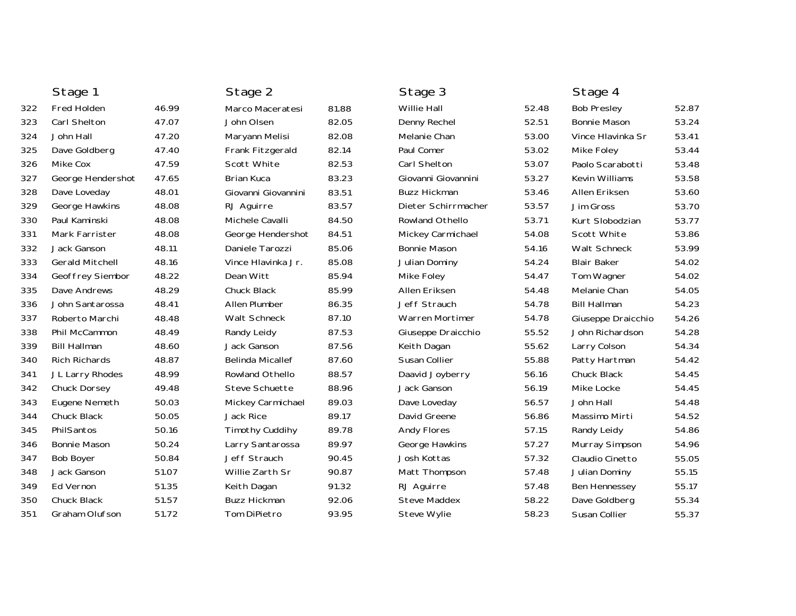|     | Stage 1                |       | Stage 2                 |       | Stage 3             |       | Stage 4              |       |
|-----|------------------------|-------|-------------------------|-------|---------------------|-------|----------------------|-------|
| 322 | <b>Fred Holden</b>     | 46.99 | Marco Maceratesi        | 81.88 | <b>Willie Hall</b>  | 52.48 | <b>Bob Presley</b>   | 52.87 |
| 323 | Carl Shelton           | 47.07 | John Olsen              | 82.05 | Denny Rechel        | 52.51 | <b>Bonnie Mason</b>  | 53.24 |
| 324 | John Hall              | 47.20 | Maryann Melisi          | 82.08 | Melanie Chan        | 53.00 | Vince Hlavinka Sr    | 53.41 |
| 325 | Dave Goldberg          | 47.40 | Frank Fitzgerald        | 82.14 | Paul Comer          | 53.02 | Mike Foley           | 53.44 |
| 326 | Mike Cox               | 47.59 | Scott White             | 82.53 | Carl Shelton        | 53.07 | Paolo Scarabotti     | 53.48 |
| 327 | George Hendershot      | 47.65 | <b>Brian Kuca</b>       | 83.23 | Giovanni Giovannini | 53.27 | Kevin Williams       | 53.58 |
| 328 | Dave Loveday           | 48.01 | Giovanni Giovannini     | 83.51 | <b>Buzz Hickman</b> | 53.46 | Allen Eriksen        | 53.60 |
| 329 | George Hawkins         | 48.08 | RJ Aguirre              | 83.57 | Dieter Schirrmacher | 53.57 | Jim Gross            | 53.70 |
| 330 | Paul Kaminski          | 48.08 | Michele Cavalli         | 84.50 | Rowland Othello     | 53.71 | Kurt Slobodzian      | 53.77 |
| 331 | Mark Farrister         | 48.08 | George Hendershot       | 84.51 | Mickey Carmichael   | 54.08 | Scott White          | 53.86 |
| 332 | Jack Ganson            | 48.11 | Daniele Tarozzi         | 85.06 | <b>Bonnie Mason</b> | 54.16 | Walt Schneck         | 53.99 |
| 333 | <b>Gerald Mitchell</b> | 48.16 | Vince Hlavinka Jr.      | 85.08 | Julian Dominy       | 54.24 | <b>Blair Baker</b>   | 54.02 |
| 334 | Geoffrey Siembor       | 48.22 | Dean Witt               | 85.94 | <b>Mike Foley</b>   | 54.47 | Tom Wagner           | 54.02 |
| 335 | Dave Andrews           | 48.29 | <b>Chuck Black</b>      | 85.99 | Allen Eriksen       | 54.48 | Melanie Chan         | 54.05 |
| 336 | John Santarossa        | 48.41 | Allen Plumber           | 86.35 | Jeff Strauch        | 54.78 | <b>Bill Hallman</b>  | 54.23 |
| 337 | Roberto Marchi         | 48.48 | Walt Schneck            | 87.10 | Warren Mortimer     | 54.78 | Giuseppe Draicchio   | 54.26 |
| 338 | Phil McCammon          | 48.49 | Randy Leidy             | 87.53 | Giuseppe Draicchio  | 55.52 | John Richardson      | 54.28 |
| 339 | <b>Bill Hallman</b>    | 48.60 | Jack Ganson             | 87.56 | Keith Dagan         | 55.62 | Larry Colson         | 54.34 |
| 340 | <b>Rich Richards</b>   | 48.87 | <b>Belinda Micallef</b> | 87.60 | Susan Collier       | 55.88 | Patty Hartman        | 54.42 |
| 341 | JL Larry Rhodes        | 48.99 | Rowland Othello         | 88.57 | Daavid Joyberry     | 56.16 | Chuck Black          | 54.45 |
| 342 | Chuck Dorsey           | 49.48 | Steve Schuette          | 88.96 | Jack Ganson         | 56.19 | Mike Locke           | 54.45 |
| 343 | Eugene Nemeth          | 50.03 | Mickey Carmichael       | 89.03 | Dave Loveday        | 56.57 | John Hall            | 54.48 |
| 344 | Chuck Black            | 50.05 | Jack Rice               | 89.17 | David Greene        | 56.86 | Massimo Mirti        | 54.52 |
| 345 | PhilSantos             | 50.16 | <b>Timothy Cuddihy</b>  | 89.78 | <b>Andy Flores</b>  | 57.15 | Randy Leidy          | 54.86 |
| 346 | <b>Bonnie Mason</b>    | 50.24 | Larry Santarossa        | 89.97 | George Hawkins      | 57.27 | Murray Simpson       | 54.96 |
| 347 | <b>Bob Boyer</b>       | 50.84 | Jeff Strauch            | 90.45 | Josh Kottas         | 57.32 | Claudio Cinetto      | 55.05 |
| 348 | Jack Ganson            | 51.07 | Willie Zarth Sr         | 90.87 | Matt Thompson       | 57.48 | Julian Dominy        | 55.15 |
| 349 | Ed Vernon              | 51.35 | Keith Dagan             | 91.32 | RJ Aguirre          | 57.48 | <b>Ben Hennessey</b> | 55.17 |
| 350 | Chuck Black            | 51.57 | <b>Buzz Hickman</b>     | 92.06 | <b>Steve Maddex</b> | 58.22 | Dave Goldberg        | 55.34 |
| 351 | Graham Olufson         | 51.72 | Tom DiPietro            | 93.95 | Steve Wylie         | 58.23 | Susan Collier        | 55.37 |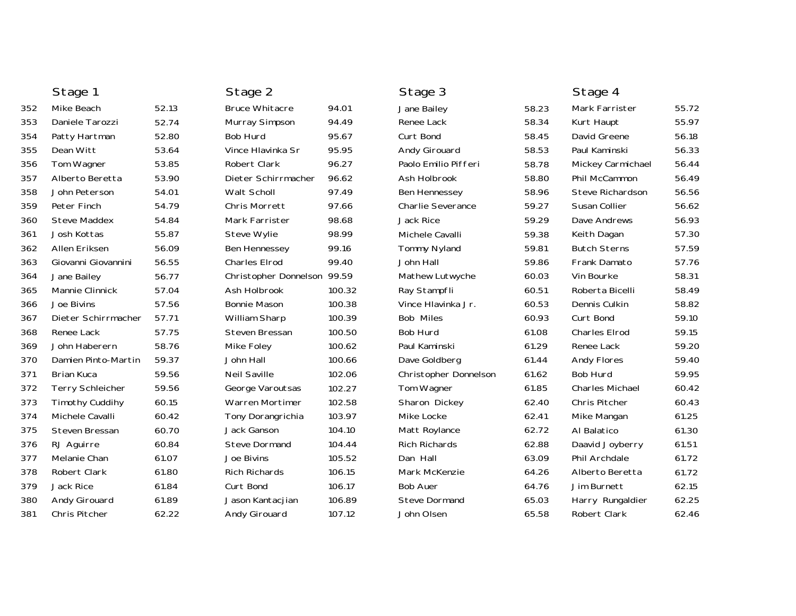|     | Stage 1                 |       | Stage 2                     |        | Stage 3               |       | Stage 4                |       |
|-----|-------------------------|-------|-----------------------------|--------|-----------------------|-------|------------------------|-------|
| 352 | Mike Beach              | 52.13 | <b>Bruce Whitacre</b>       | 94.01  | Jane Bailey           | 58.23 | Mark Farrister         | 55.72 |
| 353 | Daniele Tarozzi         | 52.74 | Murray Simpson              | 94.49  | Renee Lack            | 58.34 | Kurt Haupt             | 55.97 |
| 354 | Patty Hartman           | 52.80 | Bob Hurd                    | 95.67  | Curt Bond             | 58.45 | David Greene           | 56.18 |
| 355 | Dean Witt               | 53.64 | Vince Hlavinka Sr           | 95.95  | Andy Girouard         | 58.53 | Paul Kaminski          | 56.33 |
| 356 | Tom Wagner              | 53.85 | Robert Clark                | 96.27  | Paolo Emilio Pifferi  | 58.78 | Mickey Carmichael      | 56.44 |
| 357 | Alberto Beretta         | 53.90 | Dieter Schirrmacher         | 96.62  | Ash Holbrook          | 58.80 | Phil McCammon          | 56.49 |
| 358 | John Peterson           | 54.01 | Walt Scholl                 | 97.49  | <b>Ben Hennessey</b>  | 58.96 | Steve Richardson       | 56.56 |
| 359 | Peter Finch             | 54.79 | <b>Chris Morrett</b>        | 97.66  | Charlie Severance     | 59.27 | Susan Collier          | 56.62 |
| 360 | <b>Steve Maddex</b>     | 54.84 | Mark Farrister              | 98.68  | <b>Jack Rice</b>      | 59.29 | Dave Andrews           | 56.93 |
| 361 | Josh Kottas             | 55.87 | <b>Steve Wylie</b>          | 98.99  | Michele Cavalli       | 59.38 | Keith Dagan            | 57.30 |
| 362 | Allen Eriksen           | 56.09 | Ben Hennessey               | 99.16  | <b>Tommy Nyland</b>   | 59.81 | <b>Butch Sterns</b>    | 57.59 |
| 363 | Giovanni Giovannini     | 56.55 | Charles Elrod               | 99.40  | John Hall             | 59.86 | Frank Damato           | 57.76 |
| 364 | Jane Bailey             | 56.77 | Christopher Donnelson 99.59 |        | Mathew Lutwyche       | 60.03 | Vin Bourke             | 58.31 |
| 365 | Mannie Clinnick         | 57.04 | Ash Holbrook                | 100.32 | Ray Stampfli          | 60.51 | Roberta Bicelli        | 58.49 |
| 366 | Joe Bivins              | 57.56 | <b>Bonnie Mason</b>         | 100.38 | Vince Hlavinka Jr.    | 60.53 | Dennis Culkin          | 58.82 |
| 367 | Dieter Schirrmacher     | 57.71 | William Sharp               | 100.39 | Bob Miles             | 60.93 | Curt Bond              | 59.10 |
| 368 | Renee Lack              | 57.75 | Steven Bressan              | 100.50 | Bob Hurd              | 61.08 | Charles Elrod          | 59.15 |
| 369 | John Haberern           | 58.76 | Mike Foley                  | 100.62 | Paul Kaminski         | 61.29 | Renee Lack             | 59.20 |
| 370 | Damien Pinto-Martin     | 59.37 | John Hall                   | 100.66 | Dave Goldberg         | 61.44 | <b>Andy Flores</b>     | 59.40 |
| 371 | <b>Brian Kuca</b>       | 59.56 | <b>Neil Saville</b>         | 102.06 | Christopher Donnelson | 61.62 | Bob Hurd               | 59.95 |
| 372 | <b>Terry Schleicher</b> | 59.56 | George Varoutsas            | 102.27 | Tom Wagner            | 61.85 | <b>Charles Michael</b> | 60.42 |
| 373 | <b>Timothy Cuddihy</b>  | 60.15 | <b>Warren Mortimer</b>      | 102.58 | Sharon Dickey         | 62.40 | Chris Pitcher          | 60.43 |
| 374 | Michele Cavalli         | 60.42 | Tony Dorangrichia           | 103.97 | Mike Locke            | 62.41 | Mike Mangan            | 61.25 |
| 375 | Steven Bressan          | 60.70 | Jack Ganson                 | 104.10 | Matt Roylance         | 62.72 | Al Balatico            | 61.30 |
| 376 | RJ Aguirre              | 60.84 | <b>Steve Dormand</b>        | 104.44 | <b>Rich Richards</b>  | 62.88 | Daavid Joyberry        | 61.51 |
| 377 | Melanie Chan            | 61.07 | Joe Bivins                  | 105.52 | Dan Hall              | 63.09 | Phil Archdale          | 61.72 |
| 378 | <b>Robert Clark</b>     | 61.80 | <b>Rich Richards</b>        | 106.15 | Mark McKenzie         | 64.26 | Alberto Beretta        | 61.72 |
| 379 | Jack Rice               | 61.84 | Curt Bond                   | 106.17 | <b>Bob Auer</b>       | 64.76 | Jim Burnett            | 62.15 |
| 380 | Andy Girouard           | 61.89 | Jason Kantacjian            | 106.89 | <b>Steve Dormand</b>  | 65.03 | Harry Rungaldier       | 62.25 |
| 381 | Chris Pitcher           | 62.22 | Andy Girouard               | 107.12 | John Olsen            | 65.58 | Robert Clark           | 62.46 |
|     |                         |       |                             |        |                       |       |                        |       |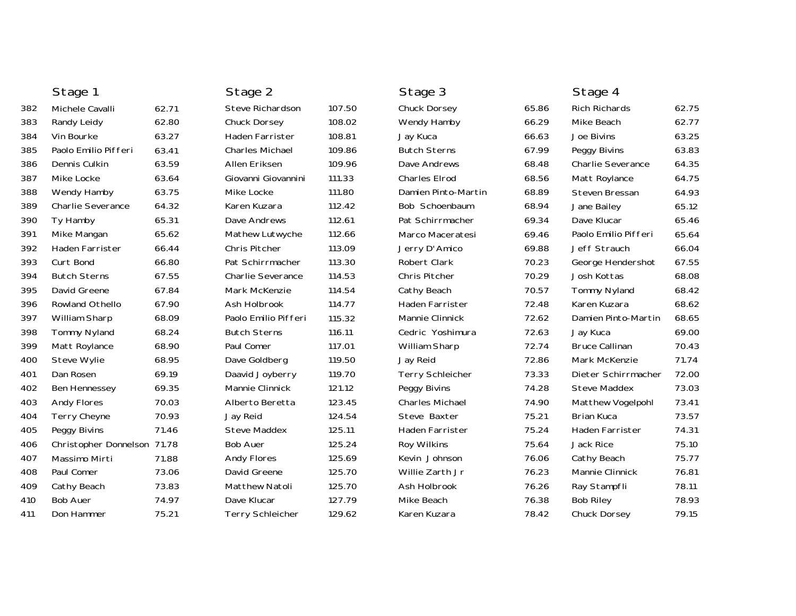|     | Stage 1                     |       | Stage 2                 |        | Stage 3                 |       | Stage 4                  |       |
|-----|-----------------------------|-------|-------------------------|--------|-------------------------|-------|--------------------------|-------|
| 382 | Michele Cavalli             | 62.71 | Steve Richardson        | 107.50 | Chuck Dorsey            | 65.86 | Rich Richards            | 62.75 |
| 383 | Randy Leidy                 | 62.80 | Chuck Dorsey            | 108.02 | Wendy Hamby             | 66.29 | Mike Beach               | 62.77 |
| 384 | Vin Bourke                  | 63.27 | Haden Farrister         | 108.81 | Jay Kuca                | 66.63 | Joe Bivins               | 63.25 |
| 385 | Paolo Emilio Pifferi        | 63.41 | Charles Michael         | 109.86 | <b>Butch Sterns</b>     | 67.99 | Peggy Bivins             | 63.83 |
| 386 | Dennis Culkin               | 63.59 | Allen Eriksen           | 109.96 | Dave Andrews            | 68.48 | <b>Charlie Severance</b> | 64.35 |
| 387 | Mike Locke                  | 63.64 | Giovanni Giovannini     | 111.33 | <b>Charles Elrod</b>    | 68.56 | Matt Roylance            | 64.75 |
| 388 | Wendy Hamby                 | 63.75 | Mike Locke              | 111.80 | Damien Pinto-Martin     | 68.89 | Steven Bressan           | 64.93 |
| 389 | <b>Charlie Severance</b>    | 64.32 | Karen Kuzara            | 112.42 | Bob Schoenbaum          | 68.94 | Jane Bailey              | 65.12 |
| 390 | Ty Hamby                    | 65.31 | Dave Andrews            | 112.61 | Pat Schirrmacher        | 69.34 | Dave Klucar              | 65.46 |
| 391 | Mike Mangan                 | 65.62 | Mathew Lutwyche         | 112.66 | Marco Maceratesi        | 69.46 | Paolo Emilio Pifferi     | 65.64 |
| 392 | Haden Farrister             | 66.44 | Chris Pitcher           | 113.09 | Jerry D'Amico           | 69.88 | Jeff Strauch             | 66.04 |
| 393 | Curt Bond                   | 66.80 | Pat Schirrmacher        | 113.30 | Robert Clark            | 70.23 | George Hendershot        | 67.55 |
| 394 | <b>Butch Sterns</b>         | 67.55 | Charlie Severance       | 114.53 | Chris Pitcher           | 70.29 | Josh Kottas              | 68.08 |
| 395 | David Greene                | 67.84 | Mark McKenzie           | 114.54 | Cathy Beach             | 70.57 | <b>Tommy Nyland</b>      | 68.42 |
| 396 | <b>Rowland Othello</b>      | 67.90 | Ash Holbrook            | 114.77 | <b>Haden Farrister</b>  | 72.48 | Karen Kuzara             | 68.62 |
| 397 | William Sharp               | 68.09 | Paolo Emilio Pifferi    | 115.32 | Mannie Clinnick         | 72.62 | Damien Pinto-Martin      | 68.65 |
| 398 | <b>Tommy Nyland</b>         | 68.24 | <b>Butch Sterns</b>     | 116.11 | Cedric Yoshimura        | 72.63 | Jay Kuca                 | 69.00 |
| 399 | Matt Roylance               | 68.90 | Paul Comer              | 117.01 | William Sharp           | 72.74 | <b>Bruce Callinan</b>    | 70.43 |
| 400 | <b>Steve Wylie</b>          | 68.95 | Dave Goldberg           | 119.50 | Jay Reid                | 72.86 | Mark McKenzie            | 71.74 |
| 401 | Dan Rosen                   | 69.19 | Daavid Joyberry         | 119.70 | <b>Terry Schleicher</b> | 73.33 | Dieter Schirrmacher      | 72.00 |
| 402 | Ben Hennessey               | 69.35 | Mannie Clinnick         | 121.12 | Peggy Bivins            | 74.28 | <b>Steve Maddex</b>      | 73.03 |
| 403 | <b>Andy Flores</b>          | 70.03 | Alberto Beretta         | 123.45 | <b>Charles Michael</b>  | 74.90 | Matthew Vogelpohl        | 73.41 |
| 404 | <b>Terry Cheyne</b>         | 70.93 | Jay Reid                | 124.54 | Steve Baxter            | 75.21 | <b>Brian Kuca</b>        | 73.57 |
| 405 | Peggy Bivins                | 71.46 | <b>Steve Maddex</b>     | 125.11 | Haden Farrister         | 75.24 | Haden Farrister          | 74.31 |
| 406 | Christopher Donnelson 71.78 |       | <b>Bob Auer</b>         | 125.24 | Roy Wilkins             | 75.64 | Jack Rice                | 75.10 |
| 407 | Massimo Mirti               | 71.88 | <b>Andy Flores</b>      | 125.69 | Kevin Johnson           | 76.06 | Cathy Beach              | 75.77 |
| 408 | Paul Comer                  | 73.06 | David Greene            | 125.70 | Willie Zarth Jr         | 76.23 | Mannie Clinnick          | 76.81 |
| 409 | Cathy Beach                 | 73.83 | <b>Matthew Natoli</b>   | 125.70 | Ash Holbrook            | 76.26 | Ray Stampfli             | 78.11 |
| 410 | <b>Bob Auer</b>             | 74.97 | Dave Klucar             | 127.79 | Mike Beach              | 76.38 | <b>Bob Riley</b>         | 78.93 |
| 411 | Don Hammer                  | 75.21 | <b>Terry Schleicher</b> | 129.62 | Karen Kuzara            | 78.42 | Chuck Dorsey             | 79.15 |